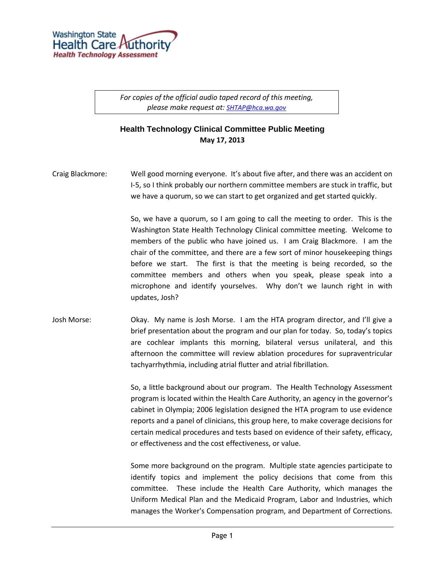

*For copies of the official audio taped record of this meeting, please make request at: [SHTAP@hca.wa.gov](mailto:SHTAP@hca.wa.gov)*

## **Health Technology Clinical Committee Public Meeting May 17, 2013**

Craig Blackmore: Well good morning everyone. It's about five after, and there was an accident on I-5, so I think probably our northern committee members are stuck in traffic, but we have a quorum, so we can start to get organized and get started quickly.

> So, we have a quorum, so I am going to call the meeting to order. This is the Washington State Health Technology Clinical committee meeting. Welcome to members of the public who have joined us. I am Craig Blackmore. I am the chair of the committee, and there are a few sort of minor housekeeping things before we start. The first is that the meeting is being recorded, so the committee members and others when you speak, please speak into a microphone and identify yourselves. Why don't we launch right in with updates, Josh?

Josh Morse: Okay. My name is Josh Morse. I am the HTA program director, and I'll give a brief presentation about the program and our plan for today. So, today's topics are cochlear implants this morning, bilateral versus unilateral, and this afternoon the committee will review ablation procedures for supraventricular tachyarrhythmia, including atrial flutter and atrial fibrillation.

> So, a little background about our program. The Health Technology Assessment program is located within the Health Care Authority, an agency in the governor's cabinet in Olympia; 2006 legislation designed the HTA program to use evidence reports and a panel of clinicians, this group here, to make coverage decisions for certain medical procedures and tests based on evidence of their safety, efficacy, or effectiveness and the cost effectiveness, or value.

> Some more background on the program. Multiple state agencies participate to identify topics and implement the policy decisions that come from this committee. These include the Health Care Authority, which manages the Uniform Medical Plan and the Medicaid Program, Labor and Industries, which manages the Worker's Compensation program, and Department of Corrections.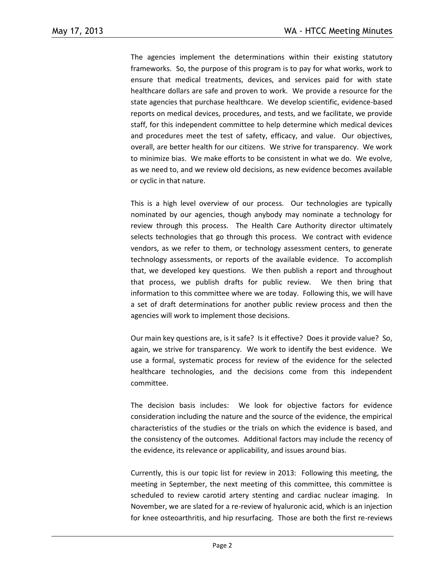The agencies implement the determinations within their existing statutory frameworks. So, the purpose of this program is to pay for what works, work to ensure that medical treatments, devices, and services paid for with state healthcare dollars are safe and proven to work. We provide a resource for the state agencies that purchase healthcare. We develop scientific, evidence-based reports on medical devices, procedures, and tests, and we facilitate, we provide staff, for this independent committee to help determine which medical devices and procedures meet the test of safety, efficacy, and value. Our objectives, overall, are better health for our citizens. We strive for transparency. We work to minimize bias. We make efforts to be consistent in what we do. We evolve, as we need to, and we review old decisions, as new evidence becomes available or cyclic in that nature.

This is a high level overview of our process. Our technologies are typically nominated by our agencies, though anybody may nominate a technology for review through this process. The Health Care Authority director ultimately selects technologies that go through this process. We contract with evidence vendors, as we refer to them, or technology assessment centers, to generate technology assessments, or reports of the available evidence. To accomplish that, we developed key questions. We then publish a report and throughout that process, we publish drafts for public review. We then bring that information to this committee where we are today. Following this, we will have a set of draft determinations for another public review process and then the agencies will work to implement those decisions.

Our main key questions are, is it safe? Is it effective? Does it provide value? So, again, we strive for transparency. We work to identify the best evidence. We use a formal, systematic process for review of the evidence for the selected healthcare technologies, and the decisions come from this independent committee.

The decision basis includes: We look for objective factors for evidence consideration including the nature and the source of the evidence, the empirical characteristics of the studies or the trials on which the evidence is based, and the consistency of the outcomes. Additional factors may include the recency of the evidence, its relevance or applicability, and issues around bias.

Currently, this is our topic list for review in 2013: Following this meeting, the meeting in September, the next meeting of this committee, this committee is scheduled to review carotid artery stenting and cardiac nuclear imaging. In November, we are slated for a re-review of hyaluronic acid, which is an injection for knee osteoarthritis, and hip resurfacing. Those are both the first re-reviews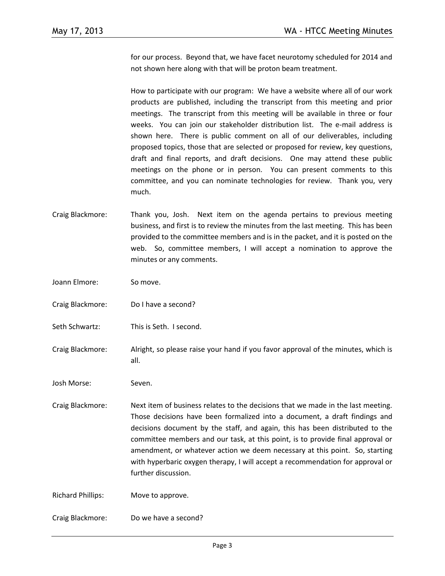for our process. Beyond that, we have facet neurotomy scheduled for 2014 and not shown here along with that will be proton beam treatment.

How to participate with our program: We have a website where all of our work products are published, including the transcript from this meeting and prior meetings. The transcript from this meeting will be available in three or four weeks. You can join our stakeholder distribution list. The e-mail address is shown here. There is public comment on all of our deliverables, including proposed topics, those that are selected or proposed for review, key questions, draft and final reports, and draft decisions. One may attend these public meetings on the phone or in person. You can present comments to this committee, and you can nominate technologies for review. Thank you, very much.

- Craig Blackmore: Thank you, Josh. Next item on the agenda pertains to previous meeting business, and first is to review the minutes from the last meeting. This has been provided to the committee members and is in the packet, and it is posted on the web. So, committee members, I will accept a nomination to approve the minutes or any comments.
- Joann Elmore: So move.
- Craig Blackmore: Do I have a second?
- Seth Schwartz: This is Seth. I second.
- Craig Blackmore: Alright, so please raise your hand if you favor approval of the minutes, which is all.
- Josh Morse: Seven.
- Craig Blackmore: Next item of business relates to the decisions that we made in the last meeting. Those decisions have been formalized into a document, a draft findings and decisions document by the staff, and again, this has been distributed to the committee members and our task, at this point, is to provide final approval or amendment, or whatever action we deem necessary at this point. So, starting with hyperbaric oxygen therapy, I will accept a recommendation for approval or further discussion.

Richard Phillips: Move to approve.

Craig Blackmore: Do we have a second?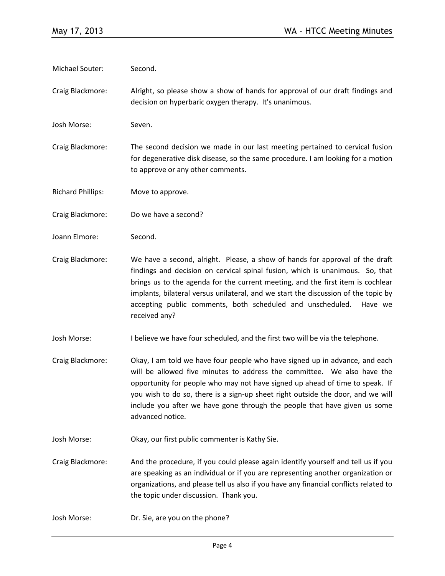Michael Souter: Second.

Craig Blackmore: Alright, so please show a show of hands for approval of our draft findings and decision on hyperbaric oxygen therapy. It's unanimous.

Josh Morse: Seven.

Craig Blackmore: The second decision we made in our last meeting pertained to cervical fusion for degenerative disk disease, so the same procedure. I am looking for a motion to approve or any other comments.

Richard Phillips: Move to approve.

Craig Blackmore: Do we have a second?

Joann Elmore: Second.

Craig Blackmore: We have a second, alright. Please, a show of hands for approval of the draft findings and decision on cervical spinal fusion, which is unanimous. So, that brings us to the agenda for the current meeting, and the first item is cochlear implants, bilateral versus unilateral, and we start the discussion of the topic by accepting public comments, both scheduled and unscheduled. Have we received any?

Josh Morse: I believe we have four scheduled, and the first two will be via the telephone.

- Craig Blackmore: Okay, I am told we have four people who have signed up in advance, and each will be allowed five minutes to address the committee. We also have the opportunity for people who may not have signed up ahead of time to speak. If you wish to do so, there is a sign-up sheet right outside the door, and we will include you after we have gone through the people that have given us some advanced notice.
- Josh Morse: Okay, our first public commenter is Kathy Sie.
- Craig Blackmore: And the procedure, if you could please again identify yourself and tell us if you are speaking as an individual or if you are representing another organization or organizations, and please tell us also if you have any financial conflicts related to the topic under discussion. Thank you.
- Josh Morse: Dr. Sie, are you on the phone?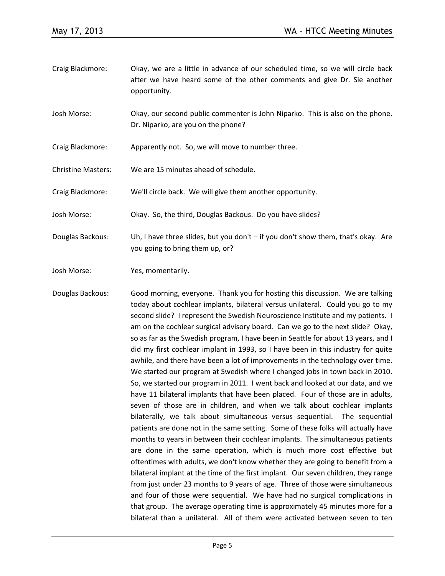- Craig Blackmore: Okay, we are a little in advance of our scheduled time, so we will circle back after we have heard some of the other comments and give Dr. Sie another opportunity.
- Josh Morse: Okay, our second public commenter is John Niparko. This is also on the phone. Dr. Niparko, are you on the phone?
- Craig Blackmore: Apparently not. So, we will move to number three.
- Christine Masters: We are 15 minutes ahead of schedule.

Craig Blackmore: We'll circle back. We will give them another opportunity.

Josh Morse: Okay. So, the third, Douglas Backous. Do you have slides?

Douglas Backous: Uh, I have three slides, but you don't – if you don't show them, that's okay. Are you going to bring them up, or?

Josh Morse: Yes, momentarily.

Douglas Backous: Good morning, everyone. Thank you for hosting this discussion. We are talking today about cochlear implants, bilateral versus unilateral. Could you go to my second slide? I represent the Swedish Neuroscience Institute and my patients. I am on the cochlear surgical advisory board. Can we go to the next slide? Okay, so as far as the Swedish program, I have been in Seattle for about 13 years, and I did my first cochlear implant in 1993, so I have been in this industry for quite awhile, and there have been a lot of improvements in the technology over time. We started our program at Swedish where I changed jobs in town back in 2010. So, we started our program in 2011. I went back and looked at our data, and we have 11 bilateral implants that have been placed. Four of those are in adults, seven of those are in children, and when we talk about cochlear implants bilaterally, we talk about simultaneous versus sequential. The sequential patients are done not in the same setting. Some of these folks will actually have months to years in between their cochlear implants. The simultaneous patients are done in the same operation, which is much more cost effective but oftentimes with adults, we don't know whether they are going to benefit from a bilateral implant at the time of the first implant. Our seven children, they range from just under 23 months to 9 years of age. Three of those were simultaneous and four of those were sequential. We have had no surgical complications in that group. The average operating time is approximately 45 minutes more for a bilateral than a unilateral. All of them were activated between seven to ten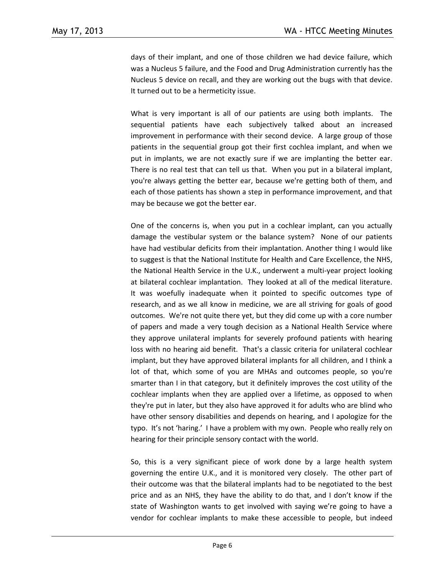days of their implant, and one of those children we had device failure, which was a Nucleus 5 failure, and the Food and Drug Administration currently has the Nucleus 5 device on recall, and they are working out the bugs with that device. It turned out to be a hermeticity issue.

What is very important is all of our patients are using both implants. The sequential patients have each subjectively talked about an increased improvement in performance with their second device. A large group of those patients in the sequential group got their first cochlea implant, and when we put in implants, we are not exactly sure if we are implanting the better ear. There is no real test that can tell us that. When you put in a bilateral implant, you're always getting the better ear, because we're getting both of them, and each of those patients has shown a step in performance improvement, and that may be because we got the better ear.

One of the concerns is, when you put in a cochlear implant, can you actually damage the vestibular system or the balance system? None of our patients have had vestibular deficits from their implantation. Another thing I would like to suggest is that the National Institute for Health and Care Excellence, the NHS, the National Health Service in the U.K., underwent a multi-year project looking at bilateral cochlear implantation. They looked at all of the medical literature. It was woefully inadequate when it pointed to specific outcomes type of research, and as we all know in medicine, we are all striving for goals of good outcomes. We're not quite there yet, but they did come up with a core number of papers and made a very tough decision as a National Health Service where they approve unilateral implants for severely profound patients with hearing loss with no hearing aid benefit. That's a classic criteria for unilateral cochlear implant, but they have approved bilateral implants for all children, and I think a lot of that, which some of you are MHAs and outcomes people, so you're smarter than I in that category, but it definitely improves the cost utility of the cochlear implants when they are applied over a lifetime, as opposed to when they're put in later, but they also have approved it for adults who are blind who have other sensory disabilities and depends on hearing, and I apologize for the typo. It's not 'haring.' I have a problem with my own. People who really rely on hearing for their principle sensory contact with the world.

So, this is a very significant piece of work done by a large health system governing the entire U.K., and it is monitored very closely. The other part of their outcome was that the bilateral implants had to be negotiated to the best price and as an NHS, they have the ability to do that, and I don't know if the state of Washington wants to get involved with saying we're going to have a vendor for cochlear implants to make these accessible to people, but indeed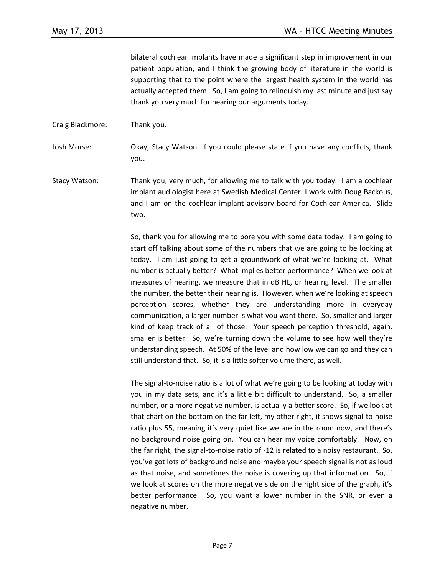bilateral cochlear implants have made a significant step in improvement in our patient population, and I think the growing body of literature in the world is supporting that to the point where the largest health system in the world has actually accepted them. So, I am going to relinquish my last minute and just say thank you very much for hearing our arguments today.

Craig Blackmore: Thank you.

Josh Morse: Okay, Stacy Watson. If you could please state if you have any conflicts, thank you.

Stacy Watson: Thank you, very much, for allowing me to talk with you today. I am a cochlear implant audiologist here at Swedish Medical Center. I work with Doug Backous, and I am on the cochlear implant advisory board for Cochlear America. Slide two.

> So, thank you for allowing me to bore you with some data today. I am going to start off talking about some of the numbers that we are going to be looking at today. I am just going to get a groundwork of what we're looking at. What number is actually better? What implies better performance? When we look at measures of hearing, we measure that in dB HL, or hearing level. The smaller the number, the better their hearing is. However, when we're looking at speech perception scores, whether they are understanding more in everyday communication, a larger number is what you want there. So, smaller and larger kind of keep track of all of those. Your speech perception threshold, again, smaller is better. So, we're turning down the volume to see how well they're understanding speech. At 50% of the level and how low we can go and they can still understand that. So, it is a little softer volume there, as well.

> The signal-to-noise ratio is a lot of what we're going to be looking at today with you in my data sets, and it's a little bit difficult to understand. So, a smaller number, or a more negative number, is actually a better score. So, if we look at that chart on the bottom on the far left, my other right, it shows signal-to-noise ratio plus 55, meaning it's very quiet like we are in the room now, and there's no background noise going on. You can hear my voice comfortably. Now, on the far right, the signal-to-noise ratio of -12 is related to a noisy restaurant. So, you've got lots of background noise and maybe your speech signal is not as loud as that noise, and sometimes the noise is covering up that information. So, if we look at scores on the more negative side on the right side of the graph, it's better performance. So, you want a lower number in the SNR, or even a negative number.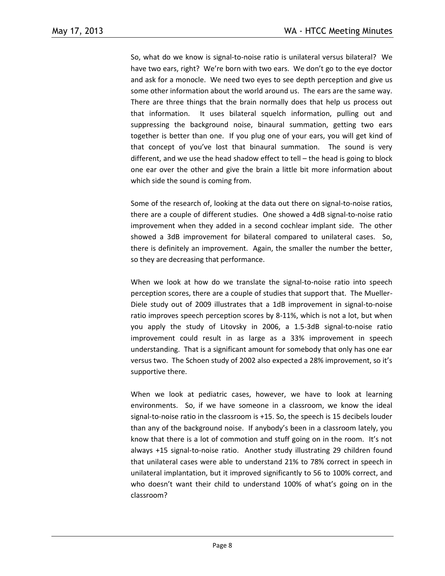So, what do we know is signal-to-noise ratio is unilateral versus bilateral? We have two ears, right? We're born with two ears. We don't go to the eye doctor and ask for a monocle. We need two eyes to see depth perception and give us some other information about the world around us. The ears are the same way. There are three things that the brain normally does that help us process out that information. It uses bilateral squelch information, pulling out and suppressing the background noise, binaural summation, getting two ears together is better than one. If you plug one of your ears, you will get kind of that concept of you've lost that binaural summation. The sound is very different, and we use the head shadow effect to tell – the head is going to block one ear over the other and give the brain a little bit more information about which side the sound is coming from.

Some of the research of, looking at the data out there on signal-to-noise ratios, there are a couple of different studies. One showed a 4dB signal-to-noise ratio improvement when they added in a second cochlear implant side. The other showed a 3dB improvement for bilateral compared to unilateral cases. So, there is definitely an improvement. Again, the smaller the number the better, so they are decreasing that performance.

When we look at how do we translate the signal-to-noise ratio into speech perception scores, there are a couple of studies that support that. The Mueller-Diele study out of 2009 illustrates that a 1dB improvement in signal-to-noise ratio improves speech perception scores by 8-11%, which is not a lot, but when you apply the study of Litovsky in 2006, a 1.5-3dB signal-to-noise ratio improvement could result in as large as a 33% improvement in speech understanding. That is a significant amount for somebody that only has one ear versus two. The Schoen study of 2002 also expected a 28% improvement, so it's supportive there.

When we look at pediatric cases, however, we have to look at learning environments. So, if we have someone in a classroom, we know the ideal signal-to-noise ratio in the classroom is +15. So, the speech is 15 decibels louder than any of the background noise. If anybody's been in a classroom lately, you know that there is a lot of commotion and stuff going on in the room. It's not always +15 signal-to-noise ratio. Another study illustrating 29 children found that unilateral cases were able to understand 21% to 78% correct in speech in unilateral implantation, but it improved significantly to 56 to 100% correct, and who doesn't want their child to understand 100% of what's going on in the classroom?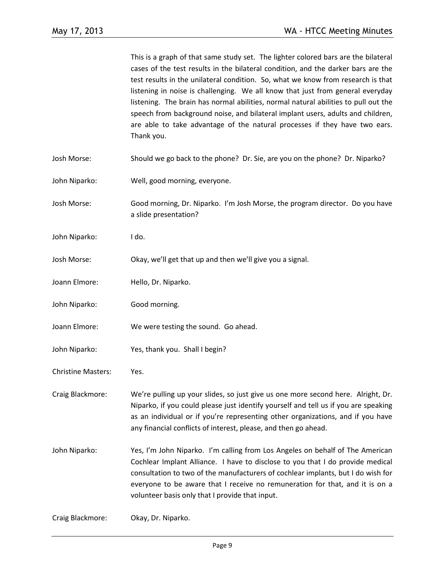This is a graph of that same study set. The lighter colored bars are the bilateral cases of the test results in the bilateral condition, and the darker bars are the test results in the unilateral condition. So, what we know from research is that listening in noise is challenging. We all know that just from general everyday listening. The brain has normal abilities, normal natural abilities to pull out the speech from background noise, and bilateral implant users, adults and children, are able to take advantage of the natural processes if they have two ears. Thank you.

- Josh Morse: Should we go back to the phone? Dr. Sie, are you on the phone? Dr. Niparko?
- John Niparko: Well, good morning, everyone.
- Josh Morse: Good morning, Dr. Niparko. I'm Josh Morse, the program director. Do you have a slide presentation?
- John Niparko: I do.
- Josh Morse: Okay, we'll get that up and then we'll give you a signal.
- Joann Elmore: Hello, Dr. Niparko.
- John Niparko: Good morning.
- Joann Elmore: We were testing the sound. Go ahead.
- John Niparko: Yes, thank you. Shall I begin?
- Christine Masters: Yes.
- Craig Blackmore: We're pulling up your slides, so just give us one more second here. Alright, Dr. Niparko, if you could please just identify yourself and tell us if you are speaking as an individual or if you're representing other organizations, and if you have any financial conflicts of interest, please, and then go ahead.
- John Niparko: Yes, I'm John Niparko. I'm calling from Los Angeles on behalf of The American Cochlear Implant Alliance. I have to disclose to you that I do provide medical consultation to two of the manufacturers of cochlear implants, but I do wish for everyone to be aware that I receive no remuneration for that, and it is on a volunteer basis only that I provide that input.

Craig Blackmore: Okay, Dr. Niparko.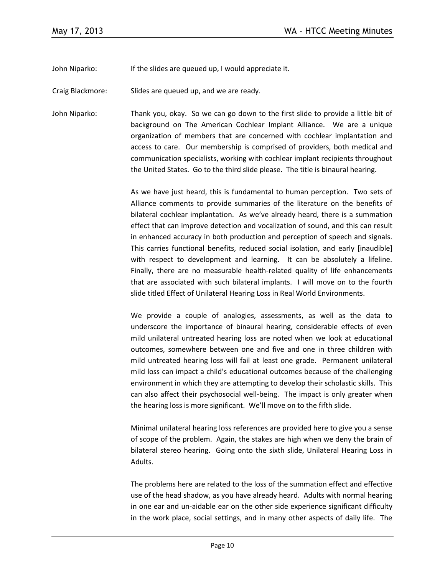John Niparko: If the slides are queued up, I would appreciate it.

Craig Blackmore: Slides are queued up, and we are ready.

John Niparko: Thank you, okay. So we can go down to the first slide to provide a little bit of background on The American Cochlear Implant Alliance. We are a unique organization of members that are concerned with cochlear implantation and access to care. Our membership is comprised of providers, both medical and communication specialists, working with cochlear implant recipients throughout the United States. Go to the third slide please. The title is binaural hearing.

> As we have just heard, this is fundamental to human perception. Two sets of Alliance comments to provide summaries of the literature on the benefits of bilateral cochlear implantation. As we've already heard, there is a summation effect that can improve detection and vocalization of sound, and this can result in enhanced accuracy in both production and perception of speech and signals. This carries functional benefits, reduced social isolation, and early [inaudible] with respect to development and learning. It can be absolutely a lifeline. Finally, there are no measurable health-related quality of life enhancements that are associated with such bilateral implants. I will move on to the fourth slide titled Effect of Unilateral Hearing Loss in Real World Environments.

> We provide a couple of analogies, assessments, as well as the data to underscore the importance of binaural hearing, considerable effects of even mild unilateral untreated hearing loss are noted when we look at educational outcomes, somewhere between one and five and one in three children with mild untreated hearing loss will fail at least one grade. Permanent unilateral mild loss can impact a child's educational outcomes because of the challenging environment in which they are attempting to develop their scholastic skills. This can also affect their psychosocial well-being. The impact is only greater when the hearing loss is more significant. We'll move on to the fifth slide.

> Minimal unilateral hearing loss references are provided here to give you a sense of scope of the problem. Again, the stakes are high when we deny the brain of bilateral stereo hearing. Going onto the sixth slide, Unilateral Hearing Loss in Adults.

> The problems here are related to the loss of the summation effect and effective use of the head shadow, as you have already heard. Adults with normal hearing in one ear and un-aidable ear on the other side experience significant difficulty in the work place, social settings, and in many other aspects of daily life. The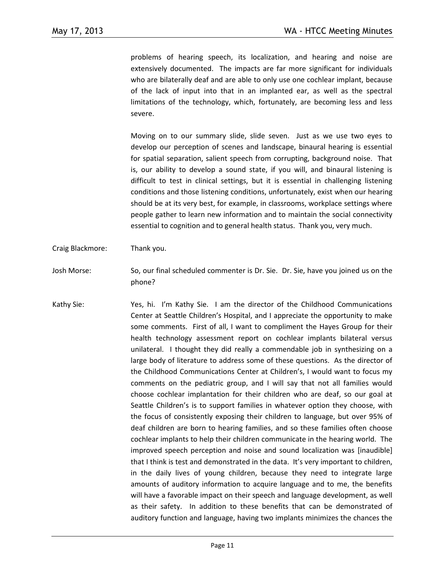problems of hearing speech, its localization, and hearing and noise are extensively documented. The impacts are far more significant for individuals who are bilaterally deaf and are able to only use one cochlear implant, because of the lack of input into that in an implanted ear, as well as the spectral limitations of the technology, which, fortunately, are becoming less and less severe.

Moving on to our summary slide, slide seven. Just as we use two eyes to develop our perception of scenes and landscape, binaural hearing is essential for spatial separation, salient speech from corrupting, background noise. That is, our ability to develop a sound state, if you will, and binaural listening is difficult to test in clinical settings, but it is essential in challenging listening conditions and those listening conditions, unfortunately, exist when our hearing should be at its very best, for example, in classrooms, workplace settings where people gather to learn new information and to maintain the social connectivity essential to cognition and to general health status. Thank you, very much.

- Craig Blackmore: Thank you.
- Josh Morse: So, our final scheduled commenter is Dr. Sie. Dr. Sie, have you joined us on the phone?
- Kathy Sie: Yes, hi. I'm Kathy Sie. I am the director of the Childhood Communications Center at Seattle Children's Hospital, and I appreciate the opportunity to make some comments. First of all, I want to compliment the Hayes Group for their health technology assessment report on cochlear implants bilateral versus unilateral. I thought they did really a commendable job in synthesizing on a large body of literature to address some of these questions. As the director of the Childhood Communications Center at Children's, I would want to focus my comments on the pediatric group, and I will say that not all families would choose cochlear implantation for their children who are deaf, so our goal at Seattle Children's is to support families in whatever option they choose, with the focus of consistently exposing their children to language, but over 95% of deaf children are born to hearing families, and so these families often choose cochlear implants to help their children communicate in the hearing world. The improved speech perception and noise and sound localization was [inaudible] that I think is test and demonstrated in the data. It's very important to children, in the daily lives of young children, because they need to integrate large amounts of auditory information to acquire language and to me, the benefits will have a favorable impact on their speech and language development, as well as their safety. In addition to these benefits that can be demonstrated of auditory function and language, having two implants minimizes the chances the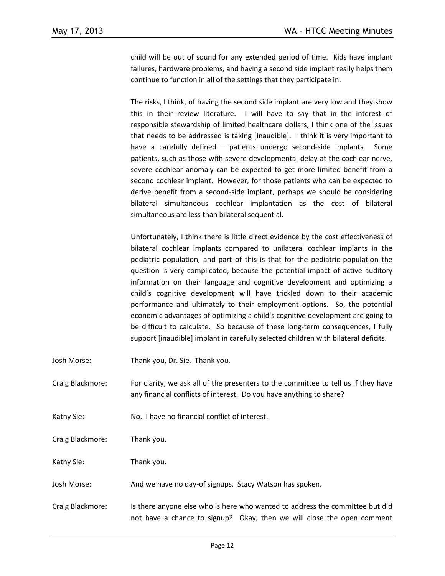child will be out of sound for any extended period of time. Kids have implant failures, hardware problems, and having a second side implant really helps them continue to function in all of the settings that they participate in.

The risks, I think, of having the second side implant are very low and they show this in their review literature. I will have to say that in the interest of responsible stewardship of limited healthcare dollars, I think one of the issues that needs to be addressed is taking [inaudible]. I think it is very important to have a carefully defined – patients undergo second-side implants. Some patients, such as those with severe developmental delay at the cochlear nerve, severe cochlear anomaly can be expected to get more limited benefit from a second cochlear implant. However, for those patients who can be expected to derive benefit from a second-side implant, perhaps we should be considering bilateral simultaneous cochlear implantation as the cost of bilateral simultaneous are less than bilateral sequential.

Unfortunately, I think there is little direct evidence by the cost effectiveness of bilateral cochlear implants compared to unilateral cochlear implants in the pediatric population, and part of this is that for the pediatric population the question is very complicated, because the potential impact of active auditory information on their language and cognitive development and optimizing a child's cognitive development will have trickled down to their academic performance and ultimately to their employment options. So, the potential economic advantages of optimizing a child's cognitive development are going to be difficult to calculate. So because of these long-term consequences, I fully support [inaudible] implant in carefully selected children with bilateral deficits.

- Josh Morse: Thank you, Dr. Sie. Thank you.
- Craig Blackmore: For clarity, we ask all of the presenters to the committee to tell us if they have any financial conflicts of interest. Do you have anything to share?
- Kathy Sie: No. I have no financial conflict of interest.

Craig Blackmore: Thank you.

Kathy Sie: Thank you.

- Josh Morse: And we have no day-of signups. Stacy Watson has spoken.
- Craig Blackmore: Is there anyone else who is here who wanted to address the committee but did not have a chance to signup? Okay, then we will close the open comment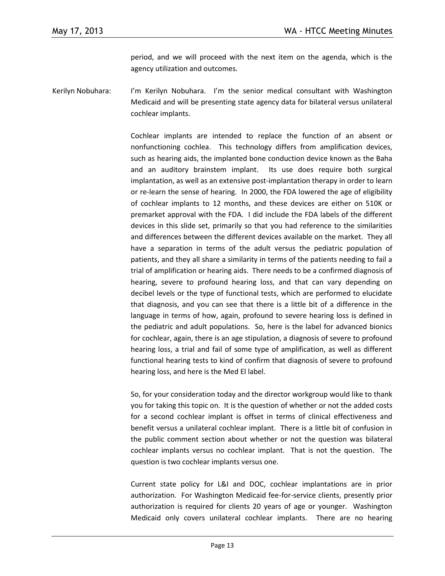period, and we will proceed with the next item on the agenda, which is the agency utilization and outcomes.

Kerilyn Nobuhara: I'm Kerilyn Nobuhara. I'm the senior medical consultant with Washington Medicaid and will be presenting state agency data for bilateral versus unilateral cochlear implants.

> Cochlear implants are intended to replace the function of an absent or nonfunctioning cochlea. This technology differs from amplification devices, such as hearing aids, the implanted bone conduction device known as the Baha and an auditory brainstem implant. Its use does require both surgical implantation, as well as an extensive post-implantation therapy in order to learn or re-learn the sense of hearing. In 2000, the FDA lowered the age of eligibility of cochlear implants to 12 months, and these devices are either on 510K or premarket approval with the FDA. I did include the FDA labels of the different devices in this slide set, primarily so that you had reference to the similarities and differences between the different devices available on the market. They all have a separation in terms of the adult versus the pediatric population of patients, and they all share a similarity in terms of the patients needing to fail a trial of amplification or hearing aids. There needs to be a confirmed diagnosis of hearing, severe to profound hearing loss, and that can vary depending on decibel levels or the type of functional tests, which are performed to elucidate that diagnosis, and you can see that there is a little bit of a difference in the language in terms of how, again, profound to severe hearing loss is defined in the pediatric and adult populations. So, here is the label for advanced bionics for cochlear, again, there is an age stipulation, a diagnosis of severe to profound hearing loss, a trial and fail of some type of amplification, as well as different functional hearing tests to kind of confirm that diagnosis of severe to profound hearing loss, and here is the Med El label.

> So, for your consideration today and the director workgroup would like to thank you for taking this topic on. It is the question of whether or not the added costs for a second cochlear implant is offset in terms of clinical effectiveness and benefit versus a unilateral cochlear implant. There is a little bit of confusion in the public comment section about whether or not the question was bilateral cochlear implants versus no cochlear implant. That is not the question. The question is two cochlear implants versus one.

> Current state policy for L&I and DOC, cochlear implantations are in prior authorization. For Washington Medicaid fee-for-service clients, presently prior authorization is required for clients 20 years of age or younger. Washington Medicaid only covers unilateral cochlear implants. There are no hearing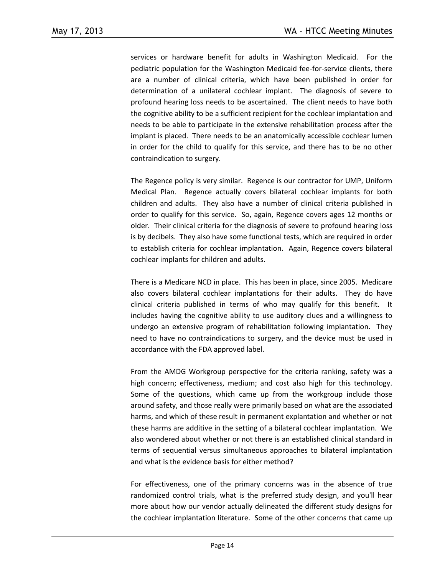services or hardware benefit for adults in Washington Medicaid. For the pediatric population for the Washington Medicaid fee-for-service clients, there are a number of clinical criteria, which have been published in order for determination of a unilateral cochlear implant. The diagnosis of severe to profound hearing loss needs to be ascertained. The client needs to have both the cognitive ability to be a sufficient recipient for the cochlear implantation and needs to be able to participate in the extensive rehabilitation process after the implant is placed. There needs to be an anatomically accessible cochlear lumen in order for the child to qualify for this service, and there has to be no other contraindication to surgery.

The Regence policy is very similar. Regence is our contractor for UMP, Uniform Medical Plan. Regence actually covers bilateral cochlear implants for both children and adults. They also have a number of clinical criteria published in order to qualify for this service. So, again, Regence covers ages 12 months or older. Their clinical criteria for the diagnosis of severe to profound hearing loss is by decibels. They also have some functional tests, which are required in order to establish criteria for cochlear implantation. Again, Regence covers bilateral cochlear implants for children and adults.

There is a Medicare NCD in place. This has been in place, since 2005. Medicare also covers bilateral cochlear implantations for their adults. They do have clinical criteria published in terms of who may qualify for this benefit. It includes having the cognitive ability to use auditory clues and a willingness to undergo an extensive program of rehabilitation following implantation. They need to have no contraindications to surgery, and the device must be used in accordance with the FDA approved label.

From the AMDG Workgroup perspective for the criteria ranking, safety was a high concern; effectiveness, medium; and cost also high for this technology. Some of the questions, which came up from the workgroup include those around safety, and those really were primarily based on what are the associated harms, and which of these result in permanent explantation and whether or not these harms are additive in the setting of a bilateral cochlear implantation. We also wondered about whether or not there is an established clinical standard in terms of sequential versus simultaneous approaches to bilateral implantation and what is the evidence basis for either method?

For effectiveness, one of the primary concerns was in the absence of true randomized control trials, what is the preferred study design, and you'll hear more about how our vendor actually delineated the different study designs for the cochlear implantation literature. Some of the other concerns that came up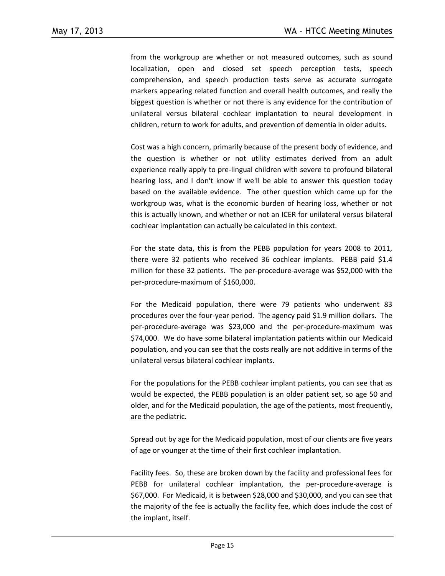from the workgroup are whether or not measured outcomes, such as sound localization, open and closed set speech perception tests, speech comprehension, and speech production tests serve as accurate surrogate markers appearing related function and overall health outcomes, and really the biggest question is whether or not there is any evidence for the contribution of unilateral versus bilateral cochlear implantation to neural development in children, return to work for adults, and prevention of dementia in older adults.

Cost was a high concern, primarily because of the present body of evidence, and the question is whether or not utility estimates derived from an adult experience really apply to pre-lingual children with severe to profound bilateral hearing loss, and I don't know if we'll be able to answer this question today based on the available evidence. The other question which came up for the workgroup was, what is the economic burden of hearing loss, whether or not this is actually known, and whether or not an ICER for unilateral versus bilateral cochlear implantation can actually be calculated in this context.

For the state data, this is from the PEBB population for years 2008 to 2011, there were 32 patients who received 36 cochlear implants. PEBB paid \$1.4 million for these 32 patients. The per-procedure-average was \$52,000 with the per-procedure-maximum of \$160,000.

For the Medicaid population, there were 79 patients who underwent 83 procedures over the four-year period. The agency paid \$1.9 million dollars. The per-procedure-average was \$23,000 and the per-procedure-maximum was \$74,000. We do have some bilateral implantation patients within our Medicaid population, and you can see that the costs really are not additive in terms of the unilateral versus bilateral cochlear implants.

For the populations for the PEBB cochlear implant patients, you can see that as would be expected, the PEBB population is an older patient set, so age 50 and older, and for the Medicaid population, the age of the patients, most frequently, are the pediatric.

Spread out by age for the Medicaid population, most of our clients are five years of age or younger at the time of their first cochlear implantation.

Facility fees. So, these are broken down by the facility and professional fees for PEBB for unilateral cochlear implantation, the per-procedure-average is \$67,000. For Medicaid, it is between \$28,000 and \$30,000, and you can see that the majority of the fee is actually the facility fee, which does include the cost of the implant, itself.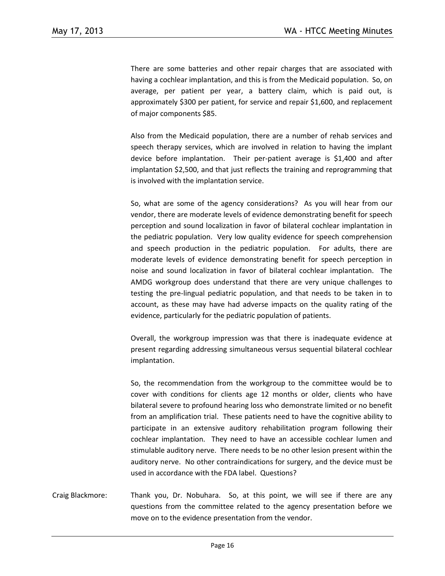There are some batteries and other repair charges that are associated with having a cochlear implantation, and this is from the Medicaid population. So, on average, per patient per year, a battery claim, which is paid out, is approximately \$300 per patient, for service and repair \$1,600, and replacement of major components \$85.

Also from the Medicaid population, there are a number of rehab services and speech therapy services, which are involved in relation to having the implant device before implantation. Their per-patient average is \$1,400 and after implantation \$2,500, and that just reflects the training and reprogramming that is involved with the implantation service.

So, what are some of the agency considerations? As you will hear from our vendor, there are moderate levels of evidence demonstrating benefit for speech perception and sound localization in favor of bilateral cochlear implantation in the pediatric population. Very low quality evidence for speech comprehension and speech production in the pediatric population. For adults, there are moderate levels of evidence demonstrating benefit for speech perception in noise and sound localization in favor of bilateral cochlear implantation. The AMDG workgroup does understand that there are very unique challenges to testing the pre-lingual pediatric population, and that needs to be taken in to account, as these may have had adverse impacts on the quality rating of the evidence, particularly for the pediatric population of patients.

Overall, the workgroup impression was that there is inadequate evidence at present regarding addressing simultaneous versus sequential bilateral cochlear implantation.

So, the recommendation from the workgroup to the committee would be to cover with conditions for clients age 12 months or older, clients who have bilateral severe to profound hearing loss who demonstrate limited or no benefit from an amplification trial. These patients need to have the cognitive ability to participate in an extensive auditory rehabilitation program following their cochlear implantation. They need to have an accessible cochlear lumen and stimulable auditory nerve. There needs to be no other lesion present within the auditory nerve. No other contraindications for surgery, and the device must be used in accordance with the FDA label. Questions?

Craig Blackmore: Thank you, Dr. Nobuhara. So, at this point, we will see if there are any questions from the committee related to the agency presentation before we move on to the evidence presentation from the vendor.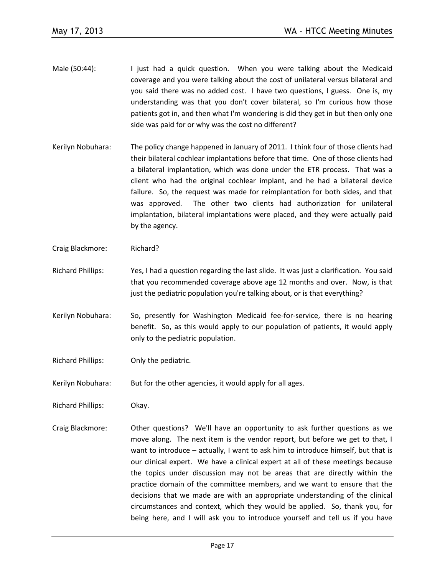- Male (50:44): I just had a quick question. When you were talking about the Medicaid coverage and you were talking about the cost of unilateral versus bilateral and you said there was no added cost. I have two questions, I guess. One is, my understanding was that you don't cover bilateral, so I'm curious how those patients got in, and then what I'm wondering is did they get in but then only one side was paid for or why was the cost no different?
- Kerilyn Nobuhara: The policy change happened in January of 2011. I think four of those clients had their bilateral cochlear implantations before that time. One of those clients had a bilateral implantation, which was done under the ETR process. That was a client who had the original cochlear implant, and he had a bilateral device failure. So, the request was made for reimplantation for both sides, and that was approved. The other two clients had authorization for unilateral implantation, bilateral implantations were placed, and they were actually paid by the agency.
- Craig Blackmore: Richard?
- Richard Phillips: Yes, I had a question regarding the last slide. It was just a clarification. You said that you recommended coverage above age 12 months and over. Now, is that just the pediatric population you're talking about, or is that everything?
- Kerilyn Nobuhara: So, presently for Washington Medicaid fee-for-service, there is no hearing benefit. So, as this would apply to our population of patients, it would apply only to the pediatric population.
- Richard Phillips: Only the pediatric.
- Kerilyn Nobuhara: But for the other agencies, it would apply for all ages.
- Richard Phillips: Okay.
- Craig Blackmore: Other questions? We'll have an opportunity to ask further questions as we move along. The next item is the vendor report, but before we get to that, I want to introduce – actually, I want to ask him to introduce himself, but that is our clinical expert. We have a clinical expert at all of these meetings because the topics under discussion may not be areas that are directly within the practice domain of the committee members, and we want to ensure that the decisions that we made are with an appropriate understanding of the clinical circumstances and context, which they would be applied. So, thank you, for being here, and I will ask you to introduce yourself and tell us if you have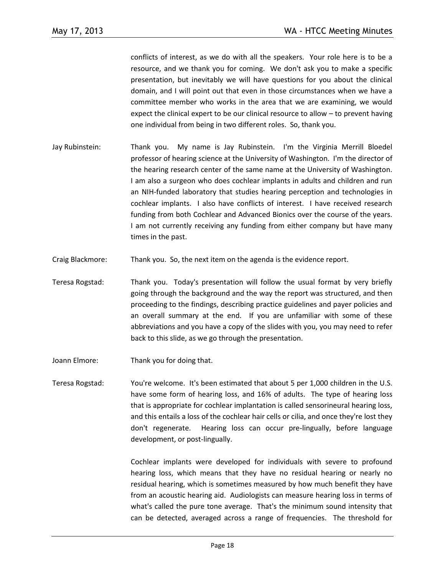conflicts of interest, as we do with all the speakers. Your role here is to be a resource, and we thank you for coming. We don't ask you to make a specific presentation, but inevitably we will have questions for you about the clinical domain, and I will point out that even in those circumstances when we have a committee member who works in the area that we are examining, we would expect the clinical expert to be our clinical resource to allow – to prevent having one individual from being in two different roles. So, thank you.

- Jay Rubinstein: Thank you. My name is Jay Rubinstein. I'm the Virginia Merrill Bloedel professor of hearing science at the University of Washington. I'm the director of the hearing research center of the same name at the University of Washington. I am also a surgeon who does cochlear implants in adults and children and run an NIH-funded laboratory that studies hearing perception and technologies in cochlear implants. I also have conflicts of interest. I have received research funding from both Cochlear and Advanced Bionics over the course of the years. I am not currently receiving any funding from either company but have many times in the past.
- Craig Blackmore: Thank you. So, the next item on the agenda is the evidence report.
- Teresa Rogstad: Thank you. Today's presentation will follow the usual format by very briefly going through the background and the way the report was structured, and then proceeding to the findings, describing practice guidelines and payer policies and an overall summary at the end. If you are unfamiliar with some of these abbreviations and you have a copy of the slides with you, you may need to refer back to this slide, as we go through the presentation.
- Joann Elmore: Thank you for doing that.
- Teresa Rogstad: You're welcome. It's been estimated that about 5 per 1,000 children in the U.S. have some form of hearing loss, and 16% of adults. The type of hearing loss that is appropriate for cochlear implantation is called sensorineural hearing loss, and this entails a loss of the cochlear hair cells or cilia, and once they're lost they don't regenerate. Hearing loss can occur pre-lingually, before language development, or post-lingually.

Cochlear implants were developed for individuals with severe to profound hearing loss, which means that they have no residual hearing or nearly no residual hearing, which is sometimes measured by how much benefit they have from an acoustic hearing aid. Audiologists can measure hearing loss in terms of what's called the pure tone average. That's the minimum sound intensity that can be detected, averaged across a range of frequencies. The threshold for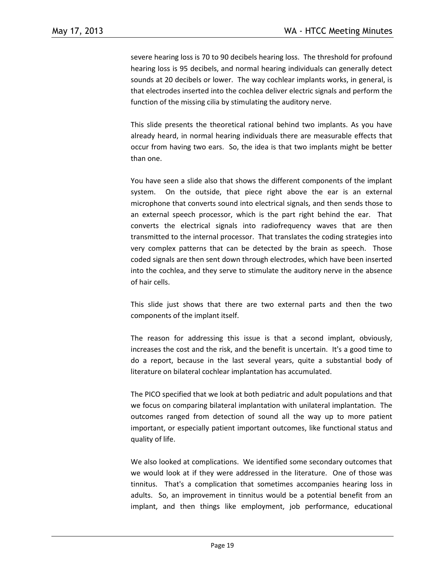severe hearing loss is 70 to 90 decibels hearing loss. The threshold for profound hearing loss is 95 decibels, and normal hearing individuals can generally detect sounds at 20 decibels or lower. The way cochlear implants works, in general, is that electrodes inserted into the cochlea deliver electric signals and perform the function of the missing cilia by stimulating the auditory nerve.

This slide presents the theoretical rational behind two implants. As you have already heard, in normal hearing individuals there are measurable effects that occur from having two ears. So, the idea is that two implants might be better than one.

You have seen a slide also that shows the different components of the implant system. On the outside, that piece right above the ear is an external microphone that converts sound into electrical signals, and then sends those to an external speech processor, which is the part right behind the ear. That converts the electrical signals into radiofrequency waves that are then transmitted to the internal processor. That translates the coding strategies into very complex patterns that can be detected by the brain as speech. Those coded signals are then sent down through electrodes, which have been inserted into the cochlea, and they serve to stimulate the auditory nerve in the absence of hair cells.

This slide just shows that there are two external parts and then the two components of the implant itself.

The reason for addressing this issue is that a second implant, obviously, increases the cost and the risk, and the benefit is uncertain. It's a good time to do a report, because in the last several years, quite a substantial body of literature on bilateral cochlear implantation has accumulated.

The PICO specified that we look at both pediatric and adult populations and that we focus on comparing bilateral implantation with unilateral implantation. The outcomes ranged from detection of sound all the way up to more patient important, or especially patient important outcomes, like functional status and quality of life.

We also looked at complications. We identified some secondary outcomes that we would look at if they were addressed in the literature. One of those was tinnitus. That's a complication that sometimes accompanies hearing loss in adults. So, an improvement in tinnitus would be a potential benefit from an implant, and then things like employment, job performance, educational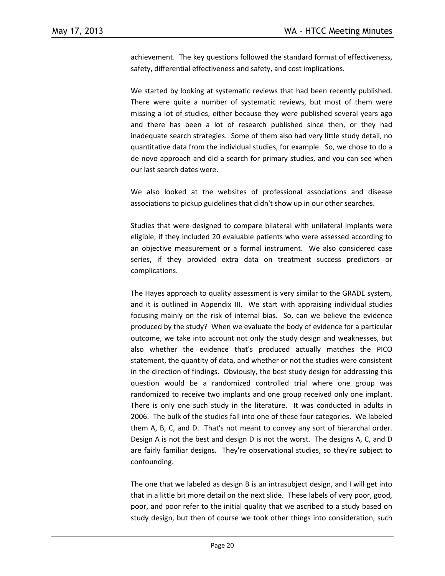achievement. The key questions followed the standard format of effectiveness, safety, differential effectiveness and safety, and cost implications.

We started by looking at systematic reviews that had been recently published. There were quite a number of systematic reviews, but most of them were missing a lot of studies, either because they were published several years ago and there has been a lot of research published since then, or they had inadequate search strategies. Some of them also had very little study detail, no quantitative data from the individual studies, for example. So, we chose to do a de novo approach and did a search for primary studies, and you can see when our last search dates were.

We also looked at the websites of professional associations and disease associations to pickup guidelines that didn't show up in our other searches.

Studies that were designed to compare bilateral with unilateral implants were eligible, if they included 20 evaluable patients who were assessed according to an objective measurement or a formal instrument. We also considered case series, if they provided extra data on treatment success predictors or complications.

The Hayes approach to quality assessment is very similar to the GRADE system, and it is outlined in Appendix III. We start with appraising individual studies focusing mainly on the risk of internal bias. So, can we believe the evidence produced by the study? When we evaluate the body of evidence for a particular outcome, we take into account not only the study design and weaknesses, but also whether the evidence that's produced actually matches the PICO statement, the quantity of data, and whether or not the studies were consistent in the direction of findings. Obviously, the best study design for addressing this question would be a randomized controlled trial where one group was randomized to receive two implants and one group received only one implant. There is only one such study in the literature. It was conducted in adults in 2006. The bulk of the studies fall into one of these four categories. We labeled them A, B, C, and D. That's not meant to convey any sort of hierarchal order. Design A is not the best and design D is not the worst. The designs A, C, and D are fairly familiar designs. They're observational studies, so they're subject to confounding.

The one that we labeled as design B is an intrasubject design, and I will get into that in a little bit more detail on the next slide. These labels of very poor, good, poor, and poor refer to the initial quality that we ascribed to a study based on study design, but then of course we took other things into consideration, such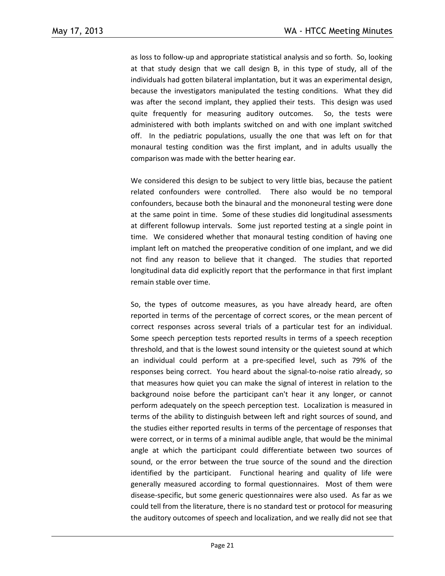as loss to follow-up and appropriate statistical analysis and so forth. So, looking at that study design that we call design B, in this type of study, all of the individuals had gotten bilateral implantation, but it was an experimental design, because the investigators manipulated the testing conditions. What they did was after the second implant, they applied their tests. This design was used quite frequently for measuring auditory outcomes. So, the tests were administered with both implants switched on and with one implant switched off. In the pediatric populations, usually the one that was left on for that monaural testing condition was the first implant, and in adults usually the comparison was made with the better hearing ear.

We considered this design to be subject to very little bias, because the patient related confounders were controlled. There also would be no temporal confounders, because both the binaural and the mononeural testing were done at the same point in time. Some of these studies did longitudinal assessments at different followup intervals. Some just reported testing at a single point in time. We considered whether that monaural testing condition of having one implant left on matched the preoperative condition of one implant, and we did not find any reason to believe that it changed. The studies that reported longitudinal data did explicitly report that the performance in that first implant remain stable over time.

So, the types of outcome measures, as you have already heard, are often reported in terms of the percentage of correct scores, or the mean percent of correct responses across several trials of a particular test for an individual. Some speech perception tests reported results in terms of a speech reception threshold, and that is the lowest sound intensity or the quietest sound at which an individual could perform at a pre-specified level, such as 79% of the responses being correct. You heard about the signal-to-noise ratio already, so that measures how quiet you can make the signal of interest in relation to the background noise before the participant can't hear it any longer, or cannot perform adequately on the speech perception test. Localization is measured in terms of the ability to distinguish between left and right sources of sound, and the studies either reported results in terms of the percentage of responses that were correct, or in terms of a minimal audible angle, that would be the minimal angle at which the participant could differentiate between two sources of sound, or the error between the true source of the sound and the direction identified by the participant. Functional hearing and quality of life were generally measured according to formal questionnaires. Most of them were disease-specific, but some generic questionnaires were also used. As far as we could tell from the literature, there is no standard test or protocol for measuring the auditory outcomes of speech and localization, and we really did not see that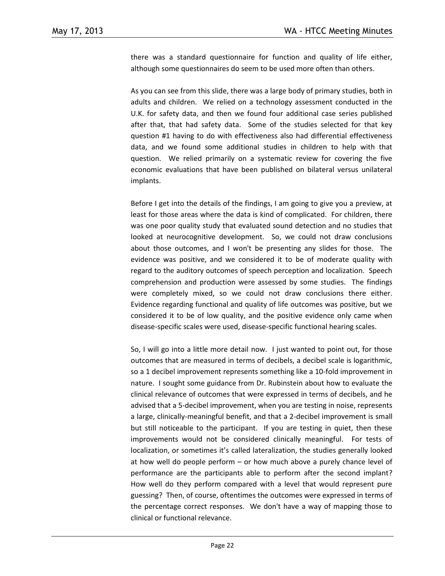there was a standard questionnaire for function and quality of life either, although some questionnaires do seem to be used more often than others.

As you can see from this slide, there was a large body of primary studies, both in adults and children. We relied on a technology assessment conducted in the U.K. for safety data, and then we found four additional case series published after that, that had safety data. Some of the studies selected for that key question #1 having to do with effectiveness also had differential effectiveness data, and we found some additional studies in children to help with that question. We relied primarily on a systematic review for covering the five economic evaluations that have been published on bilateral versus unilateral implants.

Before I get into the details of the findings, I am going to give you a preview, at least for those areas where the data is kind of complicated. For children, there was one poor quality study that evaluated sound detection and no studies that looked at neurocognitive development. So, we could not draw conclusions about those outcomes, and I won't be presenting any slides for those. The evidence was positive, and we considered it to be of moderate quality with regard to the auditory outcomes of speech perception and localization. Speech comprehension and production were assessed by some studies. The findings were completely mixed, so we could not draw conclusions there either. Evidence regarding functional and quality of life outcomes was positive, but we considered it to be of low quality, and the positive evidence only came when disease-specific scales were used, disease-specific functional hearing scales.

So, I will go into a little more detail now. I just wanted to point out, for those outcomes that are measured in terms of decibels, a decibel scale is logarithmic, so a 1 decibel improvement represents something like a 10-fold improvement in nature. I sought some guidance from Dr. Rubinstein about how to evaluate the clinical relevance of outcomes that were expressed in terms of decibels, and he advised that a 5-decibel improvement, when you are testing in noise, represents a large, clinically-meaningful benefit, and that a 2-decibel improvement is small but still noticeable to the participant. If you are testing in quiet, then these improvements would not be considered clinically meaningful. For tests of localization, or sometimes it's called lateralization, the studies generally looked at how well do people perform – or how much above a purely chance level of performance are the participants able to perform after the second implant? How well do they perform compared with a level that would represent pure guessing? Then, of course, oftentimes the outcomes were expressed in terms of the percentage correct responses. We don't have a way of mapping those to clinical or functional relevance.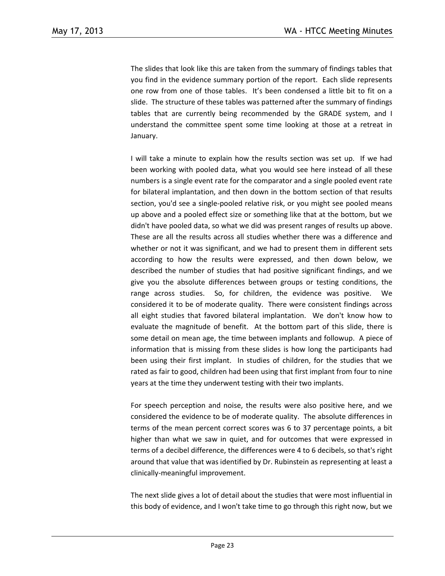The slides that look like this are taken from the summary of findings tables that you find in the evidence summary portion of the report. Each slide represents one row from one of those tables. It's been condensed a little bit to fit on a slide. The structure of these tables was patterned after the summary of findings tables that are currently being recommended by the GRADE system, and I understand the committee spent some time looking at those at a retreat in January.

I will take a minute to explain how the results section was set up. If we had been working with pooled data, what you would see here instead of all these numbers is a single event rate for the comparator and a single pooled event rate for bilateral implantation, and then down in the bottom section of that results section, you'd see a single-pooled relative risk, or you might see pooled means up above and a pooled effect size or something like that at the bottom, but we didn't have pooled data, so what we did was present ranges of results up above. These are all the results across all studies whether there was a difference and whether or not it was significant, and we had to present them in different sets according to how the results were expressed, and then down below, we described the number of studies that had positive significant findings, and we give you the absolute differences between groups or testing conditions, the range across studies. So, for children, the evidence was positive. We considered it to be of moderate quality. There were consistent findings across all eight studies that favored bilateral implantation. We don't know how to evaluate the magnitude of benefit. At the bottom part of this slide, there is some detail on mean age, the time between implants and followup. A piece of information that is missing from these slides is how long the participants had been using their first implant. In studies of children, for the studies that we rated as fair to good, children had been using that first implant from four to nine years at the time they underwent testing with their two implants.

For speech perception and noise, the results were also positive here, and we considered the evidence to be of moderate quality. The absolute differences in terms of the mean percent correct scores was 6 to 37 percentage points, a bit higher than what we saw in quiet, and for outcomes that were expressed in terms of a decibel difference, the differences were 4 to 6 decibels, so that's right around that value that was identified by Dr. Rubinstein as representing at least a clinically-meaningful improvement.

The next slide gives a lot of detail about the studies that were most influential in this body of evidence, and I won't take time to go through this right now, but we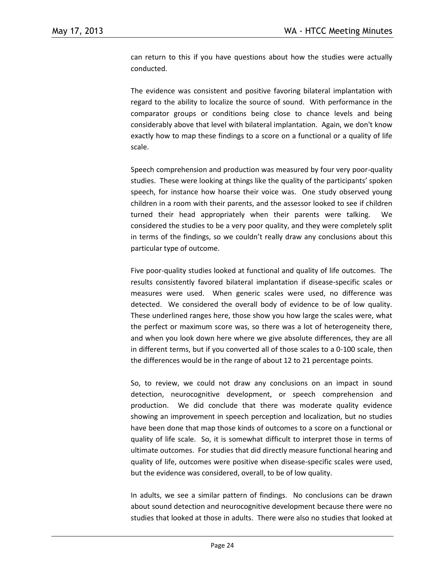can return to this if you have questions about how the studies were actually conducted.

The evidence was consistent and positive favoring bilateral implantation with regard to the ability to localize the source of sound. With performance in the comparator groups or conditions being close to chance levels and being considerably above that level with bilateral implantation. Again, we don't know exactly how to map these findings to a score on a functional or a quality of life scale.

Speech comprehension and production was measured by four very poor-quality studies. These were looking at things like the quality of the participants' spoken speech, for instance how hoarse their voice was. One study observed young children in a room with their parents, and the assessor looked to see if children turned their head appropriately when their parents were talking. We considered the studies to be a very poor quality, and they were completely split in terms of the findings, so we couldn't really draw any conclusions about this particular type of outcome.

Five poor-quality studies looked at functional and quality of life outcomes. The results consistently favored bilateral implantation if disease-specific scales or measures were used. When generic scales were used, no difference was detected. We considered the overall body of evidence to be of low quality. These underlined ranges here, those show you how large the scales were, what the perfect or maximum score was, so there was a lot of heterogeneity there, and when you look down here where we give absolute differences, they are all in different terms, but if you converted all of those scales to a 0-100 scale, then the differences would be in the range of about 12 to 21 percentage points.

So, to review, we could not draw any conclusions on an impact in sound detection, neurocognitive development, or speech comprehension and production. We did conclude that there was moderate quality evidence showing an improvement in speech perception and localization, but no studies have been done that map those kinds of outcomes to a score on a functional or quality of life scale. So, it is somewhat difficult to interpret those in terms of ultimate outcomes. For studies that did directly measure functional hearing and quality of life, outcomes were positive when disease-specific scales were used, but the evidence was considered, overall, to be of low quality.

In adults, we see a similar pattern of findings. No conclusions can be drawn about sound detection and neurocognitive development because there were no studies that looked at those in adults. There were also no studies that looked at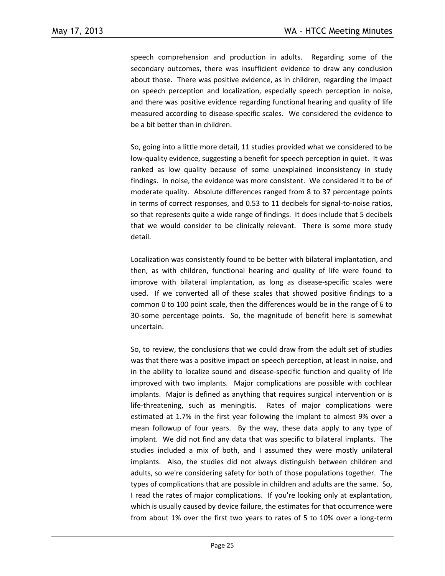speech comprehension and production in adults. Regarding some of the secondary outcomes, there was insufficient evidence to draw any conclusion about those. There was positive evidence, as in children, regarding the impact on speech perception and localization, especially speech perception in noise, and there was positive evidence regarding functional hearing and quality of life measured according to disease-specific scales. We considered the evidence to be a bit better than in children.

So, going into a little more detail, 11 studies provided what we considered to be low-quality evidence, suggesting a benefit for speech perception in quiet. It was ranked as low quality because of some unexplained inconsistency in study findings. In noise, the evidence was more consistent. We considered it to be of moderate quality. Absolute differences ranged from 8 to 37 percentage points in terms of correct responses, and 0.53 to 11 decibels for signal-to-noise ratios, so that represents quite a wide range of findings. It does include that 5 decibels that we would consider to be clinically relevant. There is some more study detail.

Localization was consistently found to be better with bilateral implantation, and then, as with children, functional hearing and quality of life were found to improve with bilateral implantation, as long as disease-specific scales were used. If we converted all of these scales that showed positive findings to a common 0 to 100 point scale, then the differences would be in the range of 6 to 30-some percentage points. So, the magnitude of benefit here is somewhat uncertain.

So, to review, the conclusions that we could draw from the adult set of studies was that there was a positive impact on speech perception, at least in noise, and in the ability to localize sound and disease-specific function and quality of life improved with two implants. Major complications are possible with cochlear implants. Major is defined as anything that requires surgical intervention or is life-threatening, such as meningitis. Rates of major complications were estimated at 1.7% in the first year following the implant to almost 9% over a mean followup of four years. By the way, these data apply to any type of implant. We did not find any data that was specific to bilateral implants. The studies included a mix of both, and I assumed they were mostly unilateral implants. Also, the studies did not always distinguish between children and adults, so we're considering safety for both of those populations together. The types of complications that are possible in children and adults are the same. So, I read the rates of major complications. If you're looking only at explantation, which is usually caused by device failure, the estimates for that occurrence were from about 1% over the first two years to rates of 5 to 10% over a long-term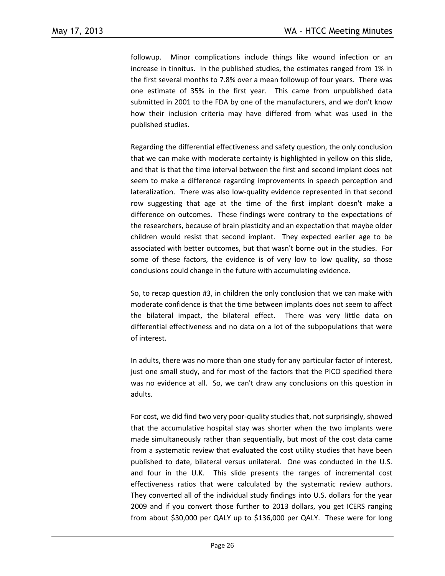followup. Minor complications include things like wound infection or an increase in tinnitus. In the published studies, the estimates ranged from 1% in the first several months to 7.8% over a mean followup of four years. There was one estimate of 35% in the first year. This came from unpublished data submitted in 2001 to the FDA by one of the manufacturers, and we don't know how their inclusion criteria may have differed from what was used in the published studies.

Regarding the differential effectiveness and safety question, the only conclusion that we can make with moderate certainty is highlighted in yellow on this slide, and that is that the time interval between the first and second implant does not seem to make a difference regarding improvements in speech perception and lateralization. There was also low-quality evidence represented in that second row suggesting that age at the time of the first implant doesn't make a difference on outcomes. These findings were contrary to the expectations of the researchers, because of brain plasticity and an expectation that maybe older children would resist that second implant. They expected earlier age to be associated with better outcomes, but that wasn't borne out in the studies. For some of these factors, the evidence is of very low to low quality, so those conclusions could change in the future with accumulating evidence.

So, to recap question #3, in children the only conclusion that we can make with moderate confidence is that the time between implants does not seem to affect the bilateral impact, the bilateral effect. There was very little data on differential effectiveness and no data on a lot of the subpopulations that were of interest.

In adults, there was no more than one study for any particular factor of interest, just one small study, and for most of the factors that the PICO specified there was no evidence at all. So, we can't draw any conclusions on this question in adults.

For cost, we did find two very poor-quality studies that, not surprisingly, showed that the accumulative hospital stay was shorter when the two implants were made simultaneously rather than sequentially, but most of the cost data came from a systematic review that evaluated the cost utility studies that have been published to date, bilateral versus unilateral. One was conducted in the U.S. and four in the U.K. This slide presents the ranges of incremental cost effectiveness ratios that were calculated by the systematic review authors. They converted all of the individual study findings into U.S. dollars for the year 2009 and if you convert those further to 2013 dollars, you get ICERS ranging from about \$30,000 per QALY up to \$136,000 per QALY. These were for long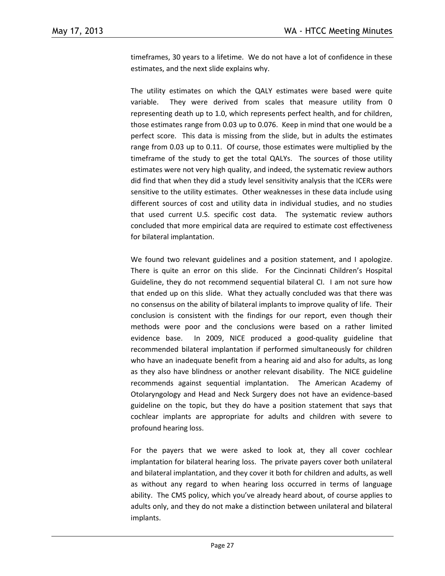timeframes, 30 years to a lifetime. We do not have a lot of confidence in these estimates, and the next slide explains why.

The utility estimates on which the QALY estimates were based were quite variable. They were derived from scales that measure utility from 0 representing death up to 1.0, which represents perfect health, and for children, those estimates range from 0.03 up to 0.076. Keep in mind that one would be a perfect score. This data is missing from the slide, but in adults the estimates range from 0.03 up to 0.11. Of course, those estimates were multiplied by the timeframe of the study to get the total QALYs. The sources of those utility estimates were not very high quality, and indeed, the systematic review authors did find that when they did a study level sensitivity analysis that the ICERs were sensitive to the utility estimates. Other weaknesses in these data include using different sources of cost and utility data in individual studies, and no studies that used current U.S. specific cost data. The systematic review authors concluded that more empirical data are required to estimate cost effectiveness for bilateral implantation.

We found two relevant guidelines and a position statement, and I apologize. There is quite an error on this slide. For the Cincinnati Children's Hospital Guideline, they do not recommend sequential bilateral CI. I am not sure how that ended up on this slide. What they actually concluded was that there was no consensus on the ability of bilateral implants to improve quality of life. Their conclusion is consistent with the findings for our report, even though their methods were poor and the conclusions were based on a rather limited evidence base. In 2009, NICE produced a good-quality guideline that recommended bilateral implantation if performed simultaneously for children who have an inadequate benefit from a hearing aid and also for adults, as long as they also have blindness or another relevant disability. The NICE guideline recommends against sequential implantation. The American Academy of Otolaryngology and Head and Neck Surgery does not have an evidence-based guideline on the topic, but they do have a position statement that says that cochlear implants are appropriate for adults and children with severe to profound hearing loss.

For the payers that we were asked to look at, they all cover cochlear implantation for bilateral hearing loss. The private payers cover both unilateral and bilateral implantation, and they cover it both for children and adults, as well as without any regard to when hearing loss occurred in terms of language ability. The CMS policy, which you've already heard about, of course applies to adults only, and they do not make a distinction between unilateral and bilateral implants.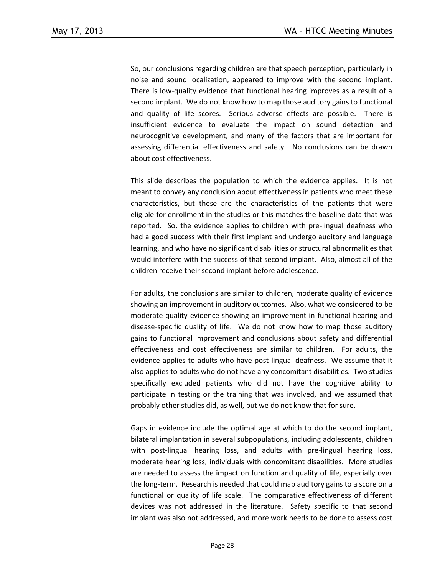So, our conclusions regarding children are that speech perception, particularly in noise and sound localization, appeared to improve with the second implant. There is low-quality evidence that functional hearing improves as a result of a second implant. We do not know how to map those auditory gains to functional and quality of life scores. Serious adverse effects are possible. There is insufficient evidence to evaluate the impact on sound detection and neurocognitive development, and many of the factors that are important for assessing differential effectiveness and safety. No conclusions can be drawn about cost effectiveness.

This slide describes the population to which the evidence applies. It is not meant to convey any conclusion about effectiveness in patients who meet these characteristics, but these are the characteristics of the patients that were eligible for enrollment in the studies or this matches the baseline data that was reported. So, the evidence applies to children with pre-lingual deafness who had a good success with their first implant and undergo auditory and language learning, and who have no significant disabilities or structural abnormalities that would interfere with the success of that second implant. Also, almost all of the children receive their second implant before adolescence.

For adults, the conclusions are similar to children, moderate quality of evidence showing an improvement in auditory outcomes. Also, what we considered to be moderate-quality evidence showing an improvement in functional hearing and disease-specific quality of life. We do not know how to map those auditory gains to functional improvement and conclusions about safety and differential effectiveness and cost effectiveness are similar to children. For adults, the evidence applies to adults who have post-lingual deafness. We assume that it also applies to adults who do not have any concomitant disabilities. Two studies specifically excluded patients who did not have the cognitive ability to participate in testing or the training that was involved, and we assumed that probably other studies did, as well, but we do not know that for sure.

Gaps in evidence include the optimal age at which to do the second implant, bilateral implantation in several subpopulations, including adolescents, children with post-lingual hearing loss, and adults with pre-lingual hearing loss, moderate hearing loss, individuals with concomitant disabilities. More studies are needed to assess the impact on function and quality of life, especially over the long-term. Research is needed that could map auditory gains to a score on a functional or quality of life scale. The comparative effectiveness of different devices was not addressed in the literature. Safety specific to that second implant was also not addressed, and more work needs to be done to assess cost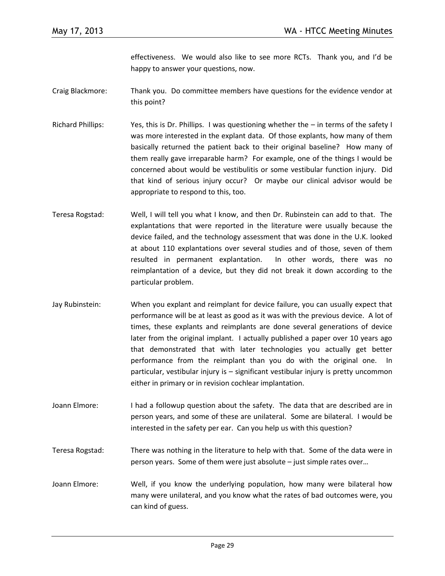effectiveness. We would also like to see more RCTs. Thank you, and I'd be happy to answer your questions, now.

- Craig Blackmore: Thank you. Do committee members have questions for the evidence vendor at this point?
- Richard Phillips: Yes, this is Dr. Phillips. I was questioning whether the in terms of the safety I was more interested in the explant data. Of those explants, how many of them basically returned the patient back to their original baseline? How many of them really gave irreparable harm? For example, one of the things I would be concerned about would be vestibulitis or some vestibular function injury. Did that kind of serious injury occur? Or maybe our clinical advisor would be appropriate to respond to this, too.
- Teresa Rogstad: Well, I will tell you what I know, and then Dr. Rubinstein can add to that. The explantations that were reported in the literature were usually because the device failed, and the technology assessment that was done in the U.K. looked at about 110 explantations over several studies and of those, seven of them resulted in permanent explantation. In other words, there was no reimplantation of a device, but they did not break it down according to the particular problem.
- Jay Rubinstein: When you explant and reimplant for device failure, you can usually expect that performance will be at least as good as it was with the previous device. A lot of times, these explants and reimplants are done several generations of device later from the original implant. I actually published a paper over 10 years ago that demonstrated that with later technologies you actually get better performance from the reimplant than you do with the original one. In particular, vestibular injury is – significant vestibular injury is pretty uncommon either in primary or in revision cochlear implantation.
- Joann Elmore: I had a followup question about the safety. The data that are described are in person years, and some of these are unilateral. Some are bilateral. I would be interested in the safety per ear. Can you help us with this question?
- Teresa Rogstad: There was nothing in the literature to help with that. Some of the data were in person years. Some of them were just absolute – just simple rates over…
- Joann Elmore: Well, if you know the underlying population, how many were bilateral how many were unilateral, and you know what the rates of bad outcomes were, you can kind of guess.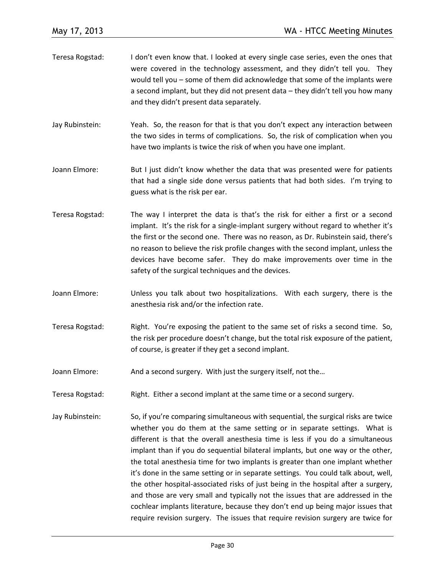- Teresa Rogstad: I don't even know that. I looked at every single case series, even the ones that were covered in the technology assessment, and they didn't tell you. They would tell you – some of them did acknowledge that some of the implants were a second implant, but they did not present data – they didn't tell you how many and they didn't present data separately.
- Jay Rubinstein: Yeah. So, the reason for that is that you don't expect any interaction between the two sides in terms of complications. So, the risk of complication when you have two implants is twice the risk of when you have one implant.
- Joann Elmore: But I just didn't know whether the data that was presented were for patients that had a single side done versus patients that had both sides. I'm trying to guess what is the risk per ear.
- Teresa Rogstad: The way I interpret the data is that's the risk for either a first or a second implant. It's the risk for a single-implant surgery without regard to whether it's the first or the second one. There was no reason, as Dr. Rubinstein said, there's no reason to believe the risk profile changes with the second implant, unless the devices have become safer. They do make improvements over time in the safety of the surgical techniques and the devices.
- Joann Elmore: Unless you talk about two hospitalizations. With each surgery, there is the anesthesia risk and/or the infection rate.
- Teresa Rogstad: Right. You're exposing the patient to the same set of risks a second time. So, the risk per procedure doesn't change, but the total risk exposure of the patient, of course, is greater if they get a second implant.
- Joann Elmore: And a second surgery. With just the surgery itself, not the...
- Teresa Rogstad: Right. Either a second implant at the same time or a second surgery.
- Jay Rubinstein: So, if you're comparing simultaneous with sequential, the surgical risks are twice whether you do them at the same setting or in separate settings. What is different is that the overall anesthesia time is less if you do a simultaneous implant than if you do sequential bilateral implants, but one way or the other, the total anesthesia time for two implants is greater than one implant whether it's done in the same setting or in separate settings. You could talk about, well, the other hospital-associated risks of just being in the hospital after a surgery, and those are very small and typically not the issues that are addressed in the cochlear implants literature, because they don't end up being major issues that require revision surgery. The issues that require revision surgery are twice for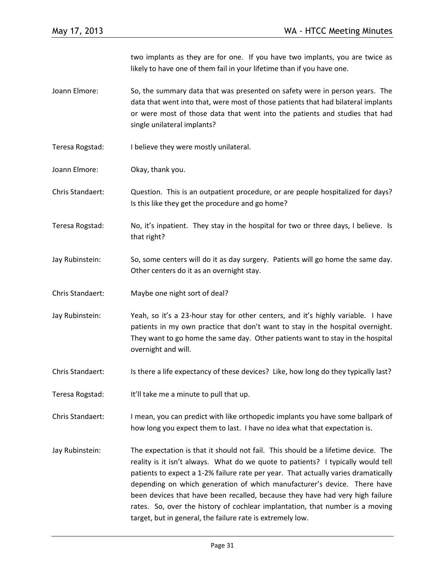two implants as they are for one. If you have two implants, you are twice as likely to have one of them fail in your lifetime than if you have one.

- Joann Elmore: So, the summary data that was presented on safety were in person years. The data that went into that, were most of those patients that had bilateral implants or were most of those data that went into the patients and studies that had single unilateral implants?
- Teresa Rogstad: I believe they were mostly unilateral.
- Joann Elmore: Okay, thank you.

Chris Standaert: Question. This is an outpatient procedure, or are people hospitalized for days? Is this like they get the procedure and go home?

- Teresa Rogstad: No, it's inpatient. They stay in the hospital for two or three days, I believe. Is that right?
- Jay Rubinstein: So, some centers will do it as day surgery. Patients will go home the same day. Other centers do it as an overnight stay.
- Chris Standaert: Maybe one night sort of deal?
- Jay Rubinstein: Yeah, so it's a 23-hour stay for other centers, and it's highly variable. I have patients in my own practice that don't want to stay in the hospital overnight. They want to go home the same day. Other patients want to stay in the hospital overnight and will.
- Chris Standaert: Is there a life expectancy of these devices? Like, how long do they typically last?
- Teresa Rogstad: It'll take me a minute to pull that up.
- Chris Standaert: I mean, you can predict with like orthopedic implants you have some ballpark of how long you expect them to last. I have no idea what that expectation is.
- Jay Rubinstein: The expectation is that it should not fail. This should be a lifetime device. The reality is it isn't always. What do we quote to patients? I typically would tell patients to expect a 1-2% failure rate per year. That actually varies dramatically depending on which generation of which manufacturer's device. There have been devices that have been recalled, because they have had very high failure rates. So, over the history of cochlear implantation, that number is a moving target, but in general, the failure rate is extremely low.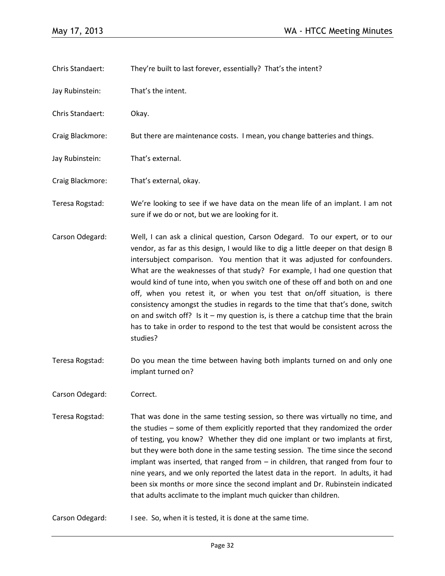- Chris Standaert: They're built to last forever, essentially? That's the intent?
- Jay Rubinstein: That's the intent.
- Chris Standaert: Okay.
- Craig Blackmore: But there are maintenance costs. I mean, you change batteries and things.
- Jay Rubinstein: That's external.
- Craig Blackmore: That's external, okay.
- Teresa Rogstad: We're looking to see if we have data on the mean life of an implant. I am not sure if we do or not, but we are looking for it.
- Carson Odegard: Well, I can ask a clinical question, Carson Odegard. To our expert, or to our vendor, as far as this design, I would like to dig a little deeper on that design B intersubject comparison. You mention that it was adjusted for confounders. What are the weaknesses of that study? For example, I had one question that would kind of tune into, when you switch one of these off and both on and one off, when you retest it, or when you test that on/off situation, is there consistency amongst the studies in regards to the time that that's done, switch on and switch off? Is it  $-$  my question is, is there a catchup time that the brain has to take in order to respond to the test that would be consistent across the studies?
- Teresa Rogstad: Do you mean the time between having both implants turned on and only one implant turned on?
- Carson Odegard: Correct.
- Teresa Rogstad: That was done in the same testing session, so there was virtually no time, and the studies – some of them explicitly reported that they randomized the order of testing, you know? Whether they did one implant or two implants at first, but they were both done in the same testing session. The time since the second implant was inserted, that ranged from – in children, that ranged from four to nine years, and we only reported the latest data in the report. In adults, it had been six months or more since the second implant and Dr. Rubinstein indicated that adults acclimate to the implant much quicker than children.
- Carson Odegard: I see. So, when it is tested, it is done at the same time.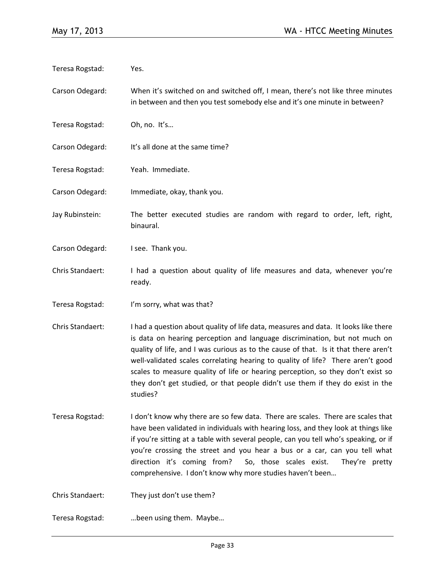| Carson Odegard:<br>in between and then you test somebody else and it's one minute in between?<br>Teresa Rogstad:<br>Oh, no. It's<br>It's all done at the same time?<br>Carson Odegard:<br>Teresa Rogstad:<br>Yeah. Immediate.<br>Carson Odegard:<br>Immediate, okay, thank you.<br>Jay Rubinstein:<br>binaural.<br>Carson Odegard:<br>I see. Thank you.<br>Chris Standaert:<br>ready.<br>Teresa Rogstad:<br>I'm sorry, what was that?<br>Chris Standaert:<br>studies?<br>Teresa Rogstad:<br>direction it's coming from?<br>So, those scales exist.<br>comprehensive. I don't know why more studies haven't been<br>Chris Standaert:<br>They just don't use them?<br>Teresa Rogstad:<br>been using them. Maybe | Teresa Rogstad: | Yes.                                                                                                                                                                                                                                                                                                                                                                                                                                                                                                             |
|---------------------------------------------------------------------------------------------------------------------------------------------------------------------------------------------------------------------------------------------------------------------------------------------------------------------------------------------------------------------------------------------------------------------------------------------------------------------------------------------------------------------------------------------------------------------------------------------------------------------------------------------------------------------------------------------------------------|-----------------|------------------------------------------------------------------------------------------------------------------------------------------------------------------------------------------------------------------------------------------------------------------------------------------------------------------------------------------------------------------------------------------------------------------------------------------------------------------------------------------------------------------|
|                                                                                                                                                                                                                                                                                                                                                                                                                                                                                                                                                                                                                                                                                                               |                 | When it's switched on and switched off, I mean, there's not like three minutes                                                                                                                                                                                                                                                                                                                                                                                                                                   |
|                                                                                                                                                                                                                                                                                                                                                                                                                                                                                                                                                                                                                                                                                                               |                 |                                                                                                                                                                                                                                                                                                                                                                                                                                                                                                                  |
|                                                                                                                                                                                                                                                                                                                                                                                                                                                                                                                                                                                                                                                                                                               |                 |                                                                                                                                                                                                                                                                                                                                                                                                                                                                                                                  |
|                                                                                                                                                                                                                                                                                                                                                                                                                                                                                                                                                                                                                                                                                                               |                 |                                                                                                                                                                                                                                                                                                                                                                                                                                                                                                                  |
|                                                                                                                                                                                                                                                                                                                                                                                                                                                                                                                                                                                                                                                                                                               |                 |                                                                                                                                                                                                                                                                                                                                                                                                                                                                                                                  |
|                                                                                                                                                                                                                                                                                                                                                                                                                                                                                                                                                                                                                                                                                                               |                 | The better executed studies are random with regard to order, left, right,                                                                                                                                                                                                                                                                                                                                                                                                                                        |
|                                                                                                                                                                                                                                                                                                                                                                                                                                                                                                                                                                                                                                                                                                               |                 |                                                                                                                                                                                                                                                                                                                                                                                                                                                                                                                  |
|                                                                                                                                                                                                                                                                                                                                                                                                                                                                                                                                                                                                                                                                                                               |                 | I had a question about quality of life measures and data, whenever you're                                                                                                                                                                                                                                                                                                                                                                                                                                        |
|                                                                                                                                                                                                                                                                                                                                                                                                                                                                                                                                                                                                                                                                                                               |                 |                                                                                                                                                                                                                                                                                                                                                                                                                                                                                                                  |
|                                                                                                                                                                                                                                                                                                                                                                                                                                                                                                                                                                                                                                                                                                               |                 | I had a question about quality of life data, measures and data. It looks like there<br>is data on hearing perception and language discrimination, but not much on<br>quality of life, and I was curious as to the cause of that. Is it that there aren't<br>well-validated scales correlating hearing to quality of life? There aren't good<br>scales to measure quality of life or hearing perception, so they don't exist so<br>they don't get studied, or that people didn't use them if they do exist in the |
|                                                                                                                                                                                                                                                                                                                                                                                                                                                                                                                                                                                                                                                                                                               |                 | I don't know why there are so few data. There are scales. There are scales that<br>have been validated in individuals with hearing loss, and they look at things like<br>if you're sitting at a table with several people, can you tell who's speaking, or if<br>you're crossing the street and you hear a bus or a car, can you tell what<br>They're pretty                                                                                                                                                     |
|                                                                                                                                                                                                                                                                                                                                                                                                                                                                                                                                                                                                                                                                                                               |                 |                                                                                                                                                                                                                                                                                                                                                                                                                                                                                                                  |
|                                                                                                                                                                                                                                                                                                                                                                                                                                                                                                                                                                                                                                                                                                               |                 |                                                                                                                                                                                                                                                                                                                                                                                                                                                                                                                  |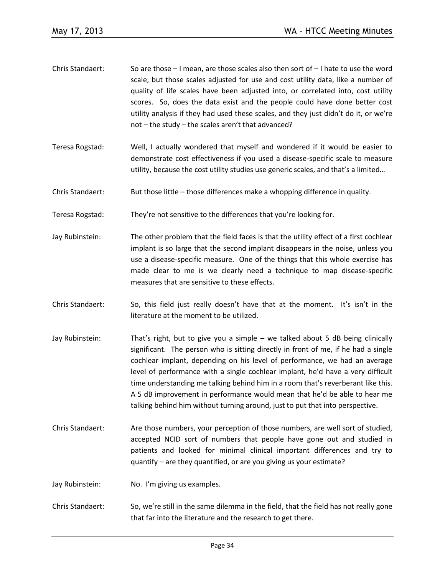- Chris Standaert: So are those I mean, are those scales also then sort of I hate to use the word scale, but those scales adjusted for use and cost utility data, like a number of quality of life scales have been adjusted into, or correlated into, cost utility scores. So, does the data exist and the people could have done better cost utility analysis if they had used these scales, and they just didn't do it, or we're not – the study – the scales aren't that advanced?
- Teresa Rogstad: Well, I actually wondered that myself and wondered if it would be easier to demonstrate cost effectiveness if you used a disease-specific scale to measure utility, because the cost utility studies use generic scales, and that's a limited…
- Chris Standaert: But those little those differences make a whopping difference in quality.
- Teresa Rogstad: They're not sensitive to the differences that you're looking for.
- Jay Rubinstein: The other problem that the field faces is that the utility effect of a first cochlear implant is so large that the second implant disappears in the noise, unless you use a disease-specific measure. One of the things that this whole exercise has made clear to me is we clearly need a technique to map disease-specific measures that are sensitive to these effects.
- Chris Standaert: So, this field just really doesn't have that at the moment. It's isn't in the literature at the moment to be utilized.
- Jay Rubinstein: That's right, but to give you a simple we talked about 5 dB being clinically significant. The person who is sitting directly in front of me, if he had a single cochlear implant, depending on his level of performance, we had an average level of performance with a single cochlear implant, he'd have a very difficult time understanding me talking behind him in a room that's reverberant like this. A 5 dB improvement in performance would mean that he'd be able to hear me talking behind him without turning around, just to put that into perspective.
- Chris Standaert: Are those numbers, your perception of those numbers, are well sort of studied, accepted NCID sort of numbers that people have gone out and studied in patients and looked for minimal clinical important differences and try to quantify – are they quantified, or are you giving us your estimate?
- Jay Rubinstein: No. I'm giving us examples.
- Chris Standaert: So, we're still in the same dilemma in the field, that the field has not really gone that far into the literature and the research to get there.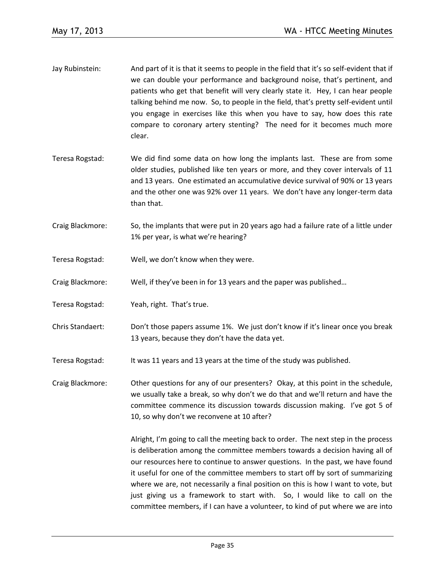- Jay Rubinstein: And part of it is that it seems to people in the field that it's so self-evident that if we can double your performance and background noise, that's pertinent, and patients who get that benefit will very clearly state it. Hey, I can hear people talking behind me now. So, to people in the field, that's pretty self-evident until you engage in exercises like this when you have to say, how does this rate compare to coronary artery stenting? The need for it becomes much more clear.
- Teresa Rogstad: We did find some data on how long the implants last. These are from some older studies, published like ten years or more, and they cover intervals of 11 and 13 years. One estimated an accumulative device survival of 90% or 13 years and the other one was 92% over 11 years. We don't have any longer-term data than that.
- Craig Blackmore: So, the implants that were put in 20 years ago had a failure rate of a little under 1% per year, is what we're hearing?
- Teresa Rogstad: Well, we don't know when they were.
- Craig Blackmore: Well, if they've been in for 13 years and the paper was published…
- Teresa Rogstad: Yeah, right. That's true.
- Chris Standaert: Don't those papers assume 1%. We just don't know if it's linear once you break 13 years, because they don't have the data yet.
- Teresa Rogstad: It was 11 years and 13 years at the time of the study was published.
- Craig Blackmore: Other questions for any of our presenters? Okay, at this point in the schedule, we usually take a break, so why don't we do that and we'll return and have the committee commence its discussion towards discussion making. I've got 5 of 10, so why don't we reconvene at 10 after?

Alright, I'm going to call the meeting back to order. The next step in the process is deliberation among the committee members towards a decision having all of our resources here to continue to answer questions. In the past, we have found it useful for one of the committee members to start off by sort of summarizing where we are, not necessarily a final position on this is how I want to vote, but just giving us a framework to start with. So, I would like to call on the committee members, if I can have a volunteer, to kind of put where we are into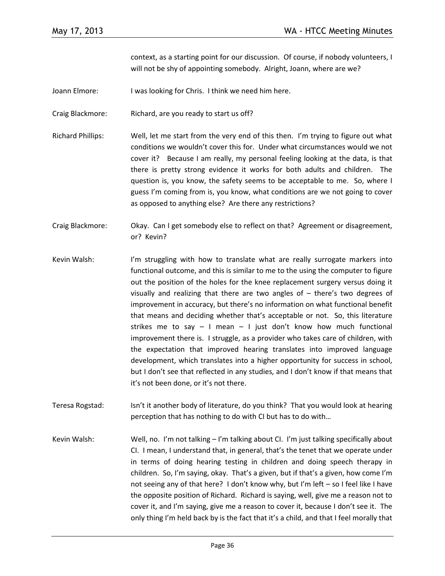context, as a starting point for our discussion. Of course, if nobody volunteers, I will not be shy of appointing somebody. Alright, Joann, where are we?

- Joann Elmore: I was looking for Chris. I think we need him here.
- Craig Blackmore: Richard, are you ready to start us off?
- Richard Phillips: Well, let me start from the very end of this then. I'm trying to figure out what conditions we wouldn't cover this for. Under what circumstances would we not cover it? Because I am really, my personal feeling looking at the data, is that there is pretty strong evidence it works for both adults and children. The question is, you know, the safety seems to be acceptable to me. So, where I guess I'm coming from is, you know, what conditions are we not going to cover as opposed to anything else? Are there any restrictions?
- Craig Blackmore: Okay. Can I get somebody else to reflect on that? Agreement or disagreement, or? Kevin?
- Kevin Walsh: I'm struggling with how to translate what are really surrogate markers into functional outcome, and this is similar to me to the using the computer to figure out the position of the holes for the knee replacement surgery versus doing it visually and realizing that there are two angles of – there's two degrees of improvement in accuracy, but there's no information on what functional benefit that means and deciding whether that's acceptable or not. So, this literature strikes me to say  $-$  I mean  $-$  I just don't know how much functional improvement there is. I struggle, as a provider who takes care of children, with the expectation that improved hearing translates into improved language development, which translates into a higher opportunity for success in school, but I don't see that reflected in any studies, and I don't know if that means that it's not been done, or it's not there.
- Teresa Rogstad: Isn't it another body of literature, do you think? That you would look at hearing perception that has nothing to do with CI but has to do with…
- Kevin Walsh: Well, no. I'm not talking I'm talking about CI. I'm just talking specifically about CI. I mean, I understand that, in general, that's the tenet that we operate under in terms of doing hearing testing in children and doing speech therapy in children. So, I'm saying, okay. That's a given, but if that's a given, how come I'm not seeing any of that here? I don't know why, but I'm left – so I feel like I have the opposite position of Richard. Richard is saying, well, give me a reason not to cover it, and I'm saying, give me a reason to cover it, because I don't see it. The only thing I'm held back by is the fact that it's a child, and that I feel morally that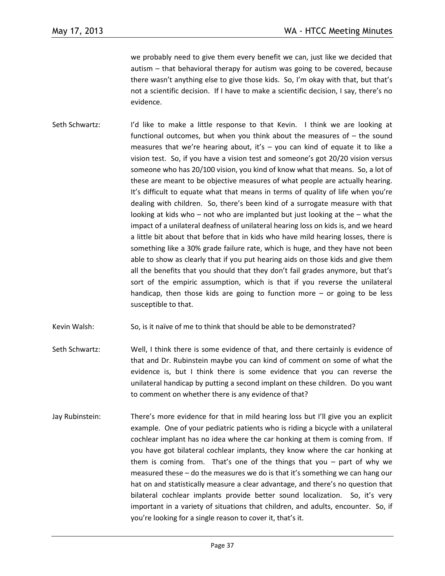we probably need to give them every benefit we can, just like we decided that autism – that behavioral therapy for autism was going to be covered, because there wasn't anything else to give those kids. So, I'm okay with that, but that's not a scientific decision. If I have to make a scientific decision, I say, there's no evidence.

- Seth Schwartz: I'd like to make a little response to that Kevin. I think we are looking at functional outcomes, but when you think about the measures of – the sound measures that we're hearing about, it's  $-$  you can kind of equate it to like a vision test. So, if you have a vision test and someone's got 20/20 vision versus someone who has 20/100 vision, you kind of know what that means. So, a lot of these are meant to be objective measures of what people are actually hearing. It's difficult to equate what that means in terms of quality of life when you're dealing with children. So, there's been kind of a surrogate measure with that looking at kids who – not who are implanted but just looking at the – what the impact of a unilateral deafness of unilateral hearing loss on kids is, and we heard a little bit about that before that in kids who have mild hearing losses, there is something like a 30% grade failure rate, which is huge, and they have not been able to show as clearly that if you put hearing aids on those kids and give them all the benefits that you should that they don't fail grades anymore, but that's sort of the empiric assumption, which is that if you reverse the unilateral handicap, then those kids are going to function more  $-$  or going to be less susceptible to that.
- Kevin Walsh: So, is it naïve of me to think that should be able to be demonstrated?
- Seth Schwartz: Well, I think there is some evidence of that, and there certainly is evidence of that and Dr. Rubinstein maybe you can kind of comment on some of what the evidence is, but I think there is some evidence that you can reverse the unilateral handicap by putting a second implant on these children. Do you want to comment on whether there is any evidence of that?
- Jay Rubinstein: There's more evidence for that in mild hearing loss but I'll give you an explicit example. One of your pediatric patients who is riding a bicycle with a unilateral cochlear implant has no idea where the car honking at them is coming from. If you have got bilateral cochlear implants, they know where the car honking at them is coming from. That's one of the things that you – part of why we measured these – do the measures we do is that it's something we can hang our hat on and statistically measure a clear advantage, and there's no question that bilateral cochlear implants provide better sound localization. So, it's very important in a variety of situations that children, and adults, encounter. So, if you're looking for a single reason to cover it, that's it.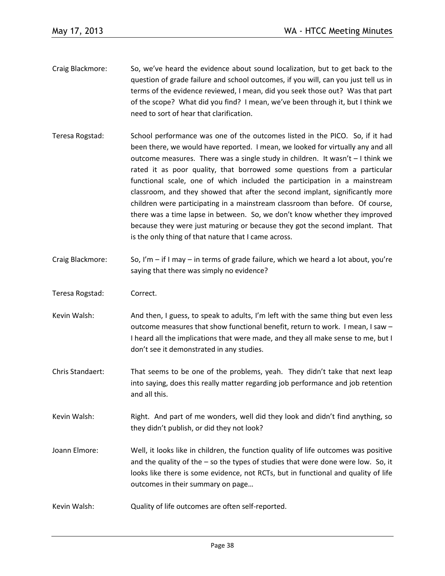- Craig Blackmore: So, we've heard the evidence about sound localization, but to get back to the question of grade failure and school outcomes, if you will, can you just tell us in terms of the evidence reviewed, I mean, did you seek those out? Was that part of the scope? What did you find? I mean, we've been through it, but I think we need to sort of hear that clarification.
- Teresa Rogstad: School performance was one of the outcomes listed in the PICO. So, if it had been there, we would have reported. I mean, we looked for virtually any and all outcome measures. There was a single study in children. It wasn't – I think we rated it as poor quality, that borrowed some questions from a particular functional scale, one of which included the participation in a mainstream classroom, and they showed that after the second implant, significantly more children were participating in a mainstream classroom than before. Of course, there was a time lapse in between. So, we don't know whether they improved because they were just maturing or because they got the second implant. That is the only thing of that nature that I came across.
- Craig Blackmore: So, I'm if I may in terms of grade failure, which we heard a lot about, you're saying that there was simply no evidence?
- Teresa Rogstad: Correct.
- Kevin Walsh: And then, I guess, to speak to adults, I'm left with the same thing but even less outcome measures that show functional benefit, return to work. I mean, I saw – I heard all the implications that were made, and they all make sense to me, but I don't see it demonstrated in any studies.
- Chris Standaert: That seems to be one of the problems, yeah. They didn't take that next leap into saying, does this really matter regarding job performance and job retention and all this.
- Kevin Walsh: Right. And part of me wonders, well did they look and didn't find anything, so they didn't publish, or did they not look?
- Joann Elmore: Well, it looks like in children, the function quality of life outcomes was positive and the quality of the  $-$  so the types of studies that were done were low. So, it looks like there is some evidence, not RCTs, but in functional and quality of life outcomes in their summary on page…
- Kevin Walsh: Quality of life outcomes are often self-reported.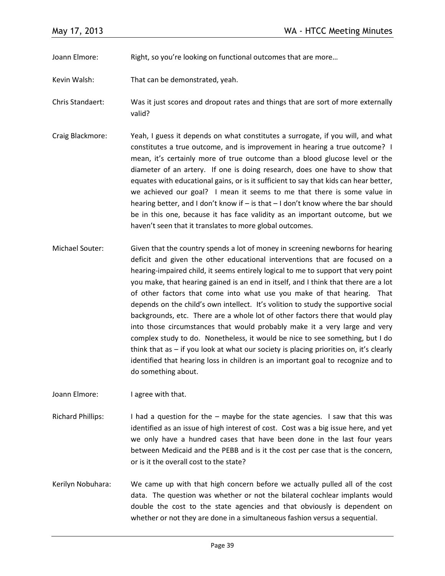Joann Elmore: Right, so you're looking on functional outcomes that are more…

- Kevin Walsh: That can be demonstrated, yeah.
- Chris Standaert: Was it just scores and dropout rates and things that are sort of more externally valid?
- Craig Blackmore: Yeah, I guess it depends on what constitutes a surrogate, if you will, and what constitutes a true outcome, and is improvement in hearing a true outcome? I mean, it's certainly more of true outcome than a blood glucose level or the diameter of an artery. If one is doing research, does one have to show that equates with educational gains, or is it sufficient to say that kids can hear better, we achieved our goal? I mean it seems to me that there is some value in hearing better, and I don't know if – is that – I don't know where the bar should be in this one, because it has face validity as an important outcome, but we haven't seen that it translates to more global outcomes.
- Michael Souter: Given that the country spends a lot of money in screening newborns for hearing deficit and given the other educational interventions that are focused on a hearing-impaired child, it seems entirely logical to me to support that very point you make, that hearing gained is an end in itself, and I think that there are a lot of other factors that come into what use you make of that hearing. That depends on the child's own intellect. It's volition to study the supportive social backgrounds, etc. There are a whole lot of other factors there that would play into those circumstances that would probably make it a very large and very complex study to do. Nonetheless, it would be nice to see something, but I do think that as  $-$  if you look at what our society is placing priorities on, it's clearly identified that hearing loss in children is an important goal to recognize and to do something about.

Joann Elmore: I agree with that.

- Richard Phillips: I had a question for the maybe for the state agencies. I saw that this was identified as an issue of high interest of cost. Cost was a big issue here, and yet we only have a hundred cases that have been done in the last four years between Medicaid and the PEBB and is it the cost per case that is the concern, or is it the overall cost to the state?
- Kerilyn Nobuhara: We came up with that high concern before we actually pulled all of the cost data. The question was whether or not the bilateral cochlear implants would double the cost to the state agencies and that obviously is dependent on whether or not they are done in a simultaneous fashion versus a sequential.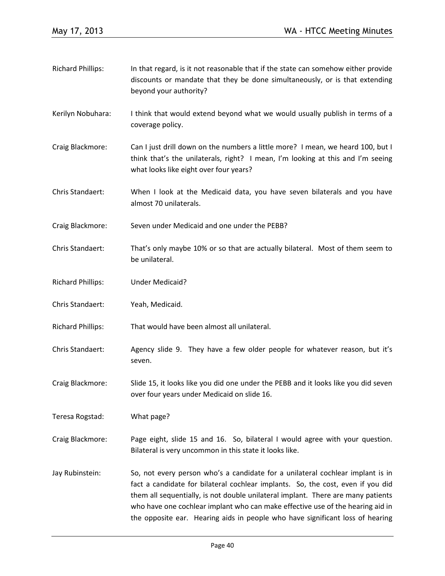Richard Phillips: In that regard, is it not reasonable that if the state can somehow either provide discounts or mandate that they be done simultaneously, or is that extending beyond your authority? Kerilyn Nobuhara: I think that would extend beyond what we would usually publish in terms of a coverage policy. Craig Blackmore: Can I just drill down on the numbers a little more? I mean, we heard 100, but I think that's the unilaterals, right? I mean, I'm looking at this and I'm seeing what looks like eight over four years? Chris Standaert: When I look at the Medicaid data, you have seven bilaterals and you have almost 70 unilaterals. Craig Blackmore: Seven under Medicaid and one under the PEBB? Chris Standaert: That's only maybe 10% or so that are actually bilateral. Most of them seem to be unilateral. Richard Phillips: Under Medicaid? Chris Standaert: Yeah, Medicaid. Richard Phillips: That would have been almost all unilateral. Chris Standaert: Agency slide 9. They have a few older people for whatever reason, but it's seven. Craig Blackmore: Slide 15, it looks like you did one under the PEBB and it looks like you did seven over four years under Medicaid on slide 16. Teresa Rogstad: What page? Craig Blackmore: Page eight, slide 15 and 16. So, bilateral I would agree with your question. Bilateral is very uncommon in this state it looks like. Jay Rubinstein: So, not every person who's a candidate for a unilateral cochlear implant is in fact a candidate for bilateral cochlear implants. So, the cost, even if you did them all sequentially, is not double unilateral implant. There are many patients who have one cochlear implant who can make effective use of the hearing aid in the opposite ear. Hearing aids in people who have significant loss of hearing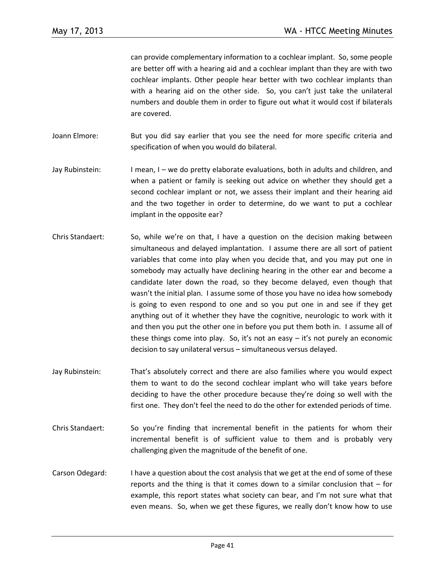can provide complementary information to a cochlear implant. So, some people are better off with a hearing aid and a cochlear implant than they are with two cochlear implants. Other people hear better with two cochlear implants than with a hearing aid on the other side. So, you can't just take the unilateral numbers and double them in order to figure out what it would cost if bilaterals are covered.

- Joann Elmore: But you did say earlier that you see the need for more specific criteria and specification of when you would do bilateral.
- Jay Rubinstein: I mean, I we do pretty elaborate evaluations, both in adults and children, and when a patient or family is seeking out advice on whether they should get a second cochlear implant or not, we assess their implant and their hearing aid and the two together in order to determine, do we want to put a cochlear implant in the opposite ear?
- Chris Standaert: So, while we're on that, I have a question on the decision making between simultaneous and delayed implantation. I assume there are all sort of patient variables that come into play when you decide that, and you may put one in somebody may actually have declining hearing in the other ear and become a candidate later down the road, so they become delayed, even though that wasn't the initial plan. I assume some of those you have no idea how somebody is going to even respond to one and so you put one in and see if they get anything out of it whether they have the cognitive, neurologic to work with it and then you put the other one in before you put them both in. I assume all of these things come into play. So, it's not an easy – it's not purely an economic decision to say unilateral versus – simultaneous versus delayed.
- Jay Rubinstein: That's absolutely correct and there are also families where you would expect them to want to do the second cochlear implant who will take years before deciding to have the other procedure because they're doing so well with the first one. They don't feel the need to do the other for extended periods of time.
- Chris Standaert: So you're finding that incremental benefit in the patients for whom their incremental benefit is of sufficient value to them and is probably very challenging given the magnitude of the benefit of one.
- Carson Odegard: I have a question about the cost analysis that we get at the end of some of these reports and the thing is that it comes down to a similar conclusion that  $-$  for example, this report states what society can bear, and I'm not sure what that even means. So, when we get these figures, we really don't know how to use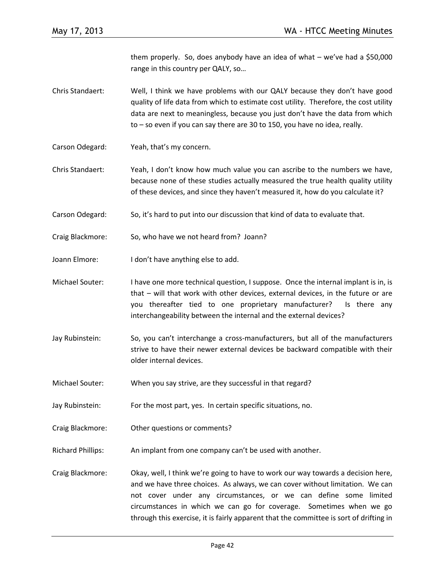them properly. So, does anybody have an idea of what – we've had a \$50,000 range in this country per QALY, so…

- Chris Standaert: Well, I think we have problems with our QALY because they don't have good quality of life data from which to estimate cost utility. Therefore, the cost utility data are next to meaningless, because you just don't have the data from which to – so even if you can say there are 30 to 150, you have no idea, really.
- Carson Odegard: Yeah, that's my concern.
- Chris Standaert: Yeah, I don't know how much value you can ascribe to the numbers we have, because none of these studies actually measured the true health quality utility of these devices, and since they haven't measured it, how do you calculate it?
- Carson Odegard: So, it's hard to put into our discussion that kind of data to evaluate that.
- Craig Blackmore: So, who have we not heard from? Joann?
- Joann Elmore: I don't have anything else to add.
- Michael Souter: I have one more technical question, I suppose. Once the internal implant is in, is that – will that work with other devices, external devices, in the future or are you thereafter tied to one proprietary manufacturer? Is there any interchangeability between the internal and the external devices?
- Jay Rubinstein: So, you can't interchange a cross-manufacturers, but all of the manufacturers strive to have their newer external devices be backward compatible with their older internal devices.
- Michael Souter: When you say strive, are they successful in that regard?
- Jay Rubinstein: For the most part, yes. In certain specific situations, no.
- Craig Blackmore: Other questions or comments?
- Richard Phillips: An implant from one company can't be used with another.
- Craig Blackmore: Okay, well, I think we're going to have to work our way towards a decision here, and we have three choices. As always, we can cover without limitation. We can not cover under any circumstances, or we can define some limited circumstances in which we can go for coverage. Sometimes when we go through this exercise, it is fairly apparent that the committee is sort of drifting in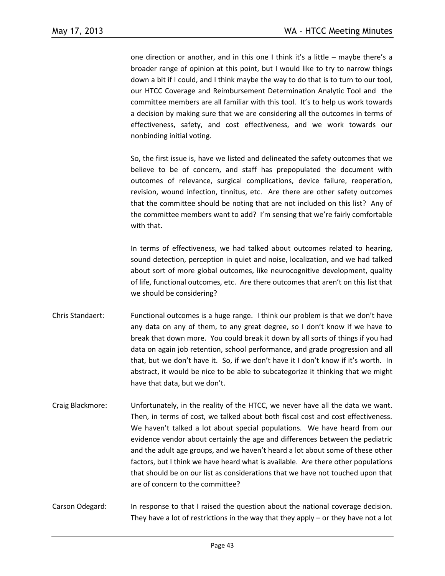one direction or another, and in this one I think it's a little – maybe there's a broader range of opinion at this point, but I would like to try to narrow things down a bit if I could, and I think maybe the way to do that is to turn to our tool, our HTCC Coverage and Reimbursement Determination Analytic Tool and the committee members are all familiar with this tool. It's to help us work towards a decision by making sure that we are considering all the outcomes in terms of effectiveness, safety, and cost effectiveness, and we work towards our nonbinding initial voting.

So, the first issue is, have we listed and delineated the safety outcomes that we believe to be of concern, and staff has prepopulated the document with outcomes of relevance, surgical complications, device failure, reoperation, revision, wound infection, tinnitus, etc. Are there are other safety outcomes that the committee should be noting that are not included on this list? Any of the committee members want to add? I'm sensing that we're fairly comfortable with that.

In terms of effectiveness, we had talked about outcomes related to hearing, sound detection, perception in quiet and noise, localization, and we had talked about sort of more global outcomes, like neurocognitive development, quality of life, functional outcomes, etc. Are there outcomes that aren't on this list that we should be considering?

- Chris Standaert: Functional outcomes is a huge range. I think our problem is that we don't have any data on any of them, to any great degree, so I don't know if we have to break that down more. You could break it down by all sorts of things if you had data on again job retention, school performance, and grade progression and all that, but we don't have it. So, if we don't have it I don't know if it's worth. In abstract, it would be nice to be able to subcategorize it thinking that we might have that data, but we don't.
- Craig Blackmore: Unfortunately, in the reality of the HTCC, we never have all the data we want. Then, in terms of cost, we talked about both fiscal cost and cost effectiveness. We haven't talked a lot about special populations. We have heard from our evidence vendor about certainly the age and differences between the pediatric and the adult age groups, and we haven't heard a lot about some of these other factors, but I think we have heard what is available. Are there other populations that should be on our list as considerations that we have not touched upon that are of concern to the committee?
- Carson Odegard: In response to that I raised the question about the national coverage decision. They have a lot of restrictions in the way that they apply  $-$  or they have not a lot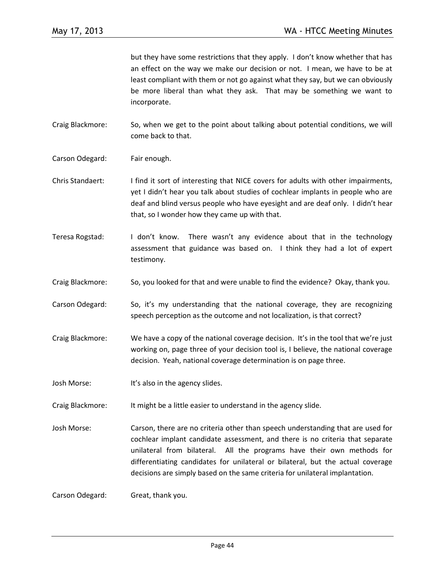but they have some restrictions that they apply. I don't know whether that has an effect on the way we make our decision or not. I mean, we have to be at least compliant with them or not go against what they say, but we can obviously be more liberal than what they ask. That may be something we want to incorporate.

Craig Blackmore: So, when we get to the point about talking about potential conditions, we will come back to that.

- Carson Odegard: Fair enough.
- Chris Standaert: I find it sort of interesting that NICE covers for adults with other impairments, yet I didn't hear you talk about studies of cochlear implants in people who are deaf and blind versus people who have eyesight and are deaf only. I didn't hear that, so I wonder how they came up with that.
- Teresa Rogstad: I don't know. There wasn't any evidence about that in the technology assessment that guidance was based on. I think they had a lot of expert testimony.
- Craig Blackmore: So, you looked for that and were unable to find the evidence? Okay, thank you.
- Carson Odegard: So, it's my understanding that the national coverage, they are recognizing speech perception as the outcome and not localization, is that correct?
- Craig Blackmore: We have a copy of the national coverage decision. It's in the tool that we're just working on, page three of your decision tool is, I believe, the national coverage decision. Yeah, national coverage determination is on page three.
- Josh Morse: It's also in the agency slides.
- Craig Blackmore: It might be a little easier to understand in the agency slide.
- Josh Morse: Carson, there are no criteria other than speech understanding that are used for cochlear implant candidate assessment, and there is no criteria that separate unilateral from bilateral. All the programs have their own methods for differentiating candidates for unilateral or bilateral, but the actual coverage decisions are simply based on the same criteria for unilateral implantation.

Carson Odegard: Great, thank you.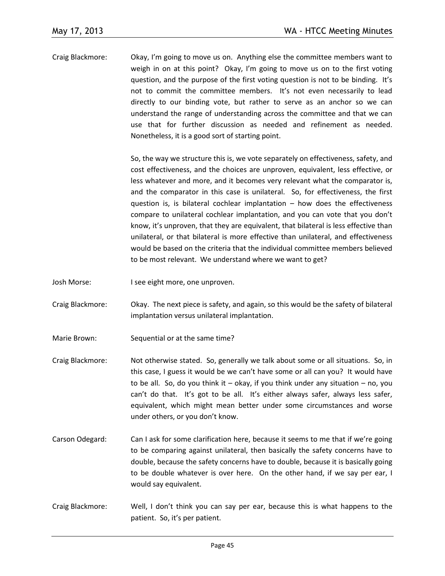Craig Blackmore: Okay, I'm going to move us on. Anything else the committee members want to weigh in on at this point? Okay, I'm going to move us on to the first voting question, and the purpose of the first voting question is not to be binding. It's not to commit the committee members. It's not even necessarily to lead directly to our binding vote, but rather to serve as an anchor so we can understand the range of understanding across the committee and that we can use that for further discussion as needed and refinement as needed. Nonetheless, it is a good sort of starting point.

> So, the way we structure this is, we vote separately on effectiveness, safety, and cost effectiveness, and the choices are unproven, equivalent, less effective, or less whatever and more, and it becomes very relevant what the comparator is, and the comparator in this case is unilateral. So, for effectiveness, the first question is, is bilateral cochlear implantation – how does the effectiveness compare to unilateral cochlear implantation, and you can vote that you don't know, it's unproven, that they are equivalent, that bilateral is less effective than unilateral, or that bilateral is more effective than unilateral, and effectiveness would be based on the criteria that the individual committee members believed to be most relevant. We understand where we want to get?

- Josh Morse: I see eight more, one unproven.
- Craig Blackmore: Okay. The next piece is safety, and again, so this would be the safety of bilateral implantation versus unilateral implantation.
- Marie Brown: Sequential or at the same time?
- Craig Blackmore: Not otherwise stated. So, generally we talk about some or all situations. So, in this case, I guess it would be we can't have some or all can you? It would have to be all. So, do you think it  $-$  okay, if you think under any situation  $-$  no, you can't do that. It's got to be all. It's either always safer, always less safer, equivalent, which might mean better under some circumstances and worse under others, or you don't know.
- Carson Odegard: Can I ask for some clarification here, because it seems to me that if we're going to be comparing against unilateral, then basically the safety concerns have to double, because the safety concerns have to double, because it is basically going to be double whatever is over here. On the other hand, if we say per ear, I would say equivalent.
- Craig Blackmore: Well, I don't think you can say per ear, because this is what happens to the patient. So, it's per patient.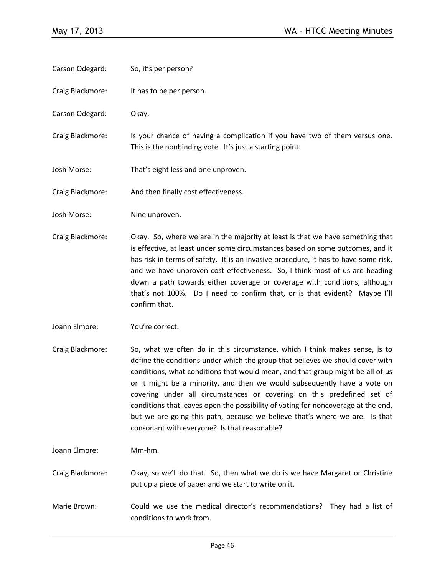- Carson Odegard: So, it's per person?
- Craig Blackmore: It has to be per person.
- Carson Odegard: Okay.
- Craig Blackmore: Is your chance of having a complication if you have two of them versus one. This is the nonbinding vote. It's just a starting point.
- Josh Morse: That's eight less and one unproven.
- Craig Blackmore: And then finally cost effectiveness.
- Josh Morse: Nine unproven.
- Craig Blackmore: Okay. So, where we are in the majority at least is that we have something that is effective, at least under some circumstances based on some outcomes, and it has risk in terms of safety. It is an invasive procedure, it has to have some risk, and we have unproven cost effectiveness. So, I think most of us are heading down a path towards either coverage or coverage with conditions, although that's not 100%. Do I need to confirm that, or is that evident? Maybe I'll confirm that.
- Joann Elmore: You're correct.
- Craig Blackmore: So, what we often do in this circumstance, which I think makes sense, is to define the conditions under which the group that believes we should cover with conditions, what conditions that would mean, and that group might be all of us or it might be a minority, and then we would subsequently have a vote on covering under all circumstances or covering on this predefined set of conditions that leaves open the possibility of voting for noncoverage at the end, but we are going this path, because we believe that's where we are. Is that consonant with everyone? Is that reasonable?
- Joann Elmore: Mm-hm.
- Craig Blackmore: Okay, so we'll do that. So, then what we do is we have Margaret or Christine put up a piece of paper and we start to write on it.
- Marie Brown: Could we use the medical director's recommendations? They had a list of conditions to work from.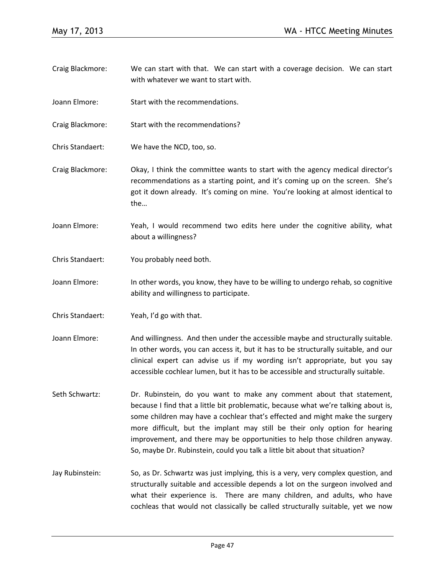- Craig Blackmore: We can start with that. We can start with a coverage decision. We can start with whatever we want to start with.
- Joann Elmore: Start with the recommendations.
- Craig Blackmore: Start with the recommendations?
- Chris Standaert: We have the NCD, too, so.
- Craig Blackmore: Okay, I think the committee wants to start with the agency medical director's recommendations as a starting point, and it's coming up on the screen. She's got it down already. It's coming on mine. You're looking at almost identical to the…
- Joann Elmore: Yeah, I would recommend two edits here under the cognitive ability, what about a willingness?
- Chris Standaert: You probably need both.
- Joann Elmore: In other words, you know, they have to be willing to undergo rehab, so cognitive ability and willingness to participate.
- Chris Standaert: Yeah, I'd go with that.
- Joann Elmore: And willingness. And then under the accessible maybe and structurally suitable. In other words, you can access it, but it has to be structurally suitable, and our clinical expert can advise us if my wording isn't appropriate, but you say accessible cochlear lumen, but it has to be accessible and structurally suitable.
- Seth Schwartz: Dr. Rubinstein, do you want to make any comment about that statement, because I find that a little bit problematic, because what we're talking about is, some children may have a cochlear that's effected and might make the surgery more difficult, but the implant may still be their only option for hearing improvement, and there may be opportunities to help those children anyway. So, maybe Dr. Rubinstein, could you talk a little bit about that situation?
- Jay Rubinstein: So, as Dr. Schwartz was just implying, this is a very, very complex question, and structurally suitable and accessible depends a lot on the surgeon involved and what their experience is. There are many children, and adults, who have cochleas that would not classically be called structurally suitable, yet we now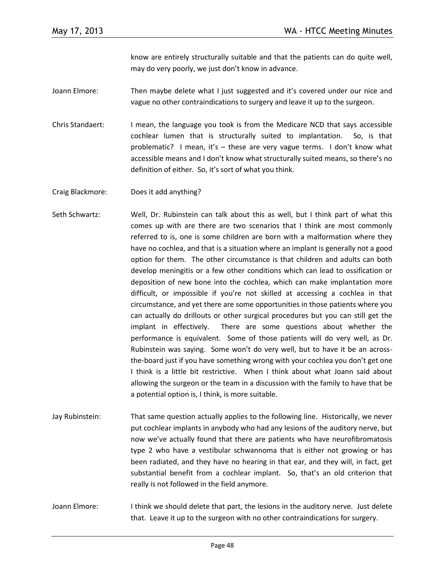know are entirely structurally suitable and that the patients can do quite well, may do very poorly, we just don't know in advance.

- Joann Elmore: Then maybe delete what I just suggested and it's covered under our nice and vague no other contraindications to surgery and leave it up to the surgeon.
- Chris Standaert: I mean, the language you took is from the Medicare NCD that says accessible cochlear lumen that is structurally suited to implantation. So, is that problematic? I mean, it's – these are very vague terms. I don't know what accessible means and I don't know what structurally suited means, so there's no definition of either. So, it's sort of what you think.

Craig Blackmore: Does it add anything?

- Seth Schwartz: Well, Dr. Rubinstein can talk about this as well, but I think part of what this comes up with are there are two scenarios that I think are most commonly referred to is, one is some children are born with a malformation where they have no cochlea, and that is a situation where an implant is generally not a good option for them. The other circumstance is that children and adults can both develop meningitis or a few other conditions which can lead to ossification or deposition of new bone into the cochlea, which can make implantation more difficult, or impossible if you're not skilled at accessing a cochlea in that circumstance, and yet there are some opportunities in those patients where you can actually do drillouts or other surgical procedures but you can still get the implant in effectively. There are some questions about whether the performance is equivalent. Some of those patients will do very well, as Dr. Rubinstein was saying. Some won't do very well, but to have it be an acrossthe-board just if you have something wrong with your cochlea you don't get one I think is a little bit restrictive. When I think about what Joann said about allowing the surgeon or the team in a discussion with the family to have that be a potential option is, I think, is more suitable.
- Jay Rubinstein: That same question actually applies to the following line. Historically, we never put cochlear implants in anybody who had any lesions of the auditory nerve, but now we've actually found that there are patients who have neurofibromatosis type 2 who have a vestibular schwannoma that is either not growing or has been radiated, and they have no hearing in that ear, and they will, in fact, get substantial benefit from a cochlear implant. So, that's an old criterion that really is not followed in the field anymore.
- Joann Elmore: I think we should delete that part, the lesions in the auditory nerve. Just delete that. Leave it up to the surgeon with no other contraindications for surgery.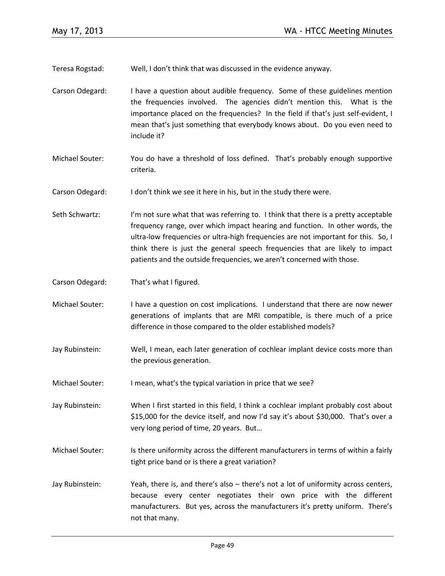Teresa Rogstad: Well, I don't think that was discussed in the evidence anyway.

- Carson Odegard: I have a question about audible frequency. Some of these guidelines mention the frequencies involved. The agencies didn't mention this. What is the importance placed on the frequencies? In the field if that's just self-evident, I mean that's just something that everybody knows about. Do you even need to include it?
- Michael Souter: You do have a threshold of loss defined. That's probably enough supportive criteria.

Carson Odegard: I don't think we see it here in his, but in the study there were.

- Seth Schwartz: I'm not sure what that was referring to. I think that there is a pretty acceptable frequency range, over which impact hearing and function. In other words, the ultra-low frequencies or ultra-high frequencies are not important for this. So, I think there is just the general speech frequencies that are likely to impact patients and the outside frequencies, we aren't concerned with those.
- Carson Odegard: That's what I figured.
- Michael Souter: I have a question on cost implications. I understand that there are now newer generations of implants that are MRI compatible, is there much of a price difference in those compared to the older established models?
- Jay Rubinstein: Well, I mean, each later generation of cochlear implant device costs more than the previous generation.
- Michael Souter: I mean, what's the typical variation in price that we see?
- Jay Rubinstein: When I first started in this field, I think a cochlear implant probably cost about \$15,000 for the device itself, and now I'd say it's about \$30,000. That's over a very long period of time, 20 years. But…
- Michael Souter: Is there uniformity across the different manufacturers in terms of within a fairly tight price band or is there a great variation?
- Jay Rubinstein: Yeah, there is, and there's also there's not a lot of uniformity across centers, because every center negotiates their own price with the different manufacturers. But yes, across the manufacturers it's pretty uniform. There's not that many.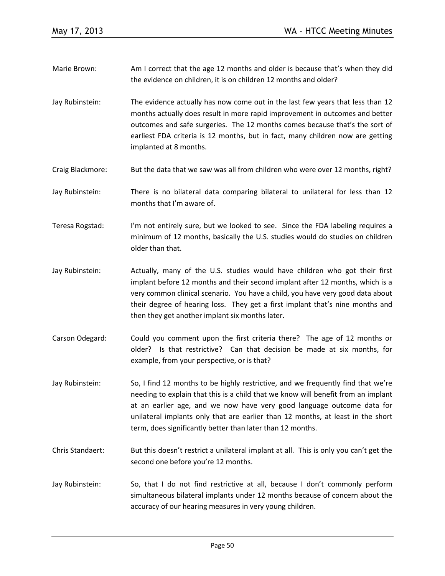- Marie Brown: Am I correct that the age 12 months and older is because that's when they did the evidence on children, it is on children 12 months and older?
- Jay Rubinstein: The evidence actually has now come out in the last few years that less than 12 months actually does result in more rapid improvement in outcomes and better outcomes and safe surgeries. The 12 months comes because that's the sort of earliest FDA criteria is 12 months, but in fact, many children now are getting implanted at 8 months.
- Craig Blackmore: But the data that we saw was all from children who were over 12 months, right?
- Jay Rubinstein: There is no bilateral data comparing bilateral to unilateral for less than 12 months that I'm aware of.
- Teresa Rogstad: I'm not entirely sure, but we looked to see. Since the FDA labeling requires a minimum of 12 months, basically the U.S. studies would do studies on children older than that.
- Jay Rubinstein: Actually, many of the U.S. studies would have children who got their first implant before 12 months and their second implant after 12 months, which is a very common clinical scenario. You have a child, you have very good data about their degree of hearing loss. They get a first implant that's nine months and then they get another implant six months later.
- Carson Odegard: Could you comment upon the first criteria there? The age of 12 months or older? Is that restrictive? Can that decision be made at six months, for example, from your perspective, or is that?
- Jay Rubinstein: So, I find 12 months to be highly restrictive, and we frequently find that we're needing to explain that this is a child that we know will benefit from an implant at an earlier age, and we now have very good language outcome data for unilateral implants only that are earlier than 12 months, at least in the short term, does significantly better than later than 12 months.
- Chris Standaert: But this doesn't restrict a unilateral implant at all. This is only you can't get the second one before you're 12 months.
- Jay Rubinstein: So, that I do not find restrictive at all, because I don't commonly perform simultaneous bilateral implants under 12 months because of concern about the accuracy of our hearing measures in very young children.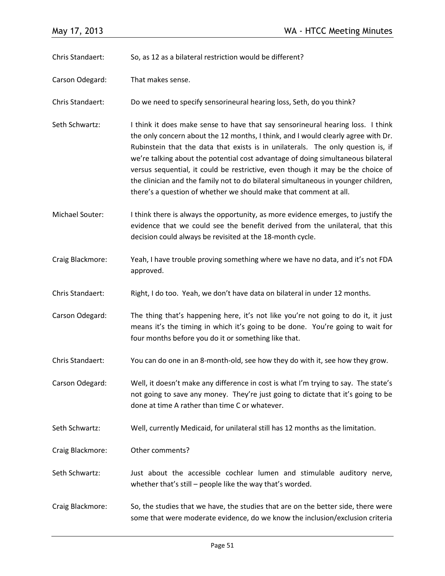Chris Standaert: So, as 12 as a bilateral restriction would be different?

Carson Odegard: That makes sense.

Chris Standaert: Do we need to specify sensorineural hearing loss, Seth, do you think?

- Seth Schwartz: I think it does make sense to have that say sensorineural hearing loss. I think the only concern about the 12 months, I think, and I would clearly agree with Dr. Rubinstein that the data that exists is in unilaterals. The only question is, if we're talking about the potential cost advantage of doing simultaneous bilateral versus sequential, it could be restrictive, even though it may be the choice of the clinician and the family not to do bilateral simultaneous in younger children, there's a question of whether we should make that comment at all.
- Michael Souter: I think there is always the opportunity, as more evidence emerges, to justify the evidence that we could see the benefit derived from the unilateral, that this decision could always be revisited at the 18-month cycle.
- Craig Blackmore: Yeah, I have trouble proving something where we have no data, and it's not FDA approved.
- Chris Standaert: Right, I do too. Yeah, we don't have data on bilateral in under 12 months.
- Carson Odegard: The thing that's happening here, it's not like you're not going to do it, it just means it's the timing in which it's going to be done. You're going to wait for four months before you do it or something like that.
- Chris Standaert: You can do one in an 8-month-old, see how they do with it, see how they grow.
- Carson Odegard: Well, it doesn't make any difference in cost is what I'm trying to say. The state's not going to save any money. They're just going to dictate that it's going to be done at time A rather than time C or whatever.
- Seth Schwartz: Well, currently Medicaid, for unilateral still has 12 months as the limitation.
- Craig Blackmore: Other comments?
- Seth Schwartz: Just about the accessible cochlear lumen and stimulable auditory nerve, whether that's still – people like the way that's worded.
- Craig Blackmore: So, the studies that we have, the studies that are on the better side, there were some that were moderate evidence, do we know the inclusion/exclusion criteria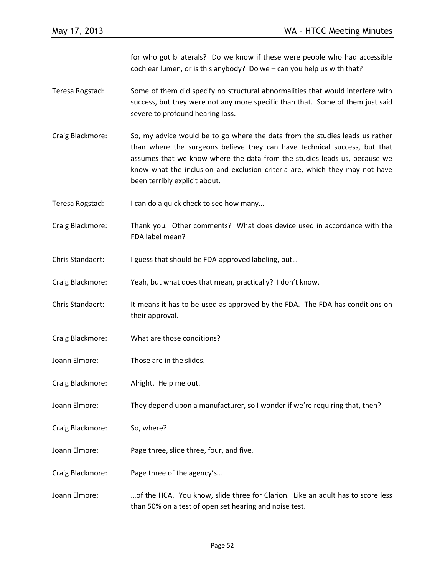for who got bilaterals? Do we know if these were people who had accessible cochlear lumen, or is this anybody? Do we – can you help us with that?

- Teresa Rogstad: Some of them did specify no structural abnormalities that would interfere with success, but they were not any more specific than that. Some of them just said severe to profound hearing loss.
- Craig Blackmore: So, my advice would be to go where the data from the studies leads us rather than where the surgeons believe they can have technical success, but that assumes that we know where the data from the studies leads us, because we know what the inclusion and exclusion criteria are, which they may not have been terribly explicit about.
- Teresa Rogstad: I can do a quick check to see how many…
- Craig Blackmore: Thank you. Other comments? What does device used in accordance with the FDA label mean?
- Chris Standaert: I guess that should be FDA-approved labeling, but...
- Craig Blackmore: Yeah, but what does that mean, practically? I don't know.
- Chris Standaert: It means it has to be used as approved by the FDA. The FDA has conditions on their approval.
- Craig Blackmore: What are those conditions?
- Joann Elmore: Those are in the slides.
- Craig Blackmore: Alright. Help me out.
- Joann Elmore: They depend upon a manufacturer, so I wonder if we're requiring that, then?
- Craig Blackmore: So, where?
- Joann Elmore: Page three, slide three, four, and five.
- Craig Blackmore: Page three of the agency's…
- Joann Elmore: …of the HCA. You know, slide three for Clarion. Like an adult has to score less than 50% on a test of open set hearing and noise test.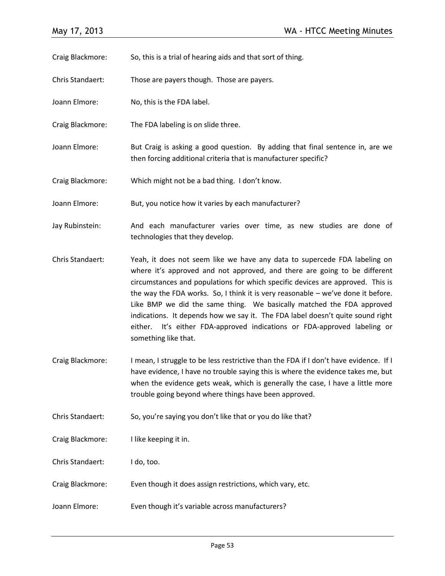Craig Blackmore: So, this is a trial of hearing aids and that sort of thing.

Chris Standaert: Those are payers though. Those are payers.

- Joann Elmore: No, this is the FDA label.
- Craig Blackmore: The FDA labeling is on slide three.
- Joann Elmore: But Craig is asking a good question. By adding that final sentence in, are we then forcing additional criteria that is manufacturer specific?
- Craig Blackmore: Which might not be a bad thing. I don't know.
- Joann Elmore: But, you notice how it varies by each manufacturer?
- Jay Rubinstein: And each manufacturer varies over time, as new studies are done of technologies that they develop.
- Chris Standaert: Yeah, it does not seem like we have any data to supercede FDA labeling on where it's approved and not approved, and there are going to be different circumstances and populations for which specific devices are approved. This is the way the FDA works. So, I think it is very reasonable – we've done it before. Like BMP we did the same thing. We basically matched the FDA approved indications. It depends how we say it. The FDA label doesn't quite sound right either. It's either FDA-approved indications or FDA-approved labeling or something like that.
- Craig Blackmore: I mean, I struggle to be less restrictive than the FDA if I don't have evidence. If I have evidence, I have no trouble saying this is where the evidence takes me, but when the evidence gets weak, which is generally the case, I have a little more trouble going beyond where things have been approved.
- Chris Standaert: So, you're saying you don't like that or you do like that?
- Craig Blackmore: I like keeping it in.
- Chris Standaert: I do, too.
- Craig Blackmore: Even though it does assign restrictions, which vary, etc.
- Joann Elmore: Even though it's variable across manufacturers?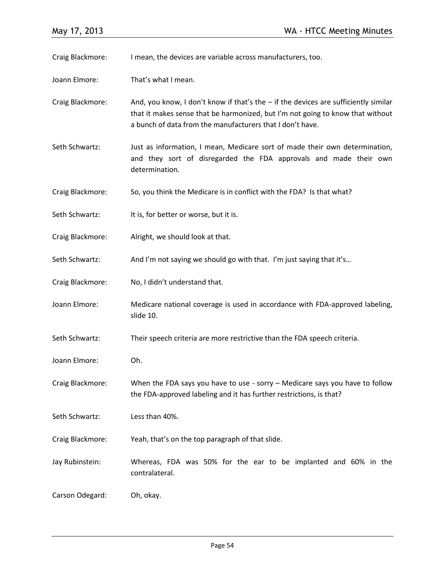Craig Blackmore: I mean, the devices are variable across manufacturers, too. Joann Elmore: That's what I mean. Craig Blackmore: And, you know, I don't know if that's the – if the devices are sufficiently similar that it makes sense that be harmonized, but I'm not going to know that without a bunch of data from the manufacturers that I don't have. Seth Schwartz: Just as information, I mean, Medicare sort of made their own determination, and they sort of disregarded the FDA approvals and made their own determination. Craig Blackmore: So, you think the Medicare is in conflict with the FDA? Is that what? Seth Schwartz: It is, for better or worse, but it is. Craig Blackmore: Alright, we should look at that. Seth Schwartz: And I'm not saying we should go with that. I'm just saying that it's... Craig Blackmore: No, I didn't understand that. Joann Elmore: Medicare national coverage is used in accordance with FDA-approved labeling, slide 10. Seth Schwartz: Their speech criteria are more restrictive than the FDA speech criteria. Joann Elmore: Oh. Craig Blackmore: When the FDA says you have to use - sorry – Medicare says you have to follow the FDA-approved labeling and it has further restrictions, is that? Seth Schwartz: Less than 40%. Craig Blackmore: Yeah, that's on the top paragraph of that slide. Jay Rubinstein: Whereas, FDA was 50% for the ear to be implanted and 60% in the contralateral. Carson Odegard: Oh, okay.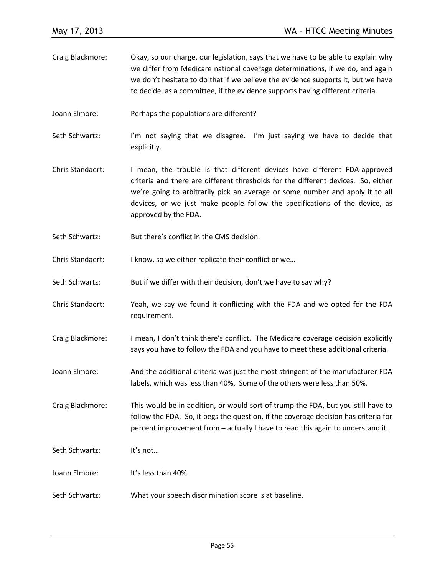- Craig Blackmore: Okay, so our charge, our legislation, says that we have to be able to explain why we differ from Medicare national coverage determinations, if we do, and again we don't hesitate to do that if we believe the evidence supports it, but we have to decide, as a committee, if the evidence supports having different criteria.
- Joann Elmore: Perhaps the populations are different?
- Seth Schwartz: I'm not saying that we disagree. I'm just saying we have to decide that explicitly.
- Chris Standaert: I mean, the trouble is that different devices have different FDA-approved criteria and there are different thresholds for the different devices. So, either we're going to arbitrarily pick an average or some number and apply it to all devices, or we just make people follow the specifications of the device, as approved by the FDA.
- Seth Schwartz: But there's conflict in the CMS decision.
- Chris Standaert: I know, so we either replicate their conflict or we...
- Seth Schwartz: But if we differ with their decision, don't we have to say why?
- Chris Standaert: Yeah, we say we found it conflicting with the FDA and we opted for the FDA requirement.
- Craig Blackmore: I mean, I don't think there's conflict. The Medicare coverage decision explicitly says you have to follow the FDA and you have to meet these additional criteria.
- Joann Elmore: And the additional criteria was just the most stringent of the manufacturer FDA labels, which was less than 40%. Some of the others were less than 50%.

Craig Blackmore: This would be in addition, or would sort of trump the FDA, but you still have to follow the FDA. So, it begs the question, if the coverage decision has criteria for percent improvement from – actually I have to read this again to understand it.

- Seth Schwartz: It's not...
- Joann Elmore: It's less than 40%.
- Seth Schwartz: What your speech discrimination score is at baseline.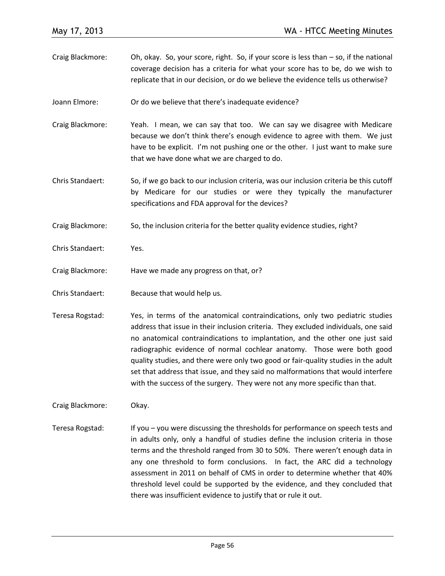- Craig Blackmore: Oh, okay. So, your score, right. So, if your score is less than so, if the national coverage decision has a criteria for what your score has to be, do we wish to replicate that in our decision, or do we believe the evidence tells us otherwise?
- Joann Elmore: Or do we believe that there's inadequate evidence?
- Craig Blackmore: Yeah. I mean, we can say that too. We can say we disagree with Medicare because we don't think there's enough evidence to agree with them. We just have to be explicit. I'm not pushing one or the other. I just want to make sure that we have done what we are charged to do.
- Chris Standaert: So, if we go back to our inclusion criteria, was our inclusion criteria be this cutoff by Medicare for our studies or were they typically the manufacturer specifications and FDA approval for the devices?
- Craig Blackmore: So, the inclusion criteria for the better quality evidence studies, right?
- Chris Standaert: Yes.
- Craig Blackmore: Have we made any progress on that, or?
- Chris Standaert: Because that would help us.
- Teresa Rogstad: Yes, in terms of the anatomical contraindications, only two pediatric studies address that issue in their inclusion criteria. They excluded individuals, one said no anatomical contraindications to implantation, and the other one just said radiographic evidence of normal cochlear anatomy. Those were both good quality studies, and there were only two good or fair-quality studies in the adult set that address that issue, and they said no malformations that would interfere with the success of the surgery. They were not any more specific than that.

Craig Blackmore: Okay.

Teresa Rogstad: If you – you were discussing the thresholds for performance on speech tests and in adults only, only a handful of studies define the inclusion criteria in those terms and the threshold ranged from 30 to 50%. There weren't enough data in any one threshold to form conclusions. In fact, the ARC did a technology assessment in 2011 on behalf of CMS in order to determine whether that 40% threshold level could be supported by the evidence, and they concluded that there was insufficient evidence to justify that or rule it out.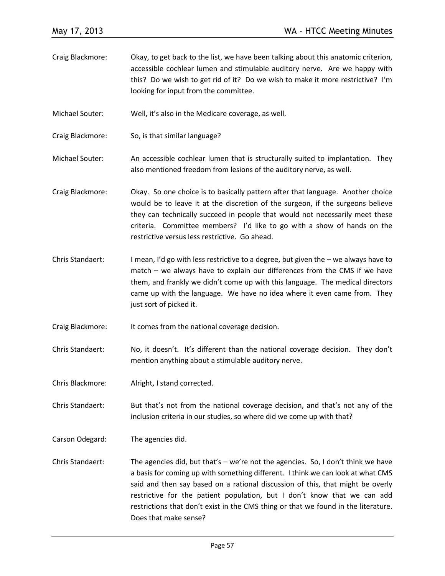- Craig Blackmore: Okay, to get back to the list, we have been talking about this anatomic criterion, accessible cochlear lumen and stimulable auditory nerve. Are we happy with this? Do we wish to get rid of it? Do we wish to make it more restrictive? I'm looking for input from the committee.
- Michael Souter: Well, it's also in the Medicare coverage, as well.
- Craig Blackmore: So, is that similar language?
- Michael Souter: An accessible cochlear lumen that is structurally suited to implantation. They also mentioned freedom from lesions of the auditory nerve, as well.
- Craig Blackmore: Okay. So one choice is to basically pattern after that language. Another choice would be to leave it at the discretion of the surgeon, if the surgeons believe they can technically succeed in people that would not necessarily meet these criteria. Committee members? I'd like to go with a show of hands on the restrictive versus less restrictive. Go ahead.
- Chris Standaert: I mean, I'd go with less restrictive to a degree, but given the we always have to match – we always have to explain our differences from the CMS if we have them, and frankly we didn't come up with this language. The medical directors came up with the language. We have no idea where it even came from. They just sort of picked it.
- Craig Blackmore: It comes from the national coverage decision.
- Chris Standaert: No, it doesn't. It's different than the national coverage decision. They don't mention anything about a stimulable auditory nerve.
- Chris Blackmore: Alright, I stand corrected.
- Chris Standaert: But that's not from the national coverage decision, and that's not any of the inclusion criteria in our studies, so where did we come up with that?
- Carson Odegard: The agencies did.
- Chris Standaert: The agencies did, but that's we're not the agencies. So, I don't think we have a basis for coming up with something different. I think we can look at what CMS said and then say based on a rational discussion of this, that might be overly restrictive for the patient population, but I don't know that we can add restrictions that don't exist in the CMS thing or that we found in the literature. Does that make sense?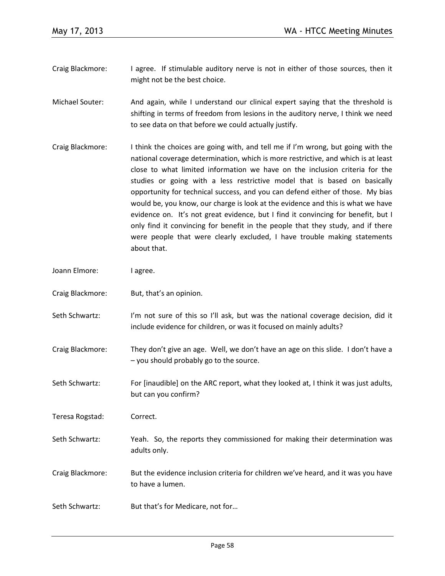- Craig Blackmore: I agree. If stimulable auditory nerve is not in either of those sources, then it might not be the best choice.
- Michael Souter: And again, while I understand our clinical expert saying that the threshold is shifting in terms of freedom from lesions in the auditory nerve, I think we need to see data on that before we could actually justify.
- Craig Blackmore: I think the choices are going with, and tell me if I'm wrong, but going with the national coverage determination, which is more restrictive, and which is at least close to what limited information we have on the inclusion criteria for the studies or going with a less restrictive model that is based on basically opportunity for technical success, and you can defend either of those. My bias would be, you know, our charge is look at the evidence and this is what we have evidence on. It's not great evidence, but I find it convincing for benefit, but I only find it convincing for benefit in the people that they study, and if there were people that were clearly excluded, I have trouble making statements about that.
- Joann Elmore: lagree.
- Craig Blackmore: But, that's an opinion.
- Seth Schwartz: I'm not sure of this so I'll ask, but was the national coverage decision, did it include evidence for children, or was it focused on mainly adults?
- Craig Blackmore: They don't give an age. Well, we don't have an age on this slide. I don't have a – you should probably go to the source.
- Seth Schwartz: For [inaudible] on the ARC report, what they looked at, I think it was just adults, but can you confirm?
- Teresa Rogstad: Correct.
- Seth Schwartz: Yeah. So, the reports they commissioned for making their determination was adults only.
- Craig Blackmore: But the evidence inclusion criteria for children we've heard, and it was you have to have a lumen.
- Seth Schwartz: But that's for Medicare, not for...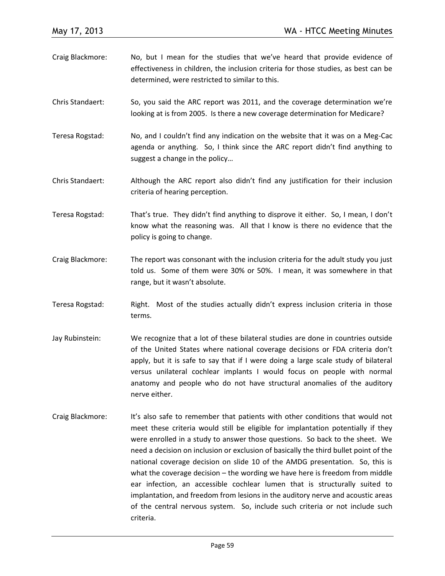| Craig Blackmore:        | No, but I mean for the studies that we've heard that provide evidence of<br>effectiveness in children, the inclusion criteria for those studies, as best can be<br>determined, were restricted to similar to this. |
|-------------------------|--------------------------------------------------------------------------------------------------------------------------------------------------------------------------------------------------------------------|
| <b>Chris Standaert:</b> | So, you said the ARC report was 2011, and the coverage determination we're<br>looking at is from 2005. Is there a new coverage determination for Medicare?                                                         |
| Teresa Rogstad:         | No, and I couldn't find any indication on the website that it was on a Meg-Cac<br>agenda or anything. So, I think since the ARC report didn't find anything to<br>suggest a change in the policy                   |
| Chris Standaert:        | Although the ARC report also didn't find any justification for their inclusion<br>criteria of hearing perception.                                                                                                  |
| Teresa Rogstad:         | That's true. They didn't find anything to disprove it either. So, I mean, I don't<br>know what the reasoning was. All that I know is there no evidence that the<br>policy is going to change.                      |
| Craig Blackmore:        | The report was consonant with the inclusion criteria for the adult study you just<br>told us. Some of them were 30% or 50%. I mean, it was somewhere in that<br>range, but it wasn't absolute.                     |
| Teresa Rogstad:         | Right. Most of the studies actually didn't express inclusion criteria in those<br>terms.                                                                                                                           |

- Jay Rubinstein: We recognize that a lot of these bilateral studies are done in countries outside of the United States where national coverage decisions or FDA criteria don't apply, but it is safe to say that if I were doing a large scale study of bilateral versus unilateral cochlear implants I would focus on people with normal anatomy and people who do not have structural anomalies of the auditory nerve either.
- Craig Blackmore: It's also safe to remember that patients with other conditions that would not meet these criteria would still be eligible for implantation potentially if they were enrolled in a study to answer those questions. So back to the sheet. We need a decision on inclusion or exclusion of basically the third bullet point of the national coverage decision on slide 10 of the AMDG presentation. So, this is what the coverage decision – the wording we have here is freedom from middle ear infection, an accessible cochlear lumen that is structurally suited to implantation, and freedom from lesions in the auditory nerve and acoustic areas of the central nervous system. So, include such criteria or not include such criteria.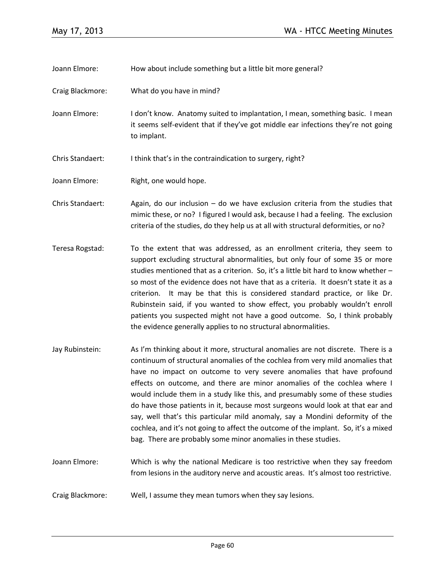Joann Elmore: How about include something but a little bit more general?

- Craig Blackmore: What do you have in mind?
- Joann Elmore: I don't know. Anatomy suited to implantation, I mean, something basic. I mean it seems self-evident that if they've got middle ear infections they're not going to implant.
- Chris Standaert: I think that's in the contraindication to surgery, right?

Joann Elmore: Right, one would hope.

Chris Standaert: Again, do our inclusion – do we have exclusion criteria from the studies that mimic these, or no? I figured I would ask, because I had a feeling. The exclusion criteria of the studies, do they help us at all with structural deformities, or no?

- Teresa Rogstad: To the extent that was addressed, as an enrollment criteria, they seem to support excluding structural abnormalities, but only four of some 35 or more studies mentioned that as a criterion. So, it's a little bit hard to know whether – so most of the evidence does not have that as a criteria. It doesn't state it as a criterion. It may be that this is considered standard practice, or like Dr. Rubinstein said, if you wanted to show effect, you probably wouldn't enroll patients you suspected might not have a good outcome. So, I think probably the evidence generally applies to no structural abnormalities.
- Jay Rubinstein: As I'm thinking about it more, structural anomalies are not discrete. There is a continuum of structural anomalies of the cochlea from very mild anomalies that have no impact on outcome to very severe anomalies that have profound effects on outcome, and there are minor anomalies of the cochlea where I would include them in a study like this, and presumably some of these studies do have those patients in it, because most surgeons would look at that ear and say, well that's this particular mild anomaly, say a Mondini deformity of the cochlea, and it's not going to affect the outcome of the implant. So, it's a mixed bag. There are probably some minor anomalies in these studies.
- Joann Elmore: Which is why the national Medicare is too restrictive when they say freedom from lesions in the auditory nerve and acoustic areas. It's almost too restrictive.
- Craig Blackmore: Well, I assume they mean tumors when they say lesions.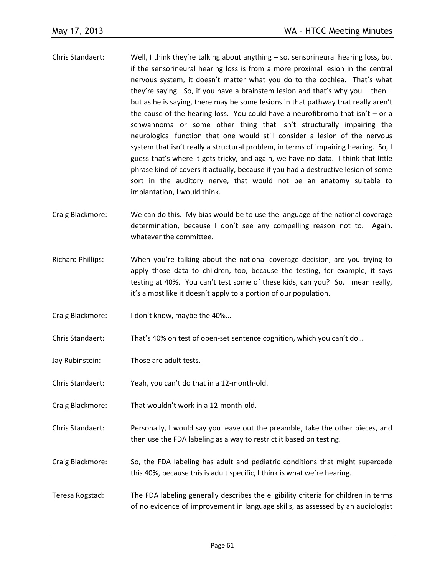- Chris Standaert: Well, I think they're talking about anything so, sensorineural hearing loss, but if the sensorineural hearing loss is from a more proximal lesion in the central nervous system, it doesn't matter what you do to the cochlea. That's what they're saying. So, if you have a brainstem lesion and that's why you – then – but as he is saying, there may be some lesions in that pathway that really aren't the cause of the hearing loss. You could have a neurofibroma that isn't  $-$  or a schwannoma or some other thing that isn't structurally impairing the neurological function that one would still consider a lesion of the nervous system that isn't really a structural problem, in terms of impairing hearing. So, I guess that's where it gets tricky, and again, we have no data. I think that little phrase kind of covers it actually, because if you had a destructive lesion of some sort in the auditory nerve, that would not be an anatomy suitable to implantation, I would think.
- Craig Blackmore: We can do this. My bias would be to use the language of the national coverage determination, because I don't see any compelling reason not to. Again, whatever the committee.
- Richard Phillips: When you're talking about the national coverage decision, are you trying to apply those data to children, too, because the testing, for example, it says testing at 40%. You can't test some of these kids, can you? So, I mean really, it's almost like it doesn't apply to a portion of our population.
- Craig Blackmore: I don't know, maybe the 40%...
- Chris Standaert: That's 40% on test of open-set sentence cognition, which you can't do…
- Jay Rubinstein: Those are adult tests.
- Chris Standaert: Yeah, you can't do that in a 12-month-old.
- Craig Blackmore: That wouldn't work in a 12-month-old.
- Chris Standaert: Personally, I would say you leave out the preamble, take the other pieces, and then use the FDA labeling as a way to restrict it based on testing.
- Craig Blackmore: So, the FDA labeling has adult and pediatric conditions that might supercede this 40%, because this is adult specific, I think is what we're hearing.
- Teresa Rogstad: The FDA labeling generally describes the eligibility criteria for children in terms of no evidence of improvement in language skills, as assessed by an audiologist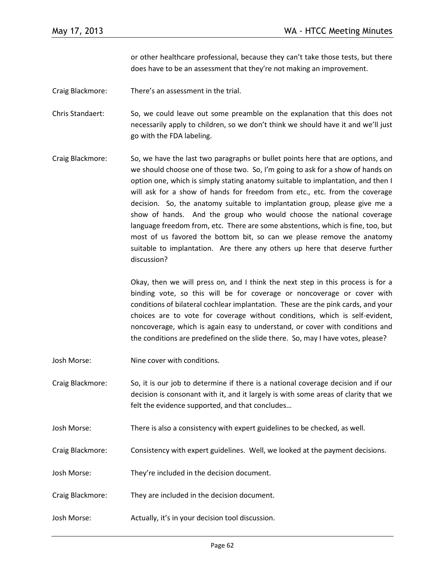or other healthcare professional, because they can't take those tests, but there does have to be an assessment that they're not making an improvement.

Craig Blackmore: There's an assessment in the trial.

Chris Standaert: So, we could leave out some preamble on the explanation that this does not necessarily apply to children, so we don't think we should have it and we'll just go with the FDA labeling.

Craig Blackmore: So, we have the last two paragraphs or bullet points here that are options, and we should choose one of those two. So, I'm going to ask for a show of hands on option one, which is simply stating anatomy suitable to implantation, and then I will ask for a show of hands for freedom from etc., etc. from the coverage decision. So, the anatomy suitable to implantation group, please give me a show of hands. And the group who would choose the national coverage language freedom from, etc. There are some abstentions, which is fine, too, but most of us favored the bottom bit, so can we please remove the anatomy suitable to implantation. Are there any others up here that deserve further discussion?

> Okay, then we will press on, and I think the next step in this process is for a binding vote, so this will be for coverage or noncoverage or cover with conditions of bilateral cochlear implantation. These are the pink cards, and your choices are to vote for coverage without conditions, which is self-evident, noncoverage, which is again easy to understand, or cover with conditions and the conditions are predefined on the slide there. So, may I have votes, please?

- Josh Morse: Nine cover with conditions.
- Craig Blackmore: So, it is our job to determine if there is a national coverage decision and if our decision is consonant with it, and it largely is with some areas of clarity that we felt the evidence supported, and that concludes…
- Josh Morse: There is also a consistency with expert guidelines to be checked, as well.
- Craig Blackmore: Consistency with expert guidelines. Well, we looked at the payment decisions.
- Josh Morse: They're included in the decision document.
- Craig Blackmore: They are included in the decision document.
- Josh Morse: Actually, it's in your decision tool discussion.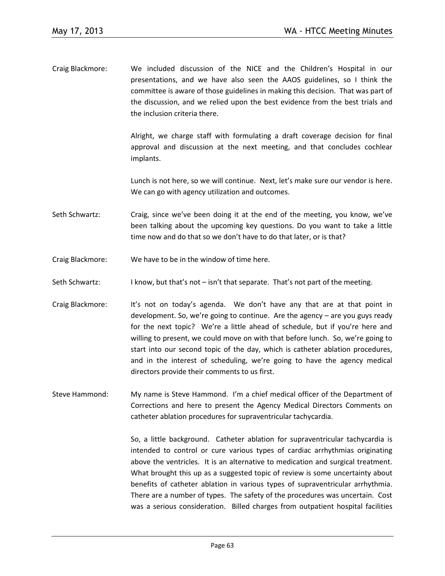Craig Blackmore: We included discussion of the NICE and the Children's Hospital in our presentations, and we have also seen the AAOS guidelines, so I think the committee is aware of those guidelines in making this decision. That was part of the discussion, and we relied upon the best evidence from the best trials and the inclusion criteria there.

> Alright, we charge staff with formulating a draft coverage decision for final approval and discussion at the next meeting, and that concludes cochlear implants.

> Lunch is not here, so we will continue. Next, let's make sure our vendor is here. We can go with agency utilization and outcomes.

- Seth Schwartz: Craig, since we've been doing it at the end of the meeting, you know, we've been talking about the upcoming key questions. Do you want to take a little time now and do that so we don't have to do that later, or is that?
- Craig Blackmore: We have to be in the window of time here.
- Seth Schwartz: I know, but that's not isn't that separate. That's not part of the meeting.
- Craig Blackmore: It's not on today's agenda. We don't have any that are at that point in development. So, we're going to continue. Are the agency – are you guys ready for the next topic? We're a little ahead of schedule, but if you're here and willing to present, we could move on with that before lunch. So, we're going to start into our second topic of the day, which is catheter ablation procedures, and in the interest of scheduling, we're going to have the agency medical directors provide their comments to us first.
- Steve Hammond: My name is Steve Hammond. I'm a chief medical officer of the Department of Corrections and here to present the Agency Medical Directors Comments on catheter ablation procedures for supraventricular tachycardia.

So, a little background. Catheter ablation for supraventricular tachycardia is intended to control or cure various types of cardiac arrhythmias originating above the ventricles. It is an alternative to medication and surgical treatment. What brought this up as a suggested topic of review is some uncertainty about benefits of catheter ablation in various types of supraventricular arrhythmia. There are a number of types. The safety of the procedures was uncertain. Cost was a serious consideration. Billed charges from outpatient hospital facilities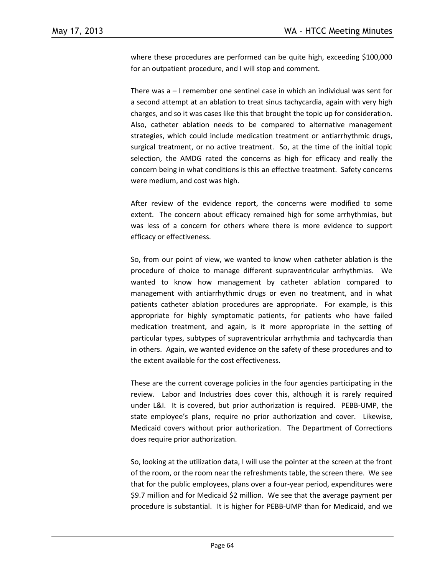where these procedures are performed can be quite high, exceeding \$100,000 for an outpatient procedure, and I will stop and comment.

There was a – I remember one sentinel case in which an individual was sent for a second attempt at an ablation to treat sinus tachycardia, again with very high charges, and so it was cases like this that brought the topic up for consideration. Also, catheter ablation needs to be compared to alternative management strategies, which could include medication treatment or antiarrhythmic drugs, surgical treatment, or no active treatment. So, at the time of the initial topic selection, the AMDG rated the concerns as high for efficacy and really the concern being in what conditions is this an effective treatment. Safety concerns were medium, and cost was high.

After review of the evidence report, the concerns were modified to some extent. The concern about efficacy remained high for some arrhythmias, but was less of a concern for others where there is more evidence to support efficacy or effectiveness.

So, from our point of view, we wanted to know when catheter ablation is the procedure of choice to manage different supraventricular arrhythmias. We wanted to know how management by catheter ablation compared to management with antiarrhythmic drugs or even no treatment, and in what patients catheter ablation procedures are appropriate. For example, is this appropriate for highly symptomatic patients, for patients who have failed medication treatment, and again, is it more appropriate in the setting of particular types, subtypes of supraventricular arrhythmia and tachycardia than in others. Again, we wanted evidence on the safety of these procedures and to the extent available for the cost effectiveness.

These are the current coverage policies in the four agencies participating in the review. Labor and Industries does cover this, although it is rarely required under L&I. It is covered, but prior authorization is required. PEBB-UMP, the state employee's plans, require no prior authorization and cover. Likewise, Medicaid covers without prior authorization. The Department of Corrections does require prior authorization.

So, looking at the utilization data, I will use the pointer at the screen at the front of the room, or the room near the refreshments table, the screen there. We see that for the public employees, plans over a four-year period, expenditures were \$9.7 million and for Medicaid \$2 million. We see that the average payment per procedure is substantial. It is higher for PEBB-UMP than for Medicaid, and we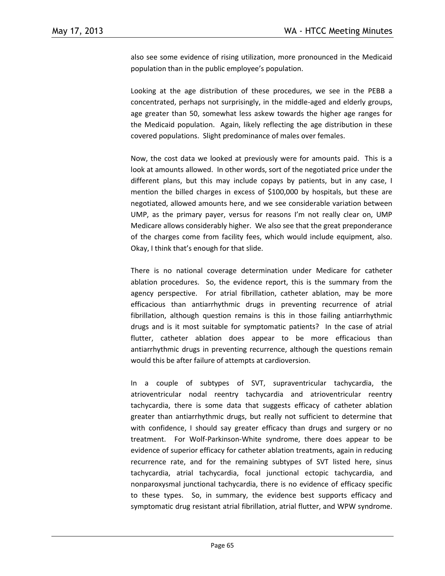also see some evidence of rising utilization, more pronounced in the Medicaid population than in the public employee's population.

Looking at the age distribution of these procedures, we see in the PEBB a concentrated, perhaps not surprisingly, in the middle-aged and elderly groups, age greater than 50, somewhat less askew towards the higher age ranges for the Medicaid population. Again, likely reflecting the age distribution in these covered populations. Slight predominance of males over females.

Now, the cost data we looked at previously were for amounts paid. This is a look at amounts allowed. In other words, sort of the negotiated price under the different plans, but this may include copays by patients, but in any case, I mention the billed charges in excess of \$100,000 by hospitals, but these are negotiated, allowed amounts here, and we see considerable variation between UMP, as the primary payer, versus for reasons I'm not really clear on, UMP Medicare allows considerably higher. We also see that the great preponderance of the charges come from facility fees, which would include equipment, also. Okay, I think that's enough for that slide.

There is no national coverage determination under Medicare for catheter ablation procedures. So, the evidence report, this is the summary from the agency perspective. For atrial fibrillation, catheter ablation, may be more efficacious than antiarrhythmic drugs in preventing recurrence of atrial fibrillation, although question remains is this in those failing antiarrhythmic drugs and is it most suitable for symptomatic patients? In the case of atrial flutter, catheter ablation does appear to be more efficacious than antiarrhythmic drugs in preventing recurrence, although the questions remain would this be after failure of attempts at cardioversion.

In a couple of subtypes of SVT, supraventricular tachycardia, the atrioventricular nodal reentry tachycardia and atrioventricular reentry tachycardia, there is some data that suggests efficacy of catheter ablation greater than antiarrhythmic drugs, but really not sufficient to determine that with confidence, I should say greater efficacy than drugs and surgery or no treatment. For Wolf-Parkinson-White syndrome, there does appear to be evidence of superior efficacy for catheter ablation treatments, again in reducing recurrence rate, and for the remaining subtypes of SVT listed here, sinus tachycardia, atrial tachycardia, focal junctional ectopic tachycardia, and nonparoxysmal junctional tachycardia, there is no evidence of efficacy specific to these types. So, in summary, the evidence best supports efficacy and symptomatic drug resistant atrial fibrillation, atrial flutter, and WPW syndrome.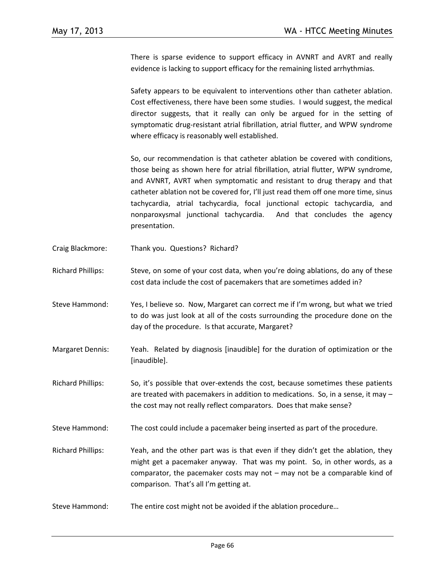There is sparse evidence to support efficacy in AVNRT and AVRT and really evidence is lacking to support efficacy for the remaining listed arrhythmias.

Safety appears to be equivalent to interventions other than catheter ablation. Cost effectiveness, there have been some studies. I would suggest, the medical director suggests, that it really can only be argued for in the setting of symptomatic drug-resistant atrial fibrillation, atrial flutter, and WPW syndrome where efficacy is reasonably well established.

So, our recommendation is that catheter ablation be covered with conditions, those being as shown here for atrial fibrillation, atrial flutter, WPW syndrome, and AVNRT, AVRT when symptomatic and resistant to drug therapy and that catheter ablation not be covered for, I'll just read them off one more time, sinus tachycardia, atrial tachycardia, focal junctional ectopic tachycardia, and nonparoxysmal junctional tachycardia. And that concludes the agency presentation.

- Craig Blackmore: Thank you. Questions? Richard?
- Richard Phillips: Steve, on some of your cost data, when you're doing ablations, do any of these cost data include the cost of pacemakers that are sometimes added in?
- Steve Hammond: Yes, I believe so. Now, Margaret can correct me if I'm wrong, but what we tried to do was just look at all of the costs surrounding the procedure done on the day of the procedure. Is that accurate, Margaret?
- Margaret Dennis: Yeah. Related by diagnosis [inaudible] for the duration of optimization or the [inaudible].
- Richard Phillips: So, it's possible that over-extends the cost, because sometimes these patients are treated with pacemakers in addition to medications. So, in a sense, it may – the cost may not really reflect comparators. Does that make sense?
- Steve Hammond: The cost could include a pacemaker being inserted as part of the procedure.
- Richard Phillips: Yeah, and the other part was is that even if they didn't get the ablation, they might get a pacemaker anyway. That was my point. So, in other words, as a comparator, the pacemaker costs may not – may not be a comparable kind of comparison. That's all I'm getting at.
- Steve Hammond: The entire cost might not be avoided if the ablation procedure…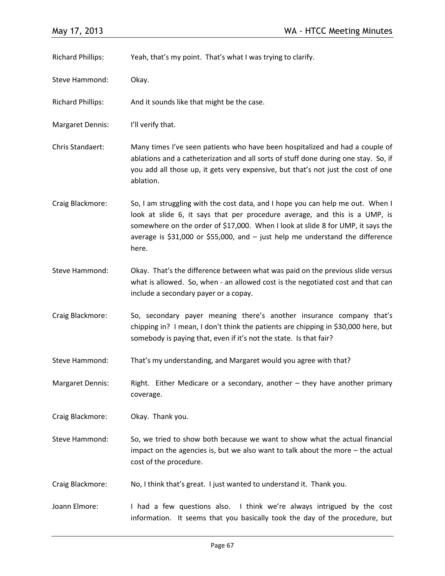| <b>Richard Phillips:</b> | Yeah, that's my point. That's what I was trying to clarify.                                                                                                                                                                                                                                                                                    |
|--------------------------|------------------------------------------------------------------------------------------------------------------------------------------------------------------------------------------------------------------------------------------------------------------------------------------------------------------------------------------------|
| Steve Hammond:           | Okay.                                                                                                                                                                                                                                                                                                                                          |
| <b>Richard Phillips:</b> | And it sounds like that might be the case.                                                                                                                                                                                                                                                                                                     |
| <b>Margaret Dennis:</b>  | I'll verify that.                                                                                                                                                                                                                                                                                                                              |
| Chris Standaert:         | Many times I've seen patients who have been hospitalized and had a couple of<br>ablations and a catheterization and all sorts of stuff done during one stay. So, if<br>you add all those up, it gets very expensive, but that's not just the cost of one<br>ablation.                                                                          |
| Craig Blackmore:         | So, I am struggling with the cost data, and I hope you can help me out. When I<br>look at slide 6, it says that per procedure average, and this is a UMP, is<br>somewhere on the order of \$17,000. When I look at slide 8 for UMP, it says the<br>average is $$31,000$ or $$55,000$ , and $-$ just help me understand the difference<br>here. |
| Steve Hammond:           | Okay. That's the difference between what was paid on the previous slide versus<br>what is allowed. So, when - an allowed cost is the negotiated cost and that can<br>include a secondary payer or a copay.                                                                                                                                     |
| Craig Blackmore:         | So, secondary payer meaning there's another insurance company that's<br>chipping in? I mean, I don't think the patients are chipping in \$30,000 here, but<br>somebody is paying that, even if it's not the state. Is that fair?                                                                                                               |
| Steve Hammond:           | That's my understanding, and Margaret would you agree with that?                                                                                                                                                                                                                                                                               |
| <b>Margaret Dennis:</b>  | Right. Either Medicare or a secondary, another $-$ they have another primary<br>coverage.                                                                                                                                                                                                                                                      |
| Craig Blackmore:         | Okay. Thank you.                                                                                                                                                                                                                                                                                                                               |
| Steve Hammond:           | So, we tried to show both because we want to show what the actual financial<br>impact on the agencies is, but we also want to talk about the more $-$ the actual<br>cost of the procedure.                                                                                                                                                     |
| Craig Blackmore:         | No, I think that's great. I just wanted to understand it. Thank you.                                                                                                                                                                                                                                                                           |
| Joann Elmore:            | I had a few questions also. I think we're always intrigued by the cost<br>information. It seems that you basically took the day of the procedure, but                                                                                                                                                                                          |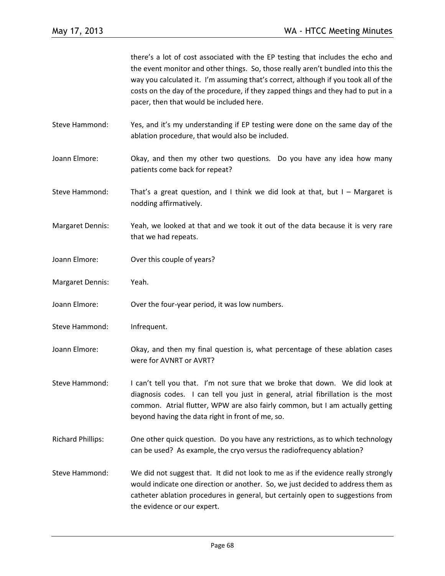there's a lot of cost associated with the EP testing that includes the echo and the event monitor and other things. So, those really aren't bundled into this the way you calculated it. I'm assuming that's correct, although if you took all of the costs on the day of the procedure, if they zapped things and they had to put in a pacer, then that would be included here. Steve Hammond: Yes, and it's my understanding if EP testing were done on the same day of the ablation procedure, that would also be included. Joann Elmore: Okay, and then my other two questions. Do you have any idea how many patients come back for repeat? Steve Hammond: That's a great question, and I think we did look at that, but  $I -$  Margaret is nodding affirmatively. Margaret Dennis: Yeah, we looked at that and we took it out of the data because it is very rare that we had repeats. Joann Elmore: Over this couple of years? Margaret Dennis: Yeah. Joann Elmore: Over the four-year period, it was low numbers. Steve Hammond: Infrequent. Joann Elmore: Okay, and then my final question is, what percentage of these ablation cases were for AVNRT or AVRT? Steve Hammond: I can't tell you that. I'm not sure that we broke that down. We did look at diagnosis codes. I can tell you just in general, atrial fibrillation is the most common. Atrial flutter, WPW are also fairly common, but I am actually getting beyond having the data right in front of me, so. Richard Phillips: One other quick question. Do you have any restrictions, as to which technology can be used? As example, the cryo versus the radiofrequency ablation? Steve Hammond: We did not suggest that. It did not look to me as if the evidence really strongly would indicate one direction or another. So, we just decided to address them as catheter ablation procedures in general, but certainly open to suggestions from the evidence or our expert.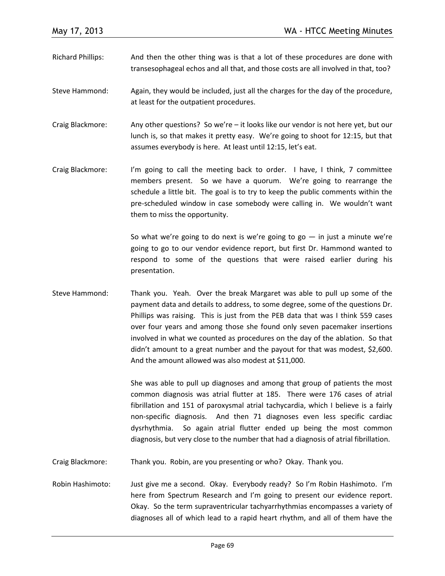- Richard Phillips: And then the other thing was is that a lot of these procedures are done with transesophageal echos and all that, and those costs are all involved in that, too?
- Steve Hammond: Again, they would be included, just all the charges for the day of the procedure, at least for the outpatient procedures.
- Craig Blackmore: Any other questions? So we're it looks like our vendor is not here yet, but our lunch is, so that makes it pretty easy. We're going to shoot for 12:15, but that assumes everybody is here. At least until 12:15, let's eat.
- Craig Blackmore: I'm going to call the meeting back to order. I have, I think, 7 committee members present. So we have a quorum. We're going to rearrange the schedule a little bit. The goal is to try to keep the public comments within the pre-scheduled window in case somebody were calling in. We wouldn't want them to miss the opportunity.

So what we're going to do next is we're going to go  $-$  in just a minute we're going to go to our vendor evidence report, but first Dr. Hammond wanted to respond to some of the questions that were raised earlier during his presentation.

Steve Hammond: Thank you. Yeah. Over the break Margaret was able to pull up some of the payment data and details to address, to some degree, some of the questions Dr. Phillips was raising. This is just from the PEB data that was I think 559 cases over four years and among those she found only seven pacemaker insertions involved in what we counted as procedures on the day of the ablation. So that didn't amount to a great number and the payout for that was modest, \$2,600. And the amount allowed was also modest at \$11,000.

> She was able to pull up diagnoses and among that group of patients the most common diagnosis was atrial flutter at 185. There were 176 cases of atrial fibrillation and 151 of paroxysmal atrial tachycardia, which I believe is a fairly non-specific diagnosis. And then 71 diagnoses even less specific cardiac dysrhythmia. So again atrial flutter ended up being the most common diagnosis, but very close to the number that had a diagnosis of atrial fibrillation.

- Craig Blackmore: Thank you. Robin, are you presenting or who? Okay. Thank you.
- Robin Hashimoto: Just give me a second. Okay. Everybody ready? So I'm Robin Hashimoto. I'm here from Spectrum Research and I'm going to present our evidence report. Okay. So the term supraventricular tachyarrhythmias encompasses a variety of diagnoses all of which lead to a rapid heart rhythm, and all of them have the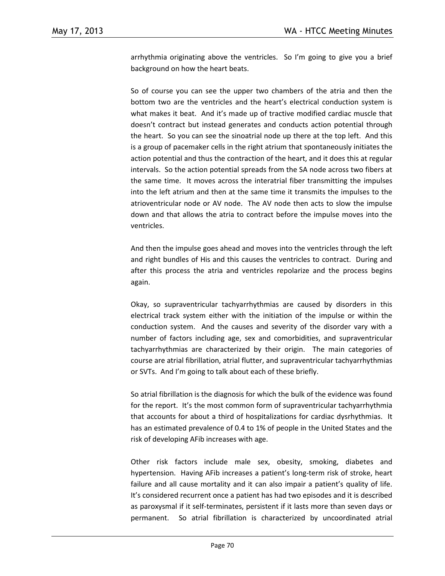arrhythmia originating above the ventricles. So I'm going to give you a brief background on how the heart beats.

So of course you can see the upper two chambers of the atria and then the bottom two are the ventricles and the heart's electrical conduction system is what makes it beat. And it's made up of tractive modified cardiac muscle that doesn't contract but instead generates and conducts action potential through the heart. So you can see the sinoatrial node up there at the top left. And this is a group of pacemaker cells in the right atrium that spontaneously initiates the action potential and thus the contraction of the heart, and it does this at regular intervals. So the action potential spreads from the SA node across two fibers at the same time. It moves across the interatrial fiber transmitting the impulses into the left atrium and then at the same time it transmits the impulses to the atrioventricular node or AV node. The AV node then acts to slow the impulse down and that allows the atria to contract before the impulse moves into the ventricles.

And then the impulse goes ahead and moves into the ventricles through the left and right bundles of His and this causes the ventricles to contract. During and after this process the atria and ventricles repolarize and the process begins again.

Okay, so supraventricular tachyarrhythmias are caused by disorders in this electrical track system either with the initiation of the impulse or within the conduction system. And the causes and severity of the disorder vary with a number of factors including age, sex and comorbidities, and supraventricular tachyarrhythmias are characterized by their origin. The main categories of course are atrial fibrillation, atrial flutter, and supraventricular tachyarrhythmias or SVTs. And I'm going to talk about each of these briefly.

So atrial fibrillation is the diagnosis for which the bulk of the evidence was found for the report. It's the most common form of supraventricular tachyarrhythmia that accounts for about a third of hospitalizations for cardiac dysrhythmias. It has an estimated prevalence of 0.4 to 1% of people in the United States and the risk of developing AFib increases with age.

Other risk factors include male sex, obesity, smoking, diabetes and hypertension. Having AFib increases a patient's long-term risk of stroke, heart failure and all cause mortality and it can also impair a patient's quality of life. It's considered recurrent once a patient has had two episodes and it is described as paroxysmal if it self-terminates, persistent if it lasts more than seven days or permanent. So atrial fibrillation is characterized by uncoordinated atrial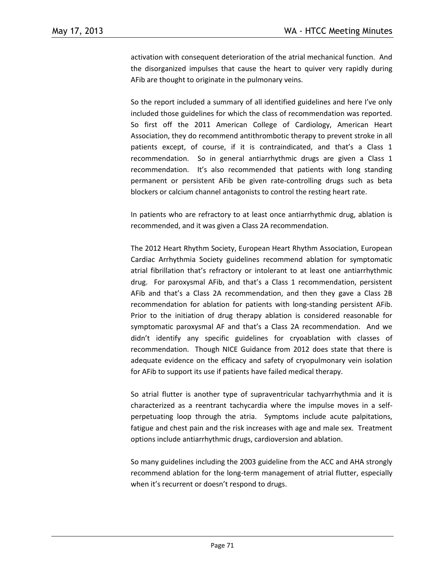activation with consequent deterioration of the atrial mechanical function. And the disorganized impulses that cause the heart to quiver very rapidly during AFib are thought to originate in the pulmonary veins.

So the report included a summary of all identified guidelines and here I've only included those guidelines for which the class of recommendation was reported. So first off the 2011 American College of Cardiology, American Heart Association, they do recommend antithrombotic therapy to prevent stroke in all patients except, of course, if it is contraindicated, and that's a Class 1 recommendation. So in general antiarrhythmic drugs are given a Class 1 recommendation. It's also recommended that patients with long standing permanent or persistent AFib be given rate-controlling drugs such as beta blockers or calcium channel antagonists to control the resting heart rate.

In patients who are refractory to at least once antiarrhythmic drug, ablation is recommended, and it was given a Class 2A recommendation.

The 2012 Heart Rhythm Society, European Heart Rhythm Association, European Cardiac Arrhythmia Society guidelines recommend ablation for symptomatic atrial fibrillation that's refractory or intolerant to at least one antiarrhythmic drug. For paroxysmal AFib, and that's a Class 1 recommendation, persistent AFib and that's a Class 2A recommendation, and then they gave a Class 2B recommendation for ablation for patients with long-standing persistent AFib. Prior to the initiation of drug therapy ablation is considered reasonable for symptomatic paroxysmal AF and that's a Class 2A recommendation. And we didn't identify any specific guidelines for cryoablation with classes of recommendation. Though NICE Guidance from 2012 does state that there is adequate evidence on the efficacy and safety of cryopulmonary vein isolation for AFib to support its use if patients have failed medical therapy.

So atrial flutter is another type of supraventricular tachyarrhythmia and it is characterized as a reentrant tachycardia where the impulse moves in a selfperpetuating loop through the atria. Symptoms include acute palpitations, fatigue and chest pain and the risk increases with age and male sex. Treatment options include antiarrhythmic drugs, cardioversion and ablation.

So many guidelines including the 2003 guideline from the ACC and AHA strongly recommend ablation for the long-term management of atrial flutter, especially when it's recurrent or doesn't respond to drugs.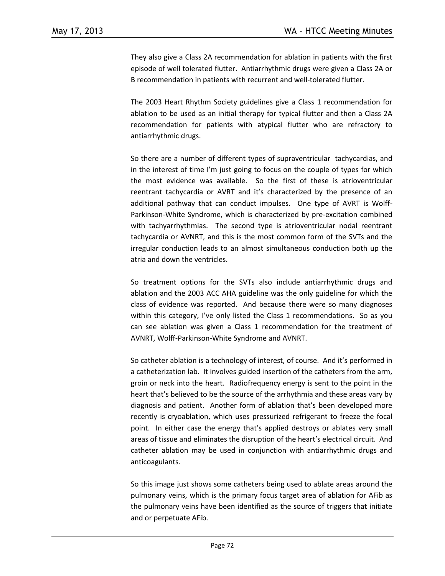They also give a Class 2A recommendation for ablation in patients with the first episode of well tolerated flutter. Antiarrhythmic drugs were given a Class 2A or B recommendation in patients with recurrent and well-tolerated flutter.

The 2003 Heart Rhythm Society guidelines give a Class 1 recommendation for ablation to be used as an initial therapy for typical flutter and then a Class 2A recommendation for patients with atypical flutter who are refractory to antiarrhythmic drugs.

So there are a number of different types of supraventricular tachycardias, and in the interest of time I'm just going to focus on the couple of types for which the most evidence was available. So the first of these is atrioventricular reentrant tachycardia or AVRT and it's characterized by the presence of an additional pathway that can conduct impulses. One type of AVRT is Wolff-Parkinson-White Syndrome, which is characterized by pre-excitation combined with tachyarrhythmias. The second type is atrioventricular nodal reentrant tachycardia or AVNRT, and this is the most common form of the SVTs and the irregular conduction leads to an almost simultaneous conduction both up the atria and down the ventricles.

So treatment options for the SVTs also include antiarrhythmic drugs and ablation and the 2003 ACC AHA guideline was the only guideline for which the class of evidence was reported. And because there were so many diagnoses within this category, I've only listed the Class 1 recommendations. So as you can see ablation was given a Class 1 recommendation for the treatment of AVNRT, Wolff-Parkinson-White Syndrome and AVNRT.

So catheter ablation is a technology of interest, of course. And it's performed in a catheterization lab. It involves guided insertion of the catheters from the arm, groin or neck into the heart. Radiofrequency energy is sent to the point in the heart that's believed to be the source of the arrhythmia and these areas vary by diagnosis and patient. Another form of ablation that's been developed more recently is cryoablation, which uses pressurized refrigerant to freeze the focal point. In either case the energy that's applied destroys or ablates very small areas of tissue and eliminates the disruption of the heart's electrical circuit. And catheter ablation may be used in conjunction with antiarrhythmic drugs and anticoagulants.

So this image just shows some catheters being used to ablate areas around the pulmonary veins, which is the primary focus target area of ablation for AFib as the pulmonary veins have been identified as the source of triggers that initiate and or perpetuate AFib.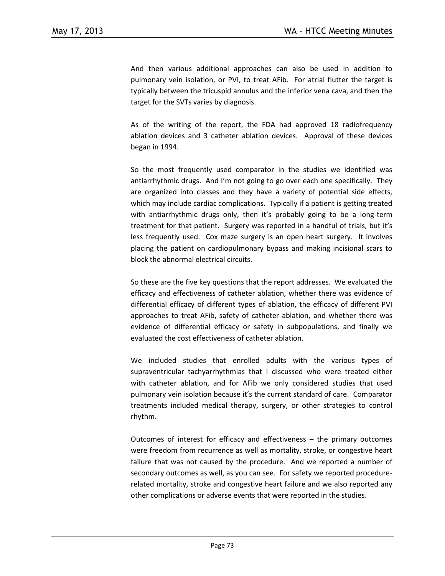And then various additional approaches can also be used in addition to pulmonary vein isolation, or PVI, to treat AFib. For atrial flutter the target is typically between the tricuspid annulus and the inferior vena cava, and then the target for the SVTs varies by diagnosis.

As of the writing of the report, the FDA had approved 18 radiofrequency ablation devices and 3 catheter ablation devices. Approval of these devices began in 1994.

So the most frequently used comparator in the studies we identified was antiarrhythmic drugs. And I'm not going to go over each one specifically. They are organized into classes and they have a variety of potential side effects, which may include cardiac complications. Typically if a patient is getting treated with antiarrhythmic drugs only, then it's probably going to be a long-term treatment for that patient. Surgery was reported in a handful of trials, but it's less frequently used. Cox maze surgery is an open heart surgery. It involves placing the patient on cardiopulmonary bypass and making incisional scars to block the abnormal electrical circuits.

So these are the five key questions that the report addresses. We evaluated the efficacy and effectiveness of catheter ablation, whether there was evidence of differential efficacy of different types of ablation, the efficacy of different PVI approaches to treat AFib, safety of catheter ablation, and whether there was evidence of differential efficacy or safety in subpopulations, and finally we evaluated the cost effectiveness of catheter ablation.

We included studies that enrolled adults with the various types of supraventricular tachyarrhythmias that I discussed who were treated either with catheter ablation, and for AFib we only considered studies that used pulmonary vein isolation because it's the current standard of care. Comparator treatments included medical therapy, surgery, or other strategies to control rhythm.

Outcomes of interest for efficacy and effectiveness – the primary outcomes were freedom from recurrence as well as mortality, stroke, or congestive heart failure that was not caused by the procedure. And we reported a number of secondary outcomes as well, as you can see. For safety we reported procedurerelated mortality, stroke and congestive heart failure and we also reported any other complications or adverse events that were reported in the studies.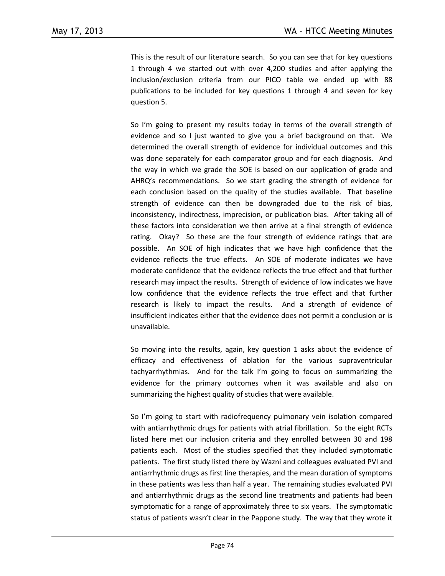This is the result of our literature search. So you can see that for key questions 1 through 4 we started out with over 4,200 studies and after applying the inclusion/exclusion criteria from our PICO table we ended up with 88 publications to be included for key questions 1 through 4 and seven for key question 5.

So I'm going to present my results today in terms of the overall strength of evidence and so I just wanted to give you a brief background on that. We determined the overall strength of evidence for individual outcomes and this was done separately for each comparator group and for each diagnosis. And the way in which we grade the SOE is based on our application of grade and AHRQ's recommendations. So we start grading the strength of evidence for each conclusion based on the quality of the studies available. That baseline strength of evidence can then be downgraded due to the risk of bias, inconsistency, indirectness, imprecision, or publication bias. After taking all of these factors into consideration we then arrive at a final strength of evidence rating. Okay? So these are the four strength of evidence ratings that are possible. An SOE of high indicates that we have high confidence that the evidence reflects the true effects. An SOE of moderate indicates we have moderate confidence that the evidence reflects the true effect and that further research may impact the results. Strength of evidence of low indicates we have low confidence that the evidence reflects the true effect and that further research is likely to impact the results. And a strength of evidence of insufficient indicates either that the evidence does not permit a conclusion or is unavailable.

So moving into the results, again, key question 1 asks about the evidence of efficacy and effectiveness of ablation for the various supraventricular tachyarrhythmias. And for the talk I'm going to focus on summarizing the evidence for the primary outcomes when it was available and also on summarizing the highest quality of studies that were available.

So I'm going to start with radiofrequency pulmonary vein isolation compared with antiarrhythmic drugs for patients with atrial fibrillation. So the eight RCTs listed here met our inclusion criteria and they enrolled between 30 and 198 patients each. Most of the studies specified that they included symptomatic patients. The first study listed there by Wazni and colleagues evaluated PVI and antiarrhythmic drugs as first line therapies, and the mean duration of symptoms in these patients was less than half a year. The remaining studies evaluated PVI and antiarrhythmic drugs as the second line treatments and patients had been symptomatic for a range of approximately three to six years. The symptomatic status of patients wasn't clear in the Pappone study. The way that they wrote it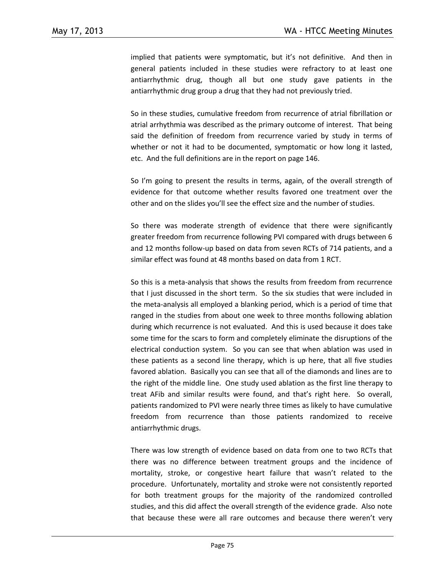implied that patients were symptomatic, but it's not definitive. And then in general patients included in these studies were refractory to at least one antiarrhythmic drug, though all but one study gave patients in the antiarrhythmic drug group a drug that they had not previously tried.

So in these studies, cumulative freedom from recurrence of atrial fibrillation or atrial arrhythmia was described as the primary outcome of interest. That being said the definition of freedom from recurrence varied by study in terms of whether or not it had to be documented, symptomatic or how long it lasted, etc. And the full definitions are in the report on page 146.

So I'm going to present the results in terms, again, of the overall strength of evidence for that outcome whether results favored one treatment over the other and on the slides you'll see the effect size and the number of studies.

So there was moderate strength of evidence that there were significantly greater freedom from recurrence following PVI compared with drugs between 6 and 12 months follow-up based on data from seven RCTs of 714 patients, and a similar effect was found at 48 months based on data from 1 RCT.

So this is a meta-analysis that shows the results from freedom from recurrence that I just discussed in the short term. So the six studies that were included in the meta-analysis all employed a blanking period, which is a period of time that ranged in the studies from about one week to three months following ablation during which recurrence is not evaluated. And this is used because it does take some time for the scars to form and completely eliminate the disruptions of the electrical conduction system. So you can see that when ablation was used in these patients as a second line therapy, which is up here, that all five studies favored ablation. Basically you can see that all of the diamonds and lines are to the right of the middle line. One study used ablation as the first line therapy to treat AFib and similar results were found, and that's right here. So overall, patients randomized to PVI were nearly three times as likely to have cumulative freedom from recurrence than those patients randomized to receive antiarrhythmic drugs.

There was low strength of evidence based on data from one to two RCTs that there was no difference between treatment groups and the incidence of mortality, stroke, or congestive heart failure that wasn't related to the procedure. Unfortunately, mortality and stroke were not consistently reported for both treatment groups for the majority of the randomized controlled studies, and this did affect the overall strength of the evidence grade. Also note that because these were all rare outcomes and because there weren't very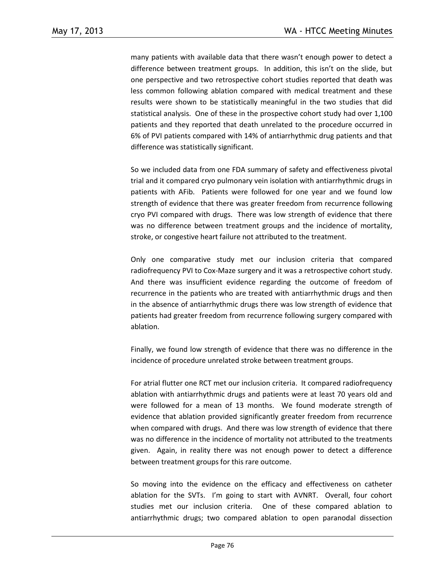many patients with available data that there wasn't enough power to detect a difference between treatment groups. In addition, this isn't on the slide, but one perspective and two retrospective cohort studies reported that death was less common following ablation compared with medical treatment and these results were shown to be statistically meaningful in the two studies that did statistical analysis. One of these in the prospective cohort study had over 1,100 patients and they reported that death unrelated to the procedure occurred in 6% of PVI patients compared with 14% of antiarrhythmic drug patients and that difference was statistically significant.

So we included data from one FDA summary of safety and effectiveness pivotal trial and it compared cryo pulmonary vein isolation with antiarrhythmic drugs in patients with AFib. Patients were followed for one year and we found low strength of evidence that there was greater freedom from recurrence following cryo PVI compared with drugs. There was low strength of evidence that there was no difference between treatment groups and the incidence of mortality, stroke, or congestive heart failure not attributed to the treatment.

Only one comparative study met our inclusion criteria that compared radiofrequency PVI to Cox-Maze surgery and it was a retrospective cohort study. And there was insufficient evidence regarding the outcome of freedom of recurrence in the patients who are treated with antiarrhythmic drugs and then in the absence of antiarrhythmic drugs there was low strength of evidence that patients had greater freedom from recurrence following surgery compared with ablation.

Finally, we found low strength of evidence that there was no difference in the incidence of procedure unrelated stroke between treatment groups.

For atrial flutter one RCT met our inclusion criteria. It compared radiofrequency ablation with antiarrhythmic drugs and patients were at least 70 years old and were followed for a mean of 13 months. We found moderate strength of evidence that ablation provided significantly greater freedom from recurrence when compared with drugs. And there was low strength of evidence that there was no difference in the incidence of mortality not attributed to the treatments given. Again, in reality there was not enough power to detect a difference between treatment groups for this rare outcome.

So moving into the evidence on the efficacy and effectiveness on catheter ablation for the SVTs. I'm going to start with AVNRT. Overall, four cohort studies met our inclusion criteria. One of these compared ablation to antiarrhythmic drugs; two compared ablation to open paranodal dissection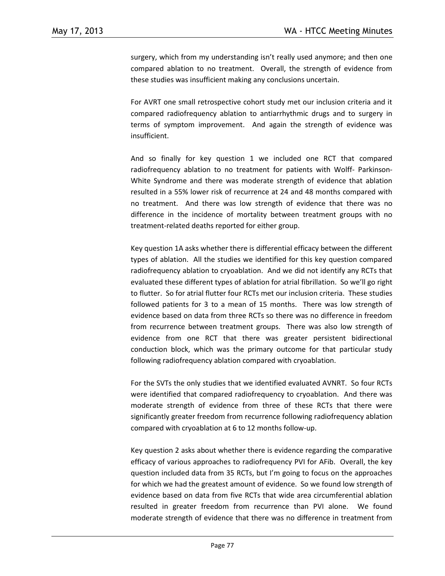surgery, which from my understanding isn't really used anymore; and then one compared ablation to no treatment. Overall, the strength of evidence from these studies was insufficient making any conclusions uncertain.

For AVRT one small retrospective cohort study met our inclusion criteria and it compared radiofrequency ablation to antiarrhythmic drugs and to surgery in terms of symptom improvement. And again the strength of evidence was insufficient.

And so finally for key question 1 we included one RCT that compared radiofrequency ablation to no treatment for patients with Wolff- Parkinson-White Syndrome and there was moderate strength of evidence that ablation resulted in a 55% lower risk of recurrence at 24 and 48 months compared with no treatment. And there was low strength of evidence that there was no difference in the incidence of mortality between treatment groups with no treatment-related deaths reported for either group.

Key question 1A asks whether there is differential efficacy between the different types of ablation. All the studies we identified for this key question compared radiofrequency ablation to cryoablation. And we did not identify any RCTs that evaluated these different types of ablation for atrial fibrillation. So we'll go right to flutter. So for atrial flutter four RCTs met our inclusion criteria. These studies followed patients for 3 to a mean of 15 months. There was low strength of evidence based on data from three RCTs so there was no difference in freedom from recurrence between treatment groups. There was also low strength of evidence from one RCT that there was greater persistent bidirectional conduction block, which was the primary outcome for that particular study following radiofrequency ablation compared with cryoablation.

For the SVTs the only studies that we identified evaluated AVNRT. So four RCTs were identified that compared radiofrequency to cryoablation. And there was moderate strength of evidence from three of these RCTs that there were significantly greater freedom from recurrence following radiofrequency ablation compared with cryoablation at 6 to 12 months follow-up.

Key question 2 asks about whether there is evidence regarding the comparative efficacy of various approaches to radiofrequency PVI for AFib. Overall, the key question included data from 35 RCTs, but I'm going to focus on the approaches for which we had the greatest amount of evidence. So we found low strength of evidence based on data from five RCTs that wide area circumferential ablation resulted in greater freedom from recurrence than PVI alone. We found moderate strength of evidence that there was no difference in treatment from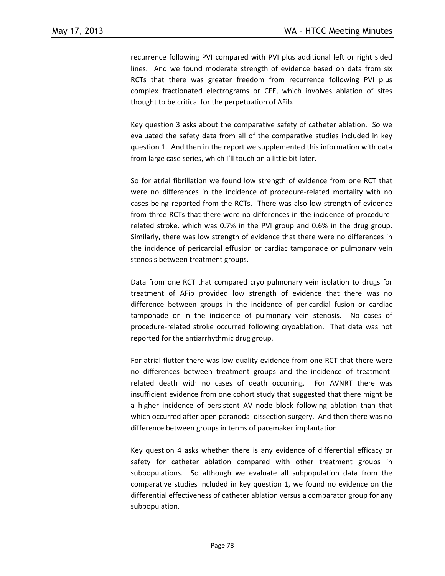recurrence following PVI compared with PVI plus additional left or right sided lines. And we found moderate strength of evidence based on data from six RCTs that there was greater freedom from recurrence following PVI plus complex fractionated electrograms or CFE, which involves ablation of sites thought to be critical for the perpetuation of AFib.

Key question 3 asks about the comparative safety of catheter ablation. So we evaluated the safety data from all of the comparative studies included in key question 1. And then in the report we supplemented this information with data from large case series, which I'll touch on a little bit later.

So for atrial fibrillation we found low strength of evidence from one RCT that were no differences in the incidence of procedure-related mortality with no cases being reported from the RCTs. There was also low strength of evidence from three RCTs that there were no differences in the incidence of procedurerelated stroke, which was 0.7% in the PVI group and 0.6% in the drug group. Similarly, there was low strength of evidence that there were no differences in the incidence of pericardial effusion or cardiac tamponade or pulmonary vein stenosis between treatment groups.

Data from one RCT that compared cryo pulmonary vein isolation to drugs for treatment of AFib provided low strength of evidence that there was no difference between groups in the incidence of pericardial fusion or cardiac tamponade or in the incidence of pulmonary vein stenosis. No cases of procedure-related stroke occurred following cryoablation. That data was not reported for the antiarrhythmic drug group.

For atrial flutter there was low quality evidence from one RCT that there were no differences between treatment groups and the incidence of treatmentrelated death with no cases of death occurring. For AVNRT there was insufficient evidence from one cohort study that suggested that there might be a higher incidence of persistent AV node block following ablation than that which occurred after open paranodal dissection surgery. And then there was no difference between groups in terms of pacemaker implantation.

Key question 4 asks whether there is any evidence of differential efficacy or safety for catheter ablation compared with other treatment groups in subpopulations. So although we evaluate all subpopulation data from the comparative studies included in key question 1, we found no evidence on the differential effectiveness of catheter ablation versus a comparator group for any subpopulation.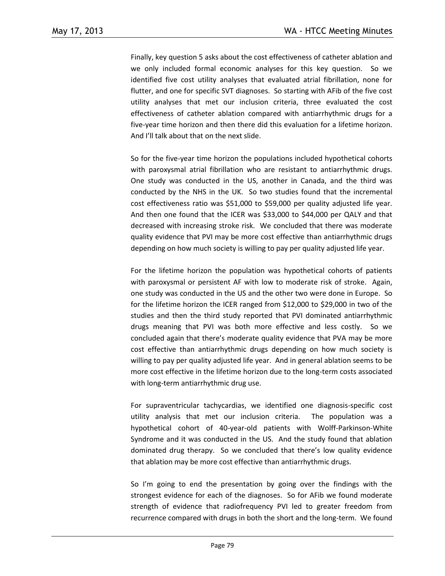Finally, key question 5 asks about the cost effectiveness of catheter ablation and we only included formal economic analyses for this key question. So we identified five cost utility analyses that evaluated atrial fibrillation, none for flutter, and one for specific SVT diagnoses. So starting with AFib of the five cost utility analyses that met our inclusion criteria, three evaluated the cost effectiveness of catheter ablation compared with antiarrhythmic drugs for a five-year time horizon and then there did this evaluation for a lifetime horizon. And I'll talk about that on the next slide.

So for the five-year time horizon the populations included hypothetical cohorts with paroxysmal atrial fibrillation who are resistant to antiarrhythmic drugs. One study was conducted in the US, another in Canada, and the third was conducted by the NHS in the UK. So two studies found that the incremental cost effectiveness ratio was \$51,000 to \$59,000 per quality adjusted life year. And then one found that the ICER was \$33,000 to \$44,000 per QALY and that decreased with increasing stroke risk. We concluded that there was moderate quality evidence that PVI may be more cost effective than antiarrhythmic drugs depending on how much society is willing to pay per quality adjusted life year.

For the lifetime horizon the population was hypothetical cohorts of patients with paroxysmal or persistent AF with low to moderate risk of stroke. Again, one study was conducted in the US and the other two were done in Europe. So for the lifetime horizon the ICER ranged from \$12,000 to \$29,000 in two of the studies and then the third study reported that PVI dominated antiarrhythmic drugs meaning that PVI was both more effective and less costly. So we concluded again that there's moderate quality evidence that PVA may be more cost effective than antiarrhythmic drugs depending on how much society is willing to pay per quality adjusted life year. And in general ablation seems to be more cost effective in the lifetime horizon due to the long-term costs associated with long-term antiarrhythmic drug use.

For supraventricular tachycardias, we identified one diagnosis-specific cost utility analysis that met our inclusion criteria. The population was a hypothetical cohort of 40-year-old patients with Wolff-Parkinson-White Syndrome and it was conducted in the US. And the study found that ablation dominated drug therapy. So we concluded that there's low quality evidence that ablation may be more cost effective than antiarrhythmic drugs.

So I'm going to end the presentation by going over the findings with the strongest evidence for each of the diagnoses. So for AFib we found moderate strength of evidence that radiofrequency PVI led to greater freedom from recurrence compared with drugs in both the short and the long-term. We found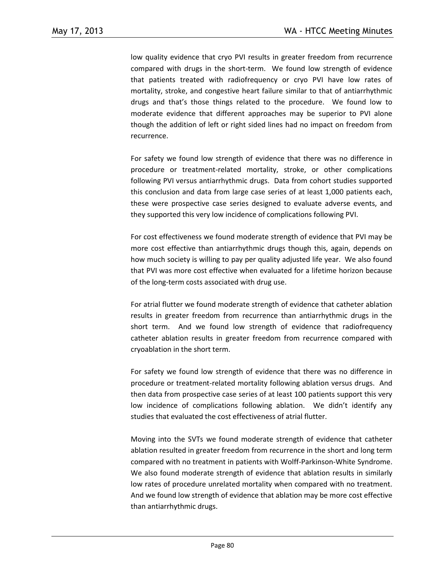low quality evidence that cryo PVI results in greater freedom from recurrence compared with drugs in the short-term. We found low strength of evidence that patients treated with radiofrequency or cryo PVI have low rates of mortality, stroke, and congestive heart failure similar to that of antiarrhythmic drugs and that's those things related to the procedure. We found low to moderate evidence that different approaches may be superior to PVI alone though the addition of left or right sided lines had no impact on freedom from recurrence.

For safety we found low strength of evidence that there was no difference in procedure or treatment-related mortality, stroke, or other complications following PVI versus antiarrhythmic drugs. Data from cohort studies supported this conclusion and data from large case series of at least 1,000 patients each, these were prospective case series designed to evaluate adverse events, and they supported this very low incidence of complications following PVI.

For cost effectiveness we found moderate strength of evidence that PVI may be more cost effective than antiarrhythmic drugs though this, again, depends on how much society is willing to pay per quality adjusted life year. We also found that PVI was more cost effective when evaluated for a lifetime horizon because of the long-term costs associated with drug use.

For atrial flutter we found moderate strength of evidence that catheter ablation results in greater freedom from recurrence than antiarrhythmic drugs in the short term. And we found low strength of evidence that radiofrequency catheter ablation results in greater freedom from recurrence compared with cryoablation in the short term.

For safety we found low strength of evidence that there was no difference in procedure or treatment-related mortality following ablation versus drugs. And then data from prospective case series of at least 100 patients support this very low incidence of complications following ablation. We didn't identify any studies that evaluated the cost effectiveness of atrial flutter.

Moving into the SVTs we found moderate strength of evidence that catheter ablation resulted in greater freedom from recurrence in the short and long term compared with no treatment in patients with Wolff-Parkinson-White Syndrome. We also found moderate strength of evidence that ablation results in similarly low rates of procedure unrelated mortality when compared with no treatment. And we found low strength of evidence that ablation may be more cost effective than antiarrhythmic drugs.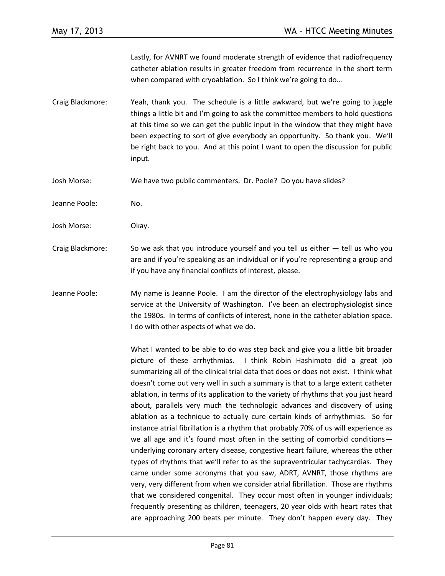Lastly, for AVNRT we found moderate strength of evidence that radiofrequency catheter ablation results in greater freedom from recurrence in the short term when compared with cryoablation. So I think we're going to do…

- Craig Blackmore: Yeah, thank you. The schedule is a little awkward, but we're going to juggle things a little bit and I'm going to ask the committee members to hold questions at this time so we can get the public input in the window that they might have been expecting to sort of give everybody an opportunity. So thank you. We'll be right back to you. And at this point I want to open the discussion for public input.
- Josh Morse: We have two public commenters. Dr. Poole? Do you have slides?
- Jeanne Poole: No.
- Josh Morse: Okay.
- Craig Blackmore: So we ask that you introduce yourself and you tell us either  $-$  tell us who you are and if you're speaking as an individual or if you're representing a group and if you have any financial conflicts of interest, please.
- Jeanne Poole: My name is Jeanne Poole. I am the director of the electrophysiology labs and service at the University of Washington. I've been an electrophysiologist since the 1980s. In terms of conflicts of interest, none in the catheter ablation space. I do with other aspects of what we do.

What I wanted to be able to do was step back and give you a little bit broader picture of these arrhythmias. I think Robin Hashimoto did a great job summarizing all of the clinical trial data that does or does not exist. I think what doesn't come out very well in such a summary is that to a large extent catheter ablation, in terms of its application to the variety of rhythms that you just heard about, parallels very much the technologic advances and discovery of using ablation as a technique to actually cure certain kinds of arrhythmias. So for instance atrial fibrillation is a rhythm that probably 70% of us will experience as we all age and it's found most often in the setting of comorbid conditions underlying coronary artery disease, congestive heart failure, whereas the other types of rhythms that we'll refer to as the supraventricular tachycardias. They came under some acronyms that you saw, ADRT, AVNRT, those rhythms are very, very different from when we consider atrial fibrillation. Those are rhythms that we considered congenital. They occur most often in younger individuals; frequently presenting as children, teenagers, 20 year olds with heart rates that are approaching 200 beats per minute. They don't happen every day. They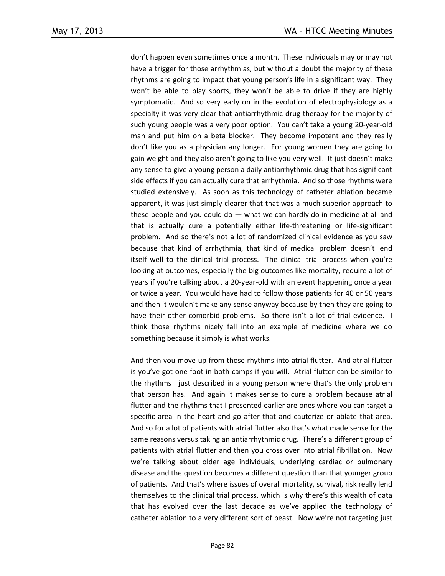don't happen even sometimes once a month. These individuals may or may not have a trigger for those arrhythmias, but without a doubt the majority of these rhythms are going to impact that young person's life in a significant way. They won't be able to play sports, they won't be able to drive if they are highly symptomatic. And so very early on in the evolution of electrophysiology as a specialty it was very clear that antiarrhythmic drug therapy for the majority of such young people was a very poor option. You can't take a young 20-year-old man and put him on a beta blocker. They become impotent and they really don't like you as a physician any longer. For young women they are going to gain weight and they also aren't going to like you very well. It just doesn't make any sense to give a young person a daily antiarrhythmic drug that has significant side effects if you can actually cure that arrhythmia. And so those rhythms were studied extensively. As soon as this technology of catheter ablation became apparent, it was just simply clearer that that was a much superior approach to these people and you could do  $-$  what we can hardly do in medicine at all and that is actually cure a potentially either life-threatening or life-significant problem. And so there's not a lot of randomized clinical evidence as you saw because that kind of arrhythmia, that kind of medical problem doesn't lend itself well to the clinical trial process. The clinical trial process when you're looking at outcomes, especially the big outcomes like mortality, require a lot of years if you're talking about a 20-year-old with an event happening once a year or twice a year. You would have had to follow those patients for 40 or 50 years and then it wouldn't make any sense anyway because by then they are going to have their other comorbid problems. So there isn't a lot of trial evidence. I think those rhythms nicely fall into an example of medicine where we do something because it simply is what works.

And then you move up from those rhythms into atrial flutter. And atrial flutter is you've got one foot in both camps if you will. Atrial flutter can be similar to the rhythms I just described in a young person where that's the only problem that person has. And again it makes sense to cure a problem because atrial flutter and the rhythms that I presented earlier are ones where you can target a specific area in the heart and go after that and cauterize or ablate that area. And so for a lot of patients with atrial flutter also that's what made sense for the same reasons versus taking an antiarrhythmic drug. There's a different group of patients with atrial flutter and then you cross over into atrial fibrillation. Now we're talking about older age individuals, underlying cardiac or pulmonary disease and the question becomes a different question than that younger group of patients. And that's where issues of overall mortality, survival, risk really lend themselves to the clinical trial process, which is why there's this wealth of data that has evolved over the last decade as we've applied the technology of catheter ablation to a very different sort of beast. Now we're not targeting just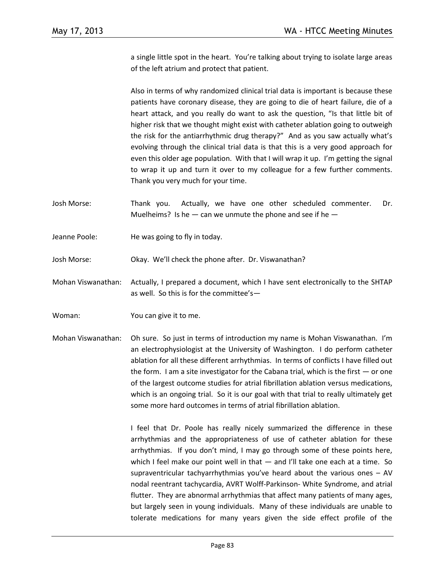a single little spot in the heart. You're talking about trying to isolate large areas of the left atrium and protect that patient.

Also in terms of why randomized clinical trial data is important is because these patients have coronary disease, they are going to die of heart failure, die of a heart attack, and you really do want to ask the question, "Is that little bit of higher risk that we thought might exist with catheter ablation going to outweigh the risk for the antiarrhythmic drug therapy?" And as you saw actually what's evolving through the clinical trial data is that this is a very good approach for even this older age population. With that I will wrap it up. I'm getting the signal to wrap it up and turn it over to my colleague for a few further comments. Thank you very much for your time.

- Josh Morse: Thank you. Actually, we have one other scheduled commenter. Dr. Muelheims? Is he  $-$  can we unmute the phone and see if he  $-$
- Jeanne Poole: He was going to fly in today.
- Josh Morse: Okay. We'll check the phone after. Dr. Viswanathan?
- Mohan Viswanathan: Actually, I prepared a document, which I have sent electronically to the SHTAP as well. So this is for the committee's—
- Woman: You can give it to me.
- Mohan Viswanathan: Oh sure. So just in terms of introduction my name is Mohan Viswanathan. I'm an electrophysiologist at the University of Washington. I do perform catheter ablation for all these different arrhythmias. In terms of conflicts I have filled out the form. I am a site investigator for the Cabana trial, which is the first  $-$  or one of the largest outcome studies for atrial fibrillation ablation versus medications, which is an ongoing trial. So it is our goal with that trial to really ultimately get some more hard outcomes in terms of atrial fibrillation ablation.

I feel that Dr. Poole has really nicely summarized the difference in these arrhythmias and the appropriateness of use of catheter ablation for these arrhythmias. If you don't mind, I may go through some of these points here, which I feel make our point well in that - and I'll take one each at a time. So supraventricular tachyarrhythmias you've heard about the various ones – AV nodal reentrant tachycardia, AVRT Wolff-Parkinson- White Syndrome, and atrial flutter. They are abnormal arrhythmias that affect many patients of many ages, but largely seen in young individuals. Many of these individuals are unable to tolerate medications for many years given the side effect profile of the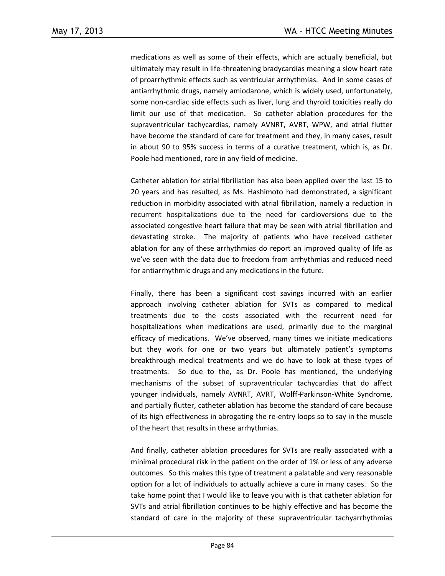medications as well as some of their effects, which are actually beneficial, but ultimately may result in life-threatening bradycardias meaning a slow heart rate of proarrhythmic effects such as ventricular arrhythmias. And in some cases of antiarrhythmic drugs, namely amiodarone, which is widely used, unfortunately, some non-cardiac side effects such as liver, lung and thyroid toxicities really do limit our use of that medication. So catheter ablation procedures for the supraventricular tachycardias, namely AVNRT, AVRT, WPW, and atrial flutter have become the standard of care for treatment and they, in many cases, result in about 90 to 95% success in terms of a curative treatment, which is, as Dr. Poole had mentioned, rare in any field of medicine.

Catheter ablation for atrial fibrillation has also been applied over the last 15 to 20 years and has resulted, as Ms. Hashimoto had demonstrated, a significant reduction in morbidity associated with atrial fibrillation, namely a reduction in recurrent hospitalizations due to the need for cardioversions due to the associated congestive heart failure that may be seen with atrial fibrillation and devastating stroke. The majority of patients who have received catheter ablation for any of these arrhythmias do report an improved quality of life as we've seen with the data due to freedom from arrhythmias and reduced need for antiarrhythmic drugs and any medications in the future.

Finally, there has been a significant cost savings incurred with an earlier approach involving catheter ablation for SVTs as compared to medical treatments due to the costs associated with the recurrent need for hospitalizations when medications are used, primarily due to the marginal efficacy of medications. We've observed, many times we initiate medications but they work for one or two years but ultimately patient's symptoms breakthrough medical treatments and we do have to look at these types of treatments. So due to the, as Dr. Poole has mentioned, the underlying mechanisms of the subset of supraventricular tachycardias that do affect younger individuals, namely AVNRT, AVRT, Wolff-Parkinson-White Syndrome, and partially flutter, catheter ablation has become the standard of care because of its high effectiveness in abrogating the re-entry loops so to say in the muscle of the heart that results in these arrhythmias.

And finally, catheter ablation procedures for SVTs are really associated with a minimal procedural risk in the patient on the order of 1% or less of any adverse outcomes. So this makes this type of treatment a palatable and very reasonable option for a lot of individuals to actually achieve a cure in many cases. So the take home point that I would like to leave you with is that catheter ablation for SVTs and atrial fibrillation continues to be highly effective and has become the standard of care in the majority of these supraventricular tachyarrhythmias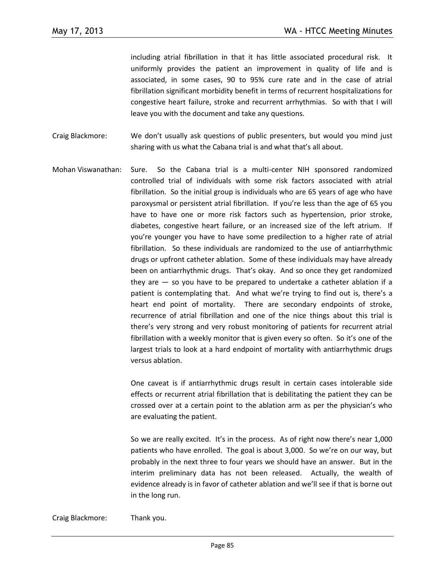including atrial fibrillation in that it has little associated procedural risk. It uniformly provides the patient an improvement in quality of life and is associated, in some cases, 90 to 95% cure rate and in the case of atrial fibrillation significant morbidity benefit in terms of recurrent hospitalizations for congestive heart failure, stroke and recurrent arrhythmias. So with that I will leave you with the document and take any questions.

- Craig Blackmore: We don't usually ask questions of public presenters, but would you mind just sharing with us what the Cabana trial is and what that's all about.
- Mohan Viswanathan: Sure. So the Cabana trial is a multi-center NIH sponsored randomized controlled trial of individuals with some risk factors associated with atrial fibrillation. So the initial group is individuals who are 65 years of age who have paroxysmal or persistent atrial fibrillation. If you're less than the age of 65 you have to have one or more risk factors such as hypertension, prior stroke, diabetes, congestive heart failure, or an increased size of the left atrium. If you're younger you have to have some predilection to a higher rate of atrial fibrillation. So these individuals are randomized to the use of antiarrhythmic drugs or upfront catheter ablation. Some of these individuals may have already been on antiarrhythmic drugs. That's okay. And so once they get randomized they are — so you have to be prepared to undertake a catheter ablation if a patient is contemplating that. And what we're trying to find out is, there's a heart end point of mortality. There are secondary endpoints of stroke, recurrence of atrial fibrillation and one of the nice things about this trial is there's very strong and very robust monitoring of patients for recurrent atrial fibrillation with a weekly monitor that is given every so often. So it's one of the largest trials to look at a hard endpoint of mortality with antiarrhythmic drugs versus ablation.

One caveat is if antiarrhythmic drugs result in certain cases intolerable side effects or recurrent atrial fibrillation that is debilitating the patient they can be crossed over at a certain point to the ablation arm as per the physician's who are evaluating the patient.

So we are really excited. It's in the process. As of right now there's near 1,000 patients who have enrolled. The goal is about 3,000. So we're on our way, but probably in the next three to four years we should have an answer. But in the interim preliminary data has not been released. Actually, the wealth of evidence already is in favor of catheter ablation and we'll see if that is borne out in the long run.

Craig Blackmore: Thank you.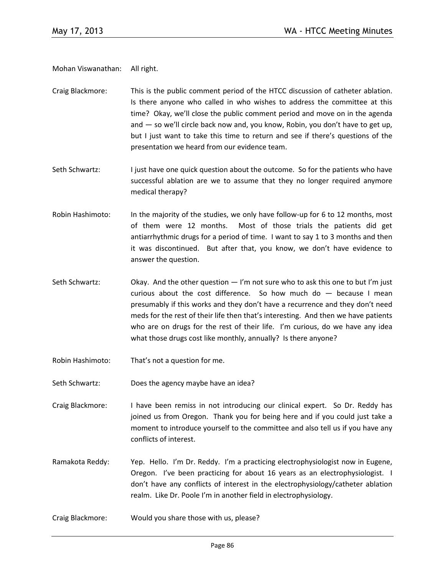Mohan Viswanathan: All right.

- Craig Blackmore: This is the public comment period of the HTCC discussion of catheter ablation. Is there anyone who called in who wishes to address the committee at this time? Okay, we'll close the public comment period and move on in the agenda and — so we'll circle back now and, you know, Robin, you don't have to get up, but I just want to take this time to return and see if there's questions of the presentation we heard from our evidence team.
- Seth Schwartz: I just have one quick question about the outcome. So for the patients who have successful ablation are we to assume that they no longer required anymore medical therapy?
- Robin Hashimoto: In the majority of the studies, we only have follow-up for 6 to 12 months, most of them were 12 months. Most of those trials the patients did get antiarrhythmic drugs for a period of time. I want to say 1 to 3 months and then it was discontinued. But after that, you know, we don't have evidence to answer the question.
- Seth Schwartz: Okay. And the other question  $-1$ 'm not sure who to ask this one to but I'm just curious about the cost difference. So how much do  $-$  because I mean presumably if this works and they don't have a recurrence and they don't need meds for the rest of their life then that's interesting. And then we have patients who are on drugs for the rest of their life. I'm curious, do we have any idea what those drugs cost like monthly, annually? Is there anyone?
- Robin Hashimoto: That's not a question for me.
- Seth Schwartz: Does the agency maybe have an idea?

Craig Blackmore: I have been remiss in not introducing our clinical expert. So Dr. Reddy has joined us from Oregon. Thank you for being here and if you could just take a moment to introduce yourself to the committee and also tell us if you have any conflicts of interest.

- Ramakota Reddy: Yep. Hello. I'm Dr. Reddy. I'm a practicing electrophysiologist now in Eugene, Oregon. I've been practicing for about 16 years as an electrophysiologist. I don't have any conflicts of interest in the electrophysiology/catheter ablation realm. Like Dr. Poole I'm in another field in electrophysiology.
- Craig Blackmore: Would you share those with us, please?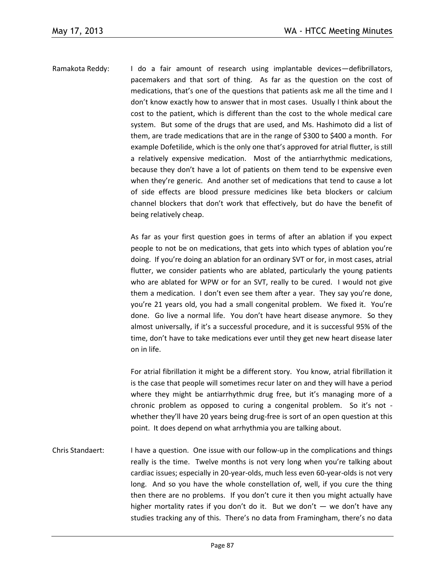Ramakota Reddy: I do a fair amount of research using implantable devices—defibrillators, pacemakers and that sort of thing. As far as the question on the cost of medications, that's one of the questions that patients ask me all the time and I don't know exactly how to answer that in most cases. Usually I think about the cost to the patient, which is different than the cost to the whole medical care system. But some of the drugs that are used, and Ms. Hashimoto did a list of them, are trade medications that are in the range of \$300 to \$400 a month. For example Dofetilide, which is the only one that's approved for atrial flutter, is still a relatively expensive medication. Most of the antiarrhythmic medications, because they don't have a lot of patients on them tend to be expensive even when they're generic. And another set of medications that tend to cause a lot of side effects are blood pressure medicines like beta blockers or calcium channel blockers that don't work that effectively, but do have the benefit of being relatively cheap.

> As far as your first question goes in terms of after an ablation if you expect people to not be on medications, that gets into which types of ablation you're doing. If you're doing an ablation for an ordinary SVT or for, in most cases, atrial flutter, we consider patients who are ablated, particularly the young patients who are ablated for WPW or for an SVT, really to be cured. I would not give them a medication. I don't even see them after a year. They say you're done, you're 21 years old, you had a small congenital problem. We fixed it. You're done. Go live a normal life. You don't have heart disease anymore. So they almost universally, if it's a successful procedure, and it is successful 95% of the time, don't have to take medications ever until they get new heart disease later on in life.

> For atrial fibrillation it might be a different story. You know, atrial fibrillation it is the case that people will sometimes recur later on and they will have a period where they might be antiarrhythmic drug free, but it's managing more of a chronic problem as opposed to curing a congenital problem. So it's not whether they'll have 20 years being drug-free is sort of an open question at this point. It does depend on what arrhythmia you are talking about.

Chris Standaert: I have a question. One issue with our follow-up in the complications and things really is the time. Twelve months is not very long when you're talking about cardiac issues; especially in 20-year-olds, much less even 60-year-olds is not very long. And so you have the whole constellation of, well, if you cure the thing then there are no problems. If you don't cure it then you might actually have higher mortality rates if you don't do it. But we don't — we don't have any studies tracking any of this. There's no data from Framingham, there's no data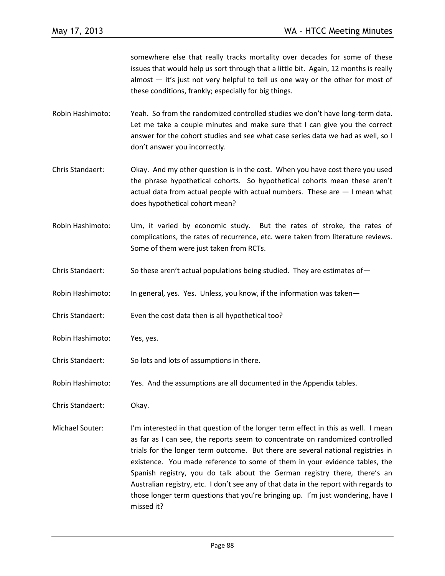somewhere else that really tracks mortality over decades for some of these issues that would help us sort through that a little bit. Again, 12 months is really almost — it's just not very helpful to tell us one way or the other for most of these conditions, frankly; especially for big things.

- Robin Hashimoto: Yeah. So from the randomized controlled studies we don't have long-term data. Let me take a couple minutes and make sure that I can give you the correct answer for the cohort studies and see what case series data we had as well, so I don't answer you incorrectly.
- Chris Standaert: Okay. And my other question is in the cost. When you have cost there you used the phrase hypothetical cohorts. So hypothetical cohorts mean these aren't actual data from actual people with actual numbers. These are — I mean what does hypothetical cohort mean?
- Robin Hashimoto: Um, it varied by economic study. But the rates of stroke, the rates of complications, the rates of recurrence, etc. were taken from literature reviews. Some of them were just taken from RCTs.
- Chris Standaert: So these aren't actual populations being studied. They are estimates of -
- Robin Hashimoto: In general, yes. Yes. Unless, you know, if the information was taken—
- Chris Standaert: Even the cost data then is all hypothetical too?
- Robin Hashimoto: Yes, yes.
- Chris Standaert: So lots and lots of assumptions in there.
- Robin Hashimoto: Yes. And the assumptions are all documented in the Appendix tables.
- Chris Standaert: Okay.
- Michael Souter: I'm interested in that question of the longer term effect in this as well. I mean as far as I can see, the reports seem to concentrate on randomized controlled trials for the longer term outcome. But there are several national registries in existence. You made reference to some of them in your evidence tables, the Spanish registry, you do talk about the German registry there, there's an Australian registry, etc. I don't see any of that data in the report with regards to those longer term questions that you're bringing up. I'm just wondering, have I missed it?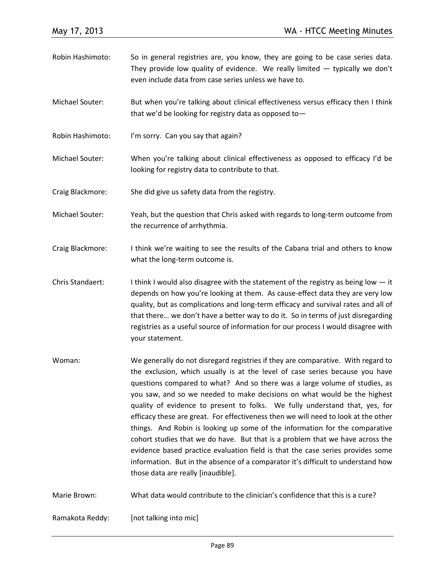- Robin Hashimoto: So in general registries are, you know, they are going to be case series data. They provide low quality of evidence. We really limited  $-$  typically we don't even include data from case series unless we have to.
- Michael Souter: But when you're talking about clinical effectiveness versus efficacy then I think that we'd be looking for registry data as opposed to—
- Robin Hashimoto: I'm sorry. Can you say that again?
- Michael Souter: When you're talking about clinical effectiveness as opposed to efficacy I'd be looking for registry data to contribute to that.
- Craig Blackmore: She did give us safety data from the registry.
- Michael Souter: Yeah, but the question that Chris asked with regards to long-term outcome from the recurrence of arrhythmia.
- Craig Blackmore: I think we're waiting to see the results of the Cabana trial and others to know what the long-term outcome is.
- Chris Standaert: I think I would also disagree with the statement of the registry as being low  $-$  it depends on how you're looking at them. As cause-effect data they are very low quality, but as complications and long-term efficacy and survival rates and all of that there… we don't have a better way to do it. So in terms of just disregarding registries as a useful source of information for our process I would disagree with your statement.
- Woman: We generally do not disregard registries if they are comparative. With regard to the exclusion, which usually is at the level of case series because you have questions compared to what? And so there was a large volume of studies, as you saw, and so we needed to make decisions on what would be the highest quality of evidence to present to folks. We fully understand that, yes, for efficacy these are great. For effectiveness then we will need to look at the other things. And Robin is looking up some of the information for the comparative cohort studies that we do have. But that is a problem that we have across the evidence based practice evaluation field is that the case series provides some information. But in the absence of a comparator it's difficult to understand how those data are really [inaudible].
- Marie Brown: What data would contribute to the clinician's confidence that this is a cure?

Ramakota Reddy: [not talking into mic]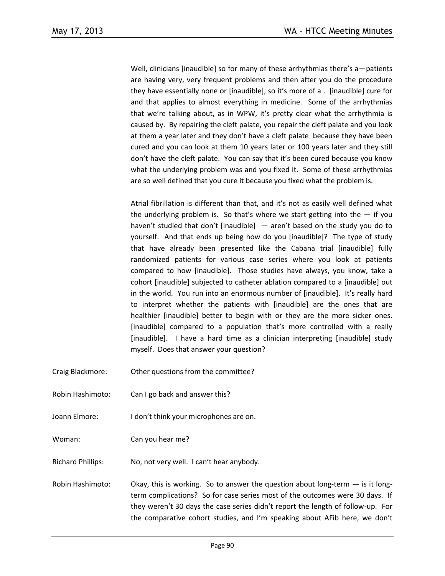Well, clinicians [inaudible] so for many of these arrhythmias there's a-patients are having very, very frequent problems and then after you do the procedure they have essentially none or [inaudible], so it's more of a . [inaudible] cure for and that applies to almost everything in medicine. Some of the arrhythmias that we're talking about, as in WPW, it's pretty clear what the arrhythmia is caused by. By repairing the cleft palate, you repair the cleft palate and you look at them a year later and they don't have a cleft palate because they have been cured and you can look at them 10 years later or 100 years later and they still don't have the cleft palate. You can say that it's been cured because you know what the underlying problem was and you fixed it. Some of these arrhythmias are so well defined that you cure it because you fixed what the problem is.

Atrial fibrillation is different than that, and it's not as easily well defined what the underlying problem is. So that's where we start getting into the  $-$  if you haven't studied that don't [inaudible] — aren't based on the study you do to yourself. And that ends up being how do you [inaudible]? The type of study that have already been presented like the Cabana trial [inaudible] fully randomized patients for various case series where you look at patients compared to how [inaudible]. Those studies have always, you know, take a cohort [inaudible] subjected to catheter ablation compared to a [inaudible] out in the world. You run into an enormous number of [inaudible]. It's really hard to interpret whether the patients with [inaudible] are the ones that are healthier [inaudible] better to begin with or they are the more sicker ones. [inaudible] compared to a population that's more controlled with a really [inaudible]. I have a hard time as a clinician interpreting [inaudible] study myself. Does that answer your question?

- Craig Blackmore: Other questions from the committee?
- Robin Hashimoto: Can I go back and answer this?
- Joann Elmore: I don't think your microphones are on.

Woman: Can you hear me?

Richard Phillips: No, not very well. I can't hear anybody.

Robin Hashimoto: Okay, this is working. So to answer the question about long-term  $-$  is it longterm complications? So for case series most of the outcomes were 30 days. If they weren't 30 days the case series didn't report the length of follow-up. For the comparative cohort studies, and I'm speaking about AFib here, we don't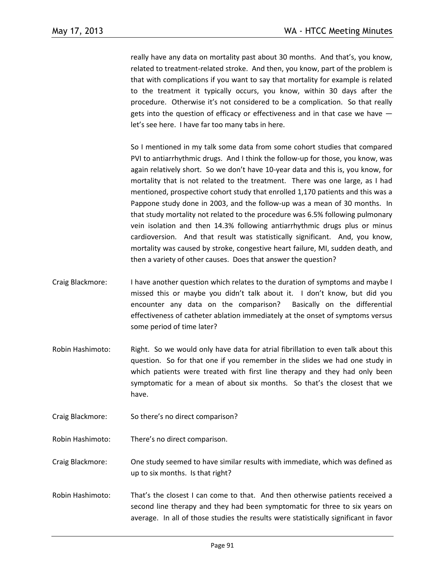really have any data on mortality past about 30 months. And that's, you know, related to treatment-related stroke. And then, you know, part of the problem is that with complications if you want to say that mortality for example is related to the treatment it typically occurs, you know, within 30 days after the procedure. Otherwise it's not considered to be a complication. So that really gets into the question of efficacy or effectiveness and in that case we have let's see here. I have far too many tabs in here.

So I mentioned in my talk some data from some cohort studies that compared PVI to antiarrhythmic drugs. And I think the follow-up for those, you know, was again relatively short. So we don't have 10-year data and this is, you know, for mortality that is not related to the treatment. There was one large, as I had mentioned, prospective cohort study that enrolled 1,170 patients and this was a Pappone study done in 2003, and the follow-up was a mean of 30 months. In that study mortality not related to the procedure was 6.5% following pulmonary vein isolation and then 14.3% following antiarrhythmic drugs plus or minus cardioversion. And that result was statistically significant. And, you know, mortality was caused by stroke, congestive heart failure, MI, sudden death, and then a variety of other causes. Does that answer the question?

- Craig Blackmore: I have another question which relates to the duration of symptoms and maybe I missed this or maybe you didn't talk about it. I don't know, but did you encounter any data on the comparison? Basically on the differential effectiveness of catheter ablation immediately at the onset of symptoms versus some period of time later?
- Robin Hashimoto: Right. So we would only have data for atrial fibrillation to even talk about this question. So for that one if you remember in the slides we had one study in which patients were treated with first line therapy and they had only been symptomatic for a mean of about six months. So that's the closest that we have.
- Craig Blackmore: So there's no direct comparison?
- Robin Hashimoto: There's no direct comparison.

Craig Blackmore: One study seemed to have similar results with immediate, which was defined as up to six months. Is that right?

Robin Hashimoto: That's the closest I can come to that. And then otherwise patients received a second line therapy and they had been symptomatic for three to six years on average. In all of those studies the results were statistically significant in favor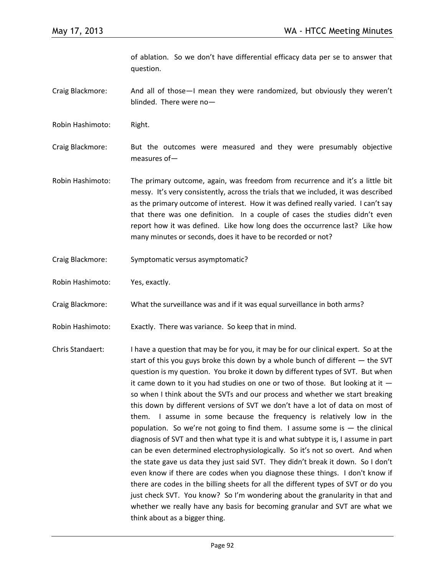of ablation. So we don't have differential efficacy data per se to answer that question.

Craig Blackmore: And all of those—I mean they were randomized, but obviously they weren't blinded. There were no—

Robin Hashimoto: Right.

Craig Blackmore: But the outcomes were measured and they were presumably objective measures of—

- Robin Hashimoto: The primary outcome, again, was freedom from recurrence and it's a little bit messy. It's very consistently, across the trials that we included, it was described as the primary outcome of interest. How it was defined really varied. I can't say that there was one definition. In a couple of cases the studies didn't even report how it was defined. Like how long does the occurrence last? Like how many minutes or seconds, does it have to be recorded or not?
- Craig Blackmore: Symptomatic versus asymptomatic?
- Robin Hashimoto: Yes, exactly.

Craig Blackmore: What the surveillance was and if it was equal surveillance in both arms?

Robin Hashimoto: Exactly. There was variance. So keep that in mind.

Chris Standaert: I have a question that may be for you, it may be for our clinical expert. So at the start of this you guys broke this down by a whole bunch of different — the SVT question is my question. You broke it down by different types of SVT. But when it came down to it you had studies on one or two of those. But looking at it so when I think about the SVTs and our process and whether we start breaking this down by different versions of SVT we don't have a lot of data on most of them. I assume in some because the frequency is relatively low in the population. So we're not going to find them. I assume some is  $-$  the clinical diagnosis of SVT and then what type it is and what subtype it is, I assume in part can be even determined electrophysiologically. So it's not so overt. And when the state gave us data they just said SVT. They didn't break it down. So I don't even know if there are codes when you diagnose these things. I don't know if there are codes in the billing sheets for all the different types of SVT or do you just check SVT. You know? So I'm wondering about the granularity in that and whether we really have any basis for becoming granular and SVT are what we think about as a bigger thing.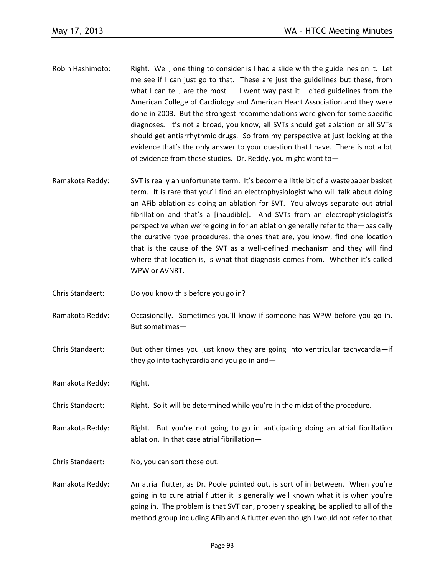- Robin Hashimoto: Right. Well, one thing to consider is I had a slide with the guidelines on it. Let me see if I can just go to that. These are just the guidelines but these, from what I can tell, are the most  $-1$  went way past it – cited guidelines from the American College of Cardiology and American Heart Association and they were done in 2003. But the strongest recommendations were given for some specific diagnoses. It's not a broad, you know, all SVTs should get ablation or all SVTs should get antiarrhythmic drugs. So from my perspective at just looking at the evidence that's the only answer to your question that I have. There is not a lot of evidence from these studies. Dr. Reddy, you might want to—
- Ramakota Reddy: SVT is really an unfortunate term. It's become a little bit of a wastepaper basket term. It is rare that you'll find an electrophysiologist who will talk about doing an AFib ablation as doing an ablation for SVT. You always separate out atrial fibrillation and that's a [inaudible]. And SVTs from an electrophysiologist's perspective when we're going in for an ablation generally refer to the—basically the curative type procedures, the ones that are, you know, find one location that is the cause of the SVT as a well-defined mechanism and they will find where that location is, is what that diagnosis comes from. Whether it's called WPW or AVNRT.
- Chris Standaert: Do you know this before you go in?
- Ramakota Reddy: Occasionally. Sometimes you'll know if someone has WPW before you go in. But sometimes—
- Chris Standaert: But other times you just know they are going into ventricular tachycardia—if they go into tachycardia and you go in and—
- Ramakota Reddy: Right.
- Chris Standaert: Right. So it will be determined while you're in the midst of the procedure.
- Ramakota Reddy: Right. But you're not going to go in anticipating doing an atrial fibrillation ablation. In that case atrial fibrillation—
- Chris Standaert: No, you can sort those out.
- Ramakota Reddy: An atrial flutter, as Dr. Poole pointed out, is sort of in between. When you're going in to cure atrial flutter it is generally well known what it is when you're going in. The problem is that SVT can, properly speaking, be applied to all of the method group including AFib and A flutter even though I would not refer to that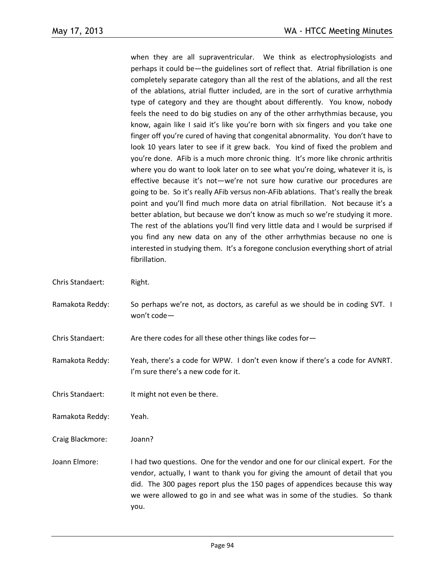when they are all supraventricular. We think as electrophysiologists and perhaps it could be—the guidelines sort of reflect that. Atrial fibrillation is one completely separate category than all the rest of the ablations, and all the rest of the ablations, atrial flutter included, are in the sort of curative arrhythmia type of category and they are thought about differently. You know, nobody feels the need to do big studies on any of the other arrhythmias because, you know, again like I said it's like you're born with six fingers and you take one finger off you're cured of having that congenital abnormality. You don't have to look 10 years later to see if it grew back. You kind of fixed the problem and you're done. AFib is a much more chronic thing. It's more like chronic arthritis where you do want to look later on to see what you're doing, whatever it is, is effective because it's not—we're not sure how curative our procedures are going to be. So it's really AFib versus non-AFib ablations. That's really the break point and you'll find much more data on atrial fibrillation. Not because it's a better ablation, but because we don't know as much so we're studying it more. The rest of the ablations you'll find very little data and I would be surprised if you find any new data on any of the other arrhythmias because no one is interested in studying them. It's a foregone conclusion everything short of atrial fibrillation.

- Chris Standaert: Right.
- Ramakota Reddy: So perhaps we're not, as doctors, as careful as we should be in coding SVT. I won't code—

Chris Standaert: Are there codes for all these other things like codes for-

- Ramakota Reddy: Yeah, there's a code for WPW. I don't even know if there's a code for AVNRT. I'm sure there's a new code for it.
- Chris Standaert: It might not even be there.
- Ramakota Reddy: Yeah.
- Craig Blackmore: Joann?
- Joann Elmore: I had two questions. One for the vendor and one for our clinical expert. For the vendor, actually, I want to thank you for giving the amount of detail that you did. The 300 pages report plus the 150 pages of appendices because this way we were allowed to go in and see what was in some of the studies. So thank you.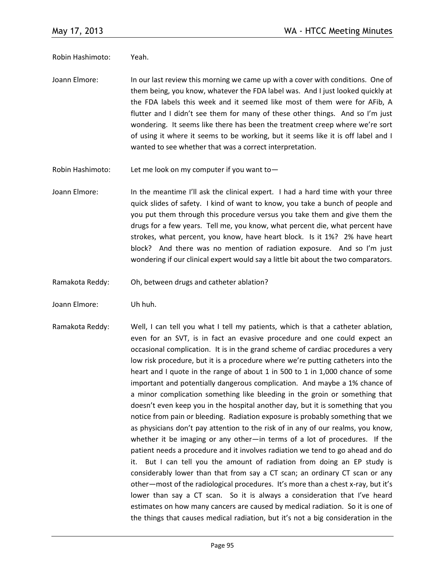Robin Hashimoto: Yeah.

Joann Elmore: In our last review this morning we came up with a cover with conditions. One of them being, you know, whatever the FDA label was. And I just looked quickly at the FDA labels this week and it seemed like most of them were for AFib, A flutter and I didn't see them for many of these other things. And so I'm just wondering. It seems like there has been the treatment creep where we're sort of using it where it seems to be working, but it seems like it is off label and I wanted to see whether that was a correct interpretation.

Robin Hashimoto: Let me look on my computer if you want to—

- Joann Elmore: In the meantime I'll ask the clinical expert. I had a hard time with your three quick slides of safety. I kind of want to know, you take a bunch of people and you put them through this procedure versus you take them and give them the drugs for a few years. Tell me, you know, what percent die, what percent have strokes, what percent, you know, have heart block. Is it 1%? 2% have heart block? And there was no mention of radiation exposure. And so I'm just wondering if our clinical expert would say a little bit about the two comparators.
- Ramakota Reddy: Oh, between drugs and catheter ablation?
- Joann Elmore: Uh huh.
- Ramakota Reddy: Well, I can tell you what I tell my patients, which is that a catheter ablation, even for an SVT, is in fact an evasive procedure and one could expect an occasional complication. It is in the grand scheme of cardiac procedures a very low risk procedure, but it is a procedure where we're putting catheters into the heart and I quote in the range of about 1 in 500 to 1 in 1,000 chance of some important and potentially dangerous complication. And maybe a 1% chance of a minor complication something like bleeding in the groin or something that doesn't even keep you in the hospital another day, but it is something that you notice from pain or bleeding. Radiation exposure is probably something that we as physicians don't pay attention to the risk of in any of our realms, you know, whether it be imaging or any other—in terms of a lot of procedures. If the patient needs a procedure and it involves radiation we tend to go ahead and do it. But I can tell you the amount of radiation from doing an EP study is considerably lower than that from say a CT scan; an ordinary CT scan or any other—most of the radiological procedures. It's more than a chest x-ray, but it's lower than say a CT scan. So it is always a consideration that I've heard estimates on how many cancers are caused by medical radiation. So it is one of the things that causes medical radiation, but it's not a big consideration in the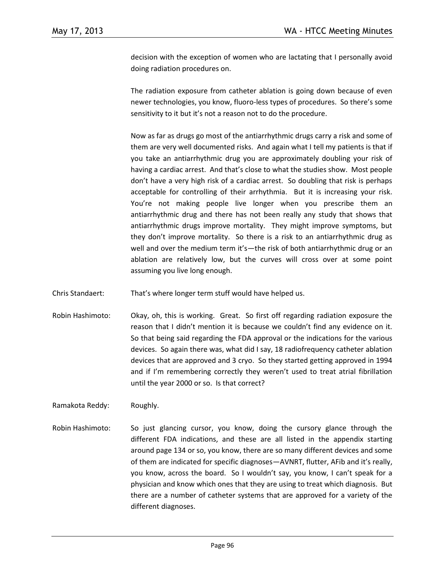decision with the exception of women who are lactating that I personally avoid doing radiation procedures on.

The radiation exposure from catheter ablation is going down because of even newer technologies, you know, fluoro-less types of procedures. So there's some sensitivity to it but it's not a reason not to do the procedure.

Now as far as drugs go most of the antiarrhythmic drugs carry a risk and some of them are very well documented risks. And again what I tell my patients is that if you take an antiarrhythmic drug you are approximately doubling your risk of having a cardiac arrest. And that's close to what the studies show. Most people don't have a very high risk of a cardiac arrest. So doubling that risk is perhaps acceptable for controlling of their arrhythmia. But it is increasing your risk. You're not making people live longer when you prescribe them an antiarrhythmic drug and there has not been really any study that shows that antiarrhythmic drugs improve mortality. They might improve symptoms, but they don't improve mortality. So there is a risk to an antiarrhythmic drug as well and over the medium term it's—the risk of both antiarrhythmic drug or an ablation are relatively low, but the curves will cross over at some point assuming you live long enough.

Chris Standaert: That's where longer term stuff would have helped us.

Robin Hashimoto: Okay, oh, this is working. Great. So first off regarding radiation exposure the reason that I didn't mention it is because we couldn't find any evidence on it. So that being said regarding the FDA approval or the indications for the various devices. So again there was, what did I say, 18 radiofrequency catheter ablation devices that are approved and 3 cryo. So they started getting approved in 1994 and if I'm remembering correctly they weren't used to treat atrial fibrillation until the year 2000 or so. Is that correct?

Ramakota Reddy: Roughly.

Robin Hashimoto: So just glancing cursor, you know, doing the cursory glance through the different FDA indications, and these are all listed in the appendix starting around page 134 or so, you know, there are so many different devices and some of them are indicated for specific diagnoses—AVNRT, flutter, AFib and it's really, you know, across the board. So I wouldn't say, you know, I can't speak for a physician and know which ones that they are using to treat which diagnosis. But there are a number of catheter systems that are approved for a variety of the different diagnoses.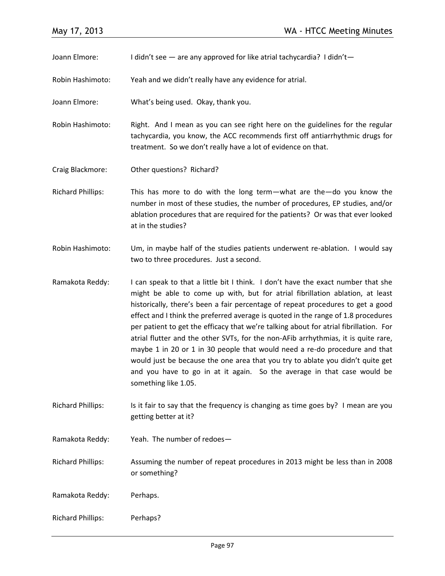Joann Elmore: I didn't see — are any approved for like atrial tachycardia? I didn't—

Robin Hashimoto: Yeah and we didn't really have any evidence for atrial.

Joann Elmore: What's being used. Okay, thank you.

Robin Hashimoto: Right. And I mean as you can see right here on the guidelines for the regular tachycardia, you know, the ACC recommends first off antiarrhythmic drugs for treatment. So we don't really have a lot of evidence on that.

Craig Blackmore: Other questions? Richard?

Richard Phillips: This has more to do with the long term—what are the—do you know the number in most of these studies, the number of procedures, EP studies, and/or ablation procedures that are required for the patients? Or was that ever looked at in the studies?

Robin Hashimoto: Um, in maybe half of the studies patients underwent re-ablation. I would say two to three procedures. Just a second.

Ramakota Reddy: I can speak to that a little bit I think. I don't have the exact number that she might be able to come up with, but for atrial fibrillation ablation, at least historically, there's been a fair percentage of repeat procedures to get a good effect and I think the preferred average is quoted in the range of 1.8 procedures per patient to get the efficacy that we're talking about for atrial fibrillation. For atrial flutter and the other SVTs, for the non-AFib arrhythmias, it is quite rare, maybe 1 in 20 or 1 in 30 people that would need a re-do procedure and that would just be because the one area that you try to ablate you didn't quite get and you have to go in at it again. So the average in that case would be something like 1.05.

Richard Phillips: Is it fair to say that the frequency is changing as time goes by? I mean are you getting better at it?

Ramakota Reddy: Yeah. The number of redoes—

Richard Phillips: Assuming the number of repeat procedures in 2013 might be less than in 2008 or something?

Ramakota Reddy: Perhaps.

Richard Phillips: Perhaps?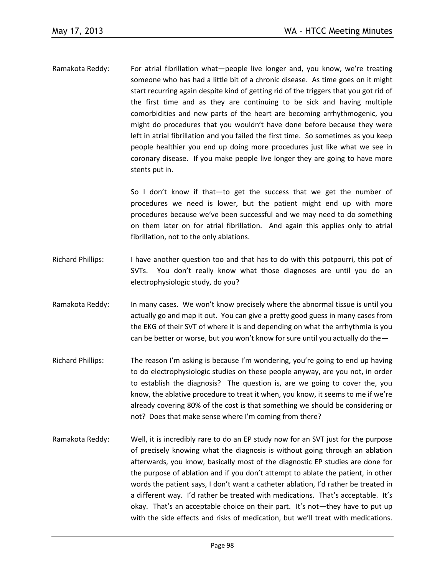Ramakota Reddy: For atrial fibrillation what—people live longer and, you know, we're treating someone who has had a little bit of a chronic disease. As time goes on it might start recurring again despite kind of getting rid of the triggers that you got rid of the first time and as they are continuing to be sick and having multiple comorbidities and new parts of the heart are becoming arrhythmogenic, you might do procedures that you wouldn't have done before because they were left in atrial fibrillation and you failed the first time. So sometimes as you keep people healthier you end up doing more procedures just like what we see in coronary disease. If you make people live longer they are going to have more stents put in.

> So I don't know if that—to get the success that we get the number of procedures we need is lower, but the patient might end up with more procedures because we've been successful and we may need to do something on them later on for atrial fibrillation. And again this applies only to atrial fibrillation, not to the only ablations.

- Richard Phillips: I have another question too and that has to do with this potpourri, this pot of SVTs. You don't really know what those diagnoses are until you do an electrophysiologic study, do you?
- Ramakota Reddy: In many cases. We won't know precisely where the abnormal tissue is until you actually go and map it out. You can give a pretty good guess in many cases from the EKG of their SVT of where it is and depending on what the arrhythmia is you can be better or worse, but you won't know for sure until you actually do the—
- Richard Phillips: The reason I'm asking is because I'm wondering, you're going to end up having to do electrophysiologic studies on these people anyway, are you not, in order to establish the diagnosis? The question is, are we going to cover the, you know, the ablative procedure to treat it when, you know, it seems to me if we're already covering 80% of the cost is that something we should be considering or not? Does that make sense where I'm coming from there?
- Ramakota Reddy: Well, it is incredibly rare to do an EP study now for an SVT just for the purpose of precisely knowing what the diagnosis is without going through an ablation afterwards, you know, basically most of the diagnostic EP studies are done for the purpose of ablation and if you don't attempt to ablate the patient, in other words the patient says, I don't want a catheter ablation, I'd rather be treated in a different way. I'd rather be treated with medications. That's acceptable. It's okay. That's an acceptable choice on their part. It's not—they have to put up with the side effects and risks of medication, but we'll treat with medications.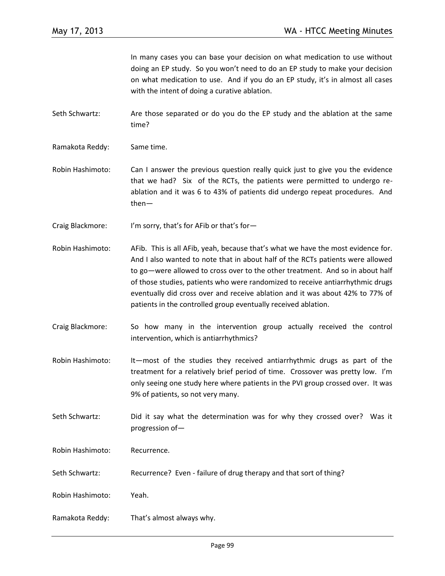In many cases you can base your decision on what medication to use without doing an EP study. So you won't need to do an EP study to make your decision on what medication to use. And if you do an EP study, it's in almost all cases with the intent of doing a curative ablation.

Seth Schwartz: Are those separated or do you do the EP study and the ablation at the same time?

Ramakota Reddy: Same time.

Robin Hashimoto: Can I answer the previous question really quick just to give you the evidence that we had? Six of the RCTs, the patients were permitted to undergo reablation and it was 6 to 43% of patients did undergo repeat procedures. And then—

Craig Blackmore: I'm sorry, that's for AFib or that's for—

- Robin Hashimoto: AFib. This is all AFib, yeah, because that's what we have the most evidence for. And I also wanted to note that in about half of the RCTs patients were allowed to go—were allowed to cross over to the other treatment. And so in about half of those studies, patients who were randomized to receive antiarrhythmic drugs eventually did cross over and receive ablation and it was about 42% to 77% of patients in the controlled group eventually received ablation.
- Craig Blackmore: So how many in the intervention group actually received the control intervention, which is antiarrhythmics?
- Robin Hashimoto: It—most of the studies they received antiarrhythmic drugs as part of the treatment for a relatively brief period of time. Crossover was pretty low. I'm only seeing one study here where patients in the PVI group crossed over. It was 9% of patients, so not very many.
- Seth Schwartz: Did it say what the determination was for why they crossed over? Was it progression of—

Robin Hashimoto: Recurrence.

Seth Schwartz: Recurrence? Even - failure of drug therapy and that sort of thing?

Robin Hashimoto: Yeah.

Ramakota Reddy: That's almost always why.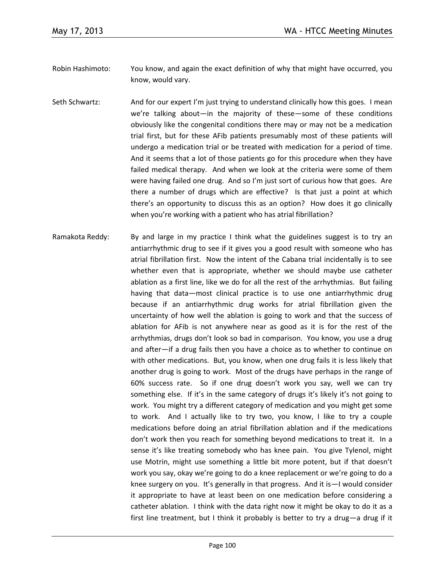- Robin Hashimoto: You know, and again the exact definition of why that might have occurred, you know, would vary.
- Seth Schwartz: And for our expert I'm just trying to understand clinically how this goes. I mean we're talking about—in the majority of these—some of these conditions obviously like the congenital conditions there may or may not be a medication trial first, but for these AFib patients presumably most of these patients will undergo a medication trial or be treated with medication for a period of time. And it seems that a lot of those patients go for this procedure when they have failed medical therapy. And when we look at the criteria were some of them were having failed one drug. And so I'm just sort of curious how that goes. Are there a number of drugs which are effective? Is that just a point at which there's an opportunity to discuss this as an option? How does it go clinically when you're working with a patient who has atrial fibrillation?
- Ramakota Reddy: By and large in my practice I think what the guidelines suggest is to try an antiarrhythmic drug to see if it gives you a good result with someone who has atrial fibrillation first. Now the intent of the Cabana trial incidentally is to see whether even that is appropriate, whether we should maybe use catheter ablation as a first line, like we do for all the rest of the arrhythmias. But failing having that data—most clinical practice is to use one antiarrhythmic drug because if an antiarrhythmic drug works for atrial fibrillation given the uncertainty of how well the ablation is going to work and that the success of ablation for AFib is not anywhere near as good as it is for the rest of the arrhythmias, drugs don't look so bad in comparison. You know, you use a drug and after—if a drug fails then you have a choice as to whether to continue on with other medications. But, you know, when one drug fails it is less likely that another drug is going to work. Most of the drugs have perhaps in the range of 60% success rate. So if one drug doesn't work you say, well we can try something else. If it's in the same category of drugs it's likely it's not going to work. You might try a different category of medication and you might get some to work. And I actually like to try two, you know, I like to try a couple medications before doing an atrial fibrillation ablation and if the medications don't work then you reach for something beyond medications to treat it. In a sense it's like treating somebody who has knee pain. You give Tylenol, might use Motrin, might use something a little bit more potent, but if that doesn't work you say, okay we're going to do a knee replacement or we're going to do a knee surgery on you. It's generally in that progress. And it is—I would consider it appropriate to have at least been on one medication before considering a catheter ablation. I think with the data right now it might be okay to do it as a first line treatment, but I think it probably is better to try a drug—a drug if it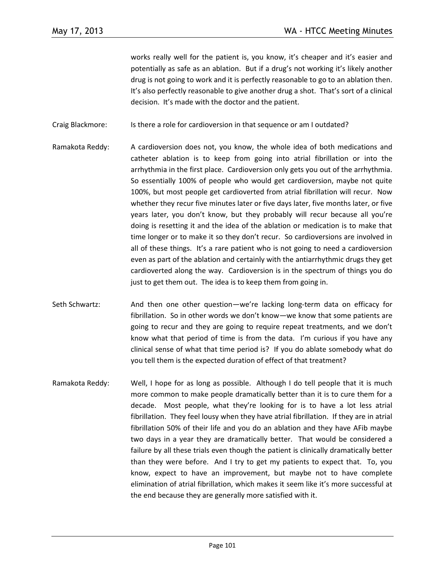works really well for the patient is, you know, it's cheaper and it's easier and potentially as safe as an ablation. But if a drug's not working it's likely another drug is not going to work and it is perfectly reasonable to go to an ablation then. It's also perfectly reasonable to give another drug a shot. That's sort of a clinical decision. It's made with the doctor and the patient.

Craig Blackmore: Is there a role for cardioversion in that sequence or am I outdated?

- Ramakota Reddy: A cardioversion does not, you know, the whole idea of both medications and catheter ablation is to keep from going into atrial fibrillation or into the arrhythmia in the first place. Cardioversion only gets you out of the arrhythmia. So essentially 100% of people who would get cardioversion, maybe not quite 100%, but most people get cardioverted from atrial fibrillation will recur. Now whether they recur five minutes later or five days later, five months later, or five years later, you don't know, but they probably will recur because all you're doing is resetting it and the idea of the ablation or medication is to make that time longer or to make it so they don't recur. So cardioversions are involved in all of these things. It's a rare patient who is not going to need a cardioversion even as part of the ablation and certainly with the antiarrhythmic drugs they get cardioverted along the way. Cardioversion is in the spectrum of things you do just to get them out. The idea is to keep them from going in.
- Seth Schwartz: And then one other question—we're lacking long-term data on efficacy for fibrillation. So in other words we don't know—we know that some patients are going to recur and they are going to require repeat treatments, and we don't know what that period of time is from the data. I'm curious if you have any clinical sense of what that time period is? If you do ablate somebody what do you tell them is the expected duration of effect of that treatment?
- Ramakota Reddy: Well, I hope for as long as possible. Although I do tell people that it is much more common to make people dramatically better than it is to cure them for a decade. Most people, what they're looking for is to have a lot less atrial fibrillation. They feel lousy when they have atrial fibrillation. If they are in atrial fibrillation 50% of their life and you do an ablation and they have AFib maybe two days in a year they are dramatically better. That would be considered a failure by all these trials even though the patient is clinically dramatically better than they were before. And I try to get my patients to expect that. To, you know, expect to have an improvement, but maybe not to have complete elimination of atrial fibrillation, which makes it seem like it's more successful at the end because they are generally more satisfied with it.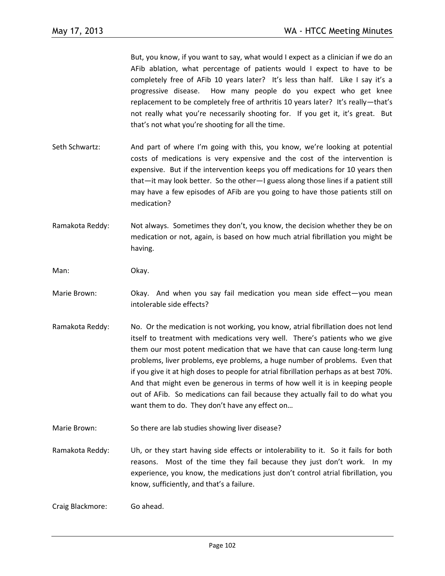But, you know, if you want to say, what would I expect as a clinician if we do an AFib ablation, what percentage of patients would I expect to have to be completely free of AFib 10 years later? It's less than half. Like I say it's a progressive disease. How many people do you expect who get knee replacement to be completely free of arthritis 10 years later? It's really—that's not really what you're necessarily shooting for. If you get it, it's great. But that's not what you're shooting for all the time.

- Seth Schwartz: And part of where I'm going with this, you know, we're looking at potential costs of medications is very expensive and the cost of the intervention is expensive. But if the intervention keeps you off medications for 10 years then that—it may look better. So the other—I guess along those lines if a patient still may have a few episodes of AFib are you going to have those patients still on medication?
- Ramakota Reddy: Not always. Sometimes they don't, you know, the decision whether they be on medication or not, again, is based on how much atrial fibrillation you might be having.

Man: Okay.

- Marie Brown: Okay. And when you say fail medication you mean side effect—you mean intolerable side effects?
- Ramakota Reddy: No. Or the medication is not working, you know, atrial fibrillation does not lend itself to treatment with medications very well. There's patients who we give them our most potent medication that we have that can cause long-term lung problems, liver problems, eye problems, a huge number of problems. Even that if you give it at high doses to people for atrial fibrillation perhaps as at best 70%. And that might even be generous in terms of how well it is in keeping people out of AFib. So medications can fail because they actually fail to do what you want them to do. They don't have any effect on…
- Marie Brown: So there are lab studies showing liver disease?
- Ramakota Reddy: Uh, or they start having side effects or intolerability to it. So it fails for both reasons. Most of the time they fail because they just don't work. In my experience, you know, the medications just don't control atrial fibrillation, you know, sufficiently, and that's a failure.

Craig Blackmore: Go ahead.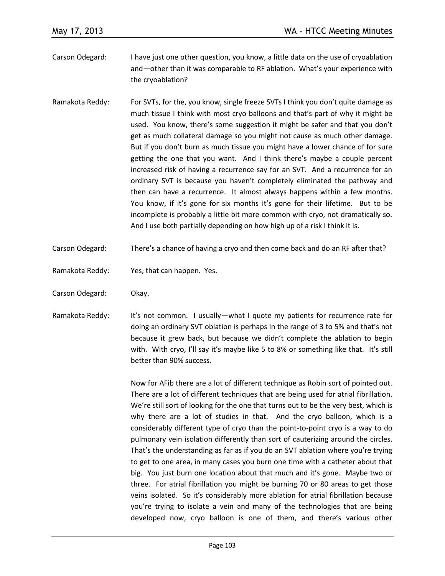- Carson Odegard: I have just one other question, you know, a little data on the use of cryoablation and—other than it was comparable to RF ablation. What's your experience with the cryoablation?
- Ramakota Reddy: For SVTs, for the, you know, single freeze SVTs I think you don't quite damage as much tissue I think with most cryo balloons and that's part of why it might be used. You know, there's some suggestion it might be safer and that you don't get as much collateral damage so you might not cause as much other damage. But if you don't burn as much tissue you might have a lower chance of for sure getting the one that you want. And I think there's maybe a couple percent increased risk of having a recurrence say for an SVT. And a recurrence for an ordinary SVT is because you haven't completely eliminated the pathway and then can have a recurrence. It almost always happens within a few months. You know, if it's gone for six months it's gone for their lifetime. But to be incomplete is probably a little bit more common with cryo, not dramatically so. And I use both partially depending on how high up of a risk I think it is.
- Carson Odegard: There's a chance of having a cryo and then come back and do an RF after that?
- Ramakota Reddy: Yes, that can happen. Yes.
- Carson Odegard: Okay.
- Ramakota Reddy: It's not common. I usually—what I quote my patients for recurrence rate for doing an ordinary SVT oblation is perhaps in the range of 3 to 5% and that's not because it grew back, but because we didn't complete the ablation to begin with. With cryo, I'll say it's maybe like 5 to 8% or something like that. It's still better than 90% success.

Now for AFib there are a lot of different technique as Robin sort of pointed out. There are a lot of different techniques that are being used for atrial fibrillation. We're still sort of looking for the one that turns out to be the very best, which is why there are a lot of studies in that. And the cryo balloon, which is a considerably different type of cryo than the point-to-point cryo is a way to do pulmonary vein isolation differently than sort of cauterizing around the circles. That's the understanding as far as if you do an SVT ablation where you're trying to get to one area, in many cases you burn one time with a catheter about that big. You just burn one location about that much and it's gone. Maybe two or three. For atrial fibrillation you might be burning 70 or 80 areas to get those veins isolated. So it's considerably more ablation for atrial fibrillation because you're trying to isolate a vein and many of the technologies that are being developed now, cryo balloon is one of them, and there's various other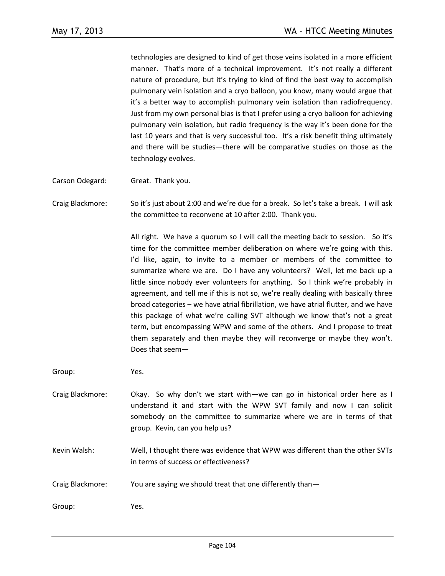technologies are designed to kind of get those veins isolated in a more efficient manner. That's more of a technical improvement. It's not really a different nature of procedure, but it's trying to kind of find the best way to accomplish pulmonary vein isolation and a cryo balloon, you know, many would argue that it's a better way to accomplish pulmonary vein isolation than radiofrequency. Just from my own personal bias is that I prefer using a cryo balloon for achieving pulmonary vein isolation, but radio frequency is the way it's been done for the last 10 years and that is very successful too. It's a risk benefit thing ultimately and there will be studies—there will be comparative studies on those as the technology evolves.

- Carson Odegard: Great. Thank you.
- Craig Blackmore: So it's just about 2:00 and we're due for a break. So let's take a break. I will ask the committee to reconvene at 10 after 2:00. Thank you.

All right. We have a quorum so I will call the meeting back to session. So it's time for the committee member deliberation on where we're going with this. I'd like, again, to invite to a member or members of the committee to summarize where we are. Do I have any volunteers? Well, let me back up a little since nobody ever volunteers for anything. So I think we're probably in agreement, and tell me if this is not so, we're really dealing with basically three broad categories – we have atrial fibrillation, we have atrial flutter, and we have this package of what we're calling SVT although we know that's not a great term, but encompassing WPW and some of the others. And I propose to treat them separately and then maybe they will reconverge or maybe they won't. Does that seem—

Group: Yes.

- Craig Blackmore: Okay. So why don't we start with—we can go in historical order here as I understand it and start with the WPW SVT family and now I can solicit somebody on the committee to summarize where we are in terms of that group. Kevin, can you help us?
- Kevin Walsh: Well, I thought there was evidence that WPW was different than the other SVTs in terms of success or effectiveness?
- Craig Blackmore: You are saying we should treat that one differently than—

Group: Yes.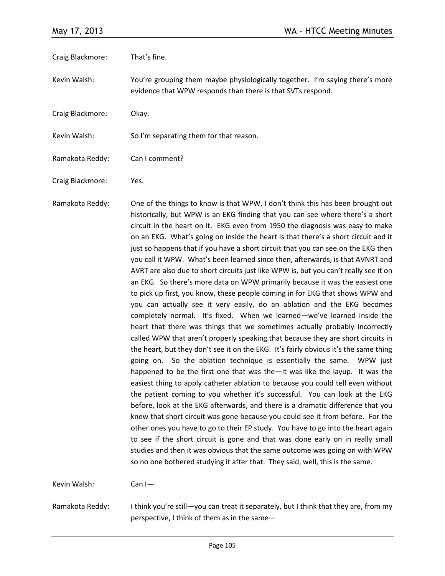| Craig Blackmore: | That's fine.                                                                                                                                                                                                                                                                                                                                                                                                                                                                                                                                                                                                                                                                                                                                                                                                                                                                                                                                                                                                                                                                                                                                                                                                                                                                                                                                                                                                                                                                                                                                                                                                                                                                                                                                                                                                                                                                                                                                                                                                                          |
|------------------|---------------------------------------------------------------------------------------------------------------------------------------------------------------------------------------------------------------------------------------------------------------------------------------------------------------------------------------------------------------------------------------------------------------------------------------------------------------------------------------------------------------------------------------------------------------------------------------------------------------------------------------------------------------------------------------------------------------------------------------------------------------------------------------------------------------------------------------------------------------------------------------------------------------------------------------------------------------------------------------------------------------------------------------------------------------------------------------------------------------------------------------------------------------------------------------------------------------------------------------------------------------------------------------------------------------------------------------------------------------------------------------------------------------------------------------------------------------------------------------------------------------------------------------------------------------------------------------------------------------------------------------------------------------------------------------------------------------------------------------------------------------------------------------------------------------------------------------------------------------------------------------------------------------------------------------------------------------------------------------------------------------------------------------|
| Kevin Walsh:     | You're grouping them maybe physiologically together. I'm saying there's more<br>evidence that WPW responds than there is that SVTs respond.                                                                                                                                                                                                                                                                                                                                                                                                                                                                                                                                                                                                                                                                                                                                                                                                                                                                                                                                                                                                                                                                                                                                                                                                                                                                                                                                                                                                                                                                                                                                                                                                                                                                                                                                                                                                                                                                                           |
| Craig Blackmore: | Okay.                                                                                                                                                                                                                                                                                                                                                                                                                                                                                                                                                                                                                                                                                                                                                                                                                                                                                                                                                                                                                                                                                                                                                                                                                                                                                                                                                                                                                                                                                                                                                                                                                                                                                                                                                                                                                                                                                                                                                                                                                                 |
| Kevin Walsh:     | So I'm separating them for that reason.                                                                                                                                                                                                                                                                                                                                                                                                                                                                                                                                                                                                                                                                                                                                                                                                                                                                                                                                                                                                                                                                                                                                                                                                                                                                                                                                                                                                                                                                                                                                                                                                                                                                                                                                                                                                                                                                                                                                                                                               |
| Ramakota Reddy:  | Can I comment?                                                                                                                                                                                                                                                                                                                                                                                                                                                                                                                                                                                                                                                                                                                                                                                                                                                                                                                                                                                                                                                                                                                                                                                                                                                                                                                                                                                                                                                                                                                                                                                                                                                                                                                                                                                                                                                                                                                                                                                                                        |
| Craig Blackmore: | Yes.                                                                                                                                                                                                                                                                                                                                                                                                                                                                                                                                                                                                                                                                                                                                                                                                                                                                                                                                                                                                                                                                                                                                                                                                                                                                                                                                                                                                                                                                                                                                                                                                                                                                                                                                                                                                                                                                                                                                                                                                                                  |
| Ramakota Reddy:  | One of the things to know is that WPW, I don't think this has been brought out<br>historically, but WPW is an EKG finding that you can see where there's a short<br>circuit in the heart on it. EKG even from 1950 the diagnosis was easy to make<br>on an EKG. What's going on inside the heart is that there's a short circuit and it<br>just so happens that if you have a short circuit that you can see on the EKG then<br>you call it WPW. What's been learned since then, afterwards, is that AVNRT and<br>AVRT are also due to short circuits just like WPW is, but you can't really see it on<br>an EKG. So there's more data on WPW primarily because it was the easiest one<br>to pick up first, you know, these people coming in for EKG that shows WPW and<br>you can actually see it very easily, do an ablation and the EKG becomes<br>completely normal. It's fixed. When we learned-we've learned inside the<br>heart that there was things that we sometimes actually probably incorrectly<br>called WPW that aren't properly speaking that because they are short circuits in<br>the heart, but they don't see it on the EKG. It's fairly obvious it's the same thing<br>going on. So the ablation technique is essentially the same. WPW just<br>happened to be the first one that was the $\equiv$ it was like the layup. It was the<br>easiest thing to apply catheter ablation to because you could tell even without<br>the patient coming to you whether it's successful. You can look at the EKG<br>before, look at the EKG afterwards, and there is a dramatic difference that you<br>knew that short circuit was gone because you could see it from before. For the<br>other ones you have to go to their EP study. You have to go into the heart again<br>to see if the short circuit is gone and that was done early on in really small<br>studies and then it was obvious that the same outcome was going on with WPW<br>so no one bothered studying it after that. They said, well, this is the same. |
| Kevin Walsh:     | $Can I -$                                                                                                                                                                                                                                                                                                                                                                                                                                                                                                                                                                                                                                                                                                                                                                                                                                                                                                                                                                                                                                                                                                                                                                                                                                                                                                                                                                                                                                                                                                                                                                                                                                                                                                                                                                                                                                                                                                                                                                                                                             |

Ramakota Reddy: I think you're still—you can treat it separately, but I think that they are, from my perspective, I think of them as in the same—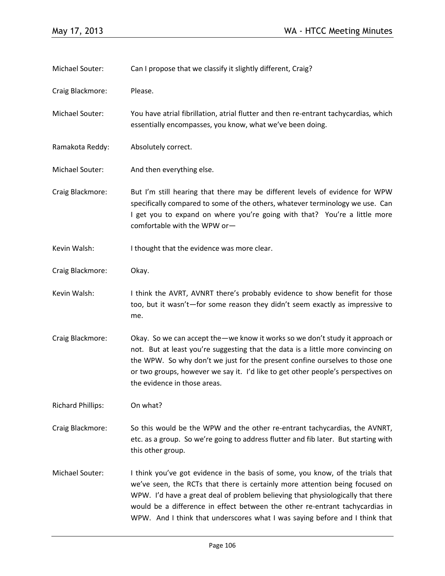| Michael Souter:          | Can I propose that we classify it slightly different, Craig?                                                                                                                                                                                                                                                                                                                                                     |
|--------------------------|------------------------------------------------------------------------------------------------------------------------------------------------------------------------------------------------------------------------------------------------------------------------------------------------------------------------------------------------------------------------------------------------------------------|
| Craig Blackmore:         | Please.                                                                                                                                                                                                                                                                                                                                                                                                          |
| Michael Souter:          | You have atrial fibrillation, atrial flutter and then re-entrant tachycardias, which<br>essentially encompasses, you know, what we've been doing.                                                                                                                                                                                                                                                                |
| Ramakota Reddy:          | Absolutely correct.                                                                                                                                                                                                                                                                                                                                                                                              |
| Michael Souter:          | And then everything else.                                                                                                                                                                                                                                                                                                                                                                                        |
| Craig Blackmore:         | But I'm still hearing that there may be different levels of evidence for WPW<br>specifically compared to some of the others, whatever terminology we use. Can<br>I get you to expand on where you're going with that? You're a little more<br>comfortable with the WPW or-                                                                                                                                       |
| Kevin Walsh:             | I thought that the evidence was more clear.                                                                                                                                                                                                                                                                                                                                                                      |
| Craig Blackmore:         | Okay.                                                                                                                                                                                                                                                                                                                                                                                                            |
| Kevin Walsh:             | I think the AVRT, AVNRT there's probably evidence to show benefit for those<br>too, but it wasn't—for some reason they didn't seem exactly as impressive to<br>me.                                                                                                                                                                                                                                               |
| Craig Blackmore:         | Okay. So we can accept the - we know it works so we don't study it approach or<br>not. But at least you're suggesting that the data is a little more convincing on<br>the WPW. So why don't we just for the present confine ourselves to those one<br>or two groups, however we say it. I'd like to get other people's perspectives on<br>the evidence in those areas.                                           |
| <b>Richard Phillips:</b> | On what?                                                                                                                                                                                                                                                                                                                                                                                                         |
| Craig Blackmore:         | So this would be the WPW and the other re-entrant tachycardias, the AVNRT,<br>etc. as a group. So we're going to address flutter and fib later. But starting with<br>this other group.                                                                                                                                                                                                                           |
| Michael Souter:          | I think you've got evidence in the basis of some, you know, of the trials that<br>we've seen, the RCTs that there is certainly more attention being focused on<br>WPW. I'd have a great deal of problem believing that physiologically that there<br>would be a difference in effect between the other re-entrant tachycardias in<br>WPW. And I think that underscores what I was saying before and I think that |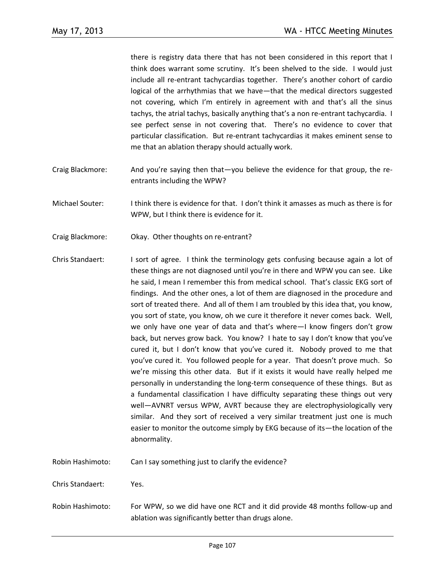there is registry data there that has not been considered in this report that I think does warrant some scrutiny. It's been shelved to the side. I would just include all re-entrant tachycardias together. There's another cohort of cardio logical of the arrhythmias that we have—that the medical directors suggested not covering, which I'm entirely in agreement with and that's all the sinus tachys, the atrial tachys, basically anything that's a non re-entrant tachycardia. I see perfect sense in not covering that. There's no evidence to cover that particular classification. But re-entrant tachycardias it makes eminent sense to me that an ablation therapy should actually work.

- Craig Blackmore: And you're saying then that—you believe the evidence for that group, the reentrants including the WPW?
- Michael Souter: I think there is evidence for that. I don't think it amasses as much as there is for WPW, but I think there is evidence for it.
- Craig Blackmore: Okay. Other thoughts on re-entrant?
- Chris Standaert: I sort of agree. I think the terminology gets confusing because again a lot of these things are not diagnosed until you're in there and WPW you can see. Like he said, I mean I remember this from medical school. That's classic EKG sort of findings. And the other ones, a lot of them are diagnosed in the procedure and sort of treated there. And all of them I am troubled by this idea that, you know, you sort of state, you know, oh we cure it therefore it never comes back. Well, we only have one year of data and that's where—I know fingers don't grow back, but nerves grow back. You know? I hate to say I don't know that you've cured it, but I don't know that you've cured it. Nobody proved to me that you've cured it. You followed people for a year. That doesn't prove much. So we're missing this other data. But if it exists it would have really helped me personally in understanding the long-term consequence of these things. But as a fundamental classification I have difficulty separating these things out very well—AVNRT versus WPW, AVRT because they are electrophysiologically very similar. And they sort of received a very similar treatment just one is much easier to monitor the outcome simply by EKG because of its—the location of the abnormality.
- Robin Hashimoto: Can I say something just to clarify the evidence?

Chris Standaert: Yes.

Robin Hashimoto: For WPW, so we did have one RCT and it did provide 48 months follow-up and ablation was significantly better than drugs alone.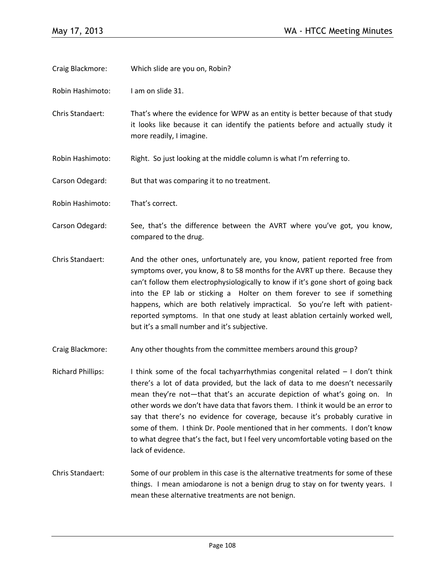- Craig Blackmore: Which slide are you on, Robin?
- Robin Hashimoto: I am on slide 31.
- Chris Standaert: That's where the evidence for WPW as an entity is better because of that study it looks like because it can identify the patients before and actually study it more readily, I imagine.
- Robin Hashimoto: Right. So just looking at the middle column is what I'm referring to.
- Carson Odegard: But that was comparing it to no treatment.
- Robin Hashimoto: That's correct.
- Carson Odegard: See, that's the difference between the AVRT where you've got, you know, compared to the drug.
- Chris Standaert: And the other ones, unfortunately are, you know, patient reported free from symptoms over, you know, 8 to 58 months for the AVRT up there. Because they can't follow them electrophysiologically to know if it's gone short of going back into the EP lab or sticking a Holter on them forever to see if something happens, which are both relatively impractical. So you're left with patientreported symptoms. In that one study at least ablation certainly worked well, but it's a small number and it's subjective.
- Craig Blackmore: Any other thoughts from the committee members around this group?
- Richard Phillips: I think some of the focal tachyarrhythmias congenital related I don't think there's a lot of data provided, but the lack of data to me doesn't necessarily mean they're not—that that's an accurate depiction of what's going on. In other words we don't have data that favors them. I think it would be an error to say that there's no evidence for coverage, because it's probably curative in some of them. I think Dr. Poole mentioned that in her comments. I don't know to what degree that's the fact, but I feel very uncomfortable voting based on the lack of evidence.
- Chris Standaert: Some of our problem in this case is the alternative treatments for some of these things. I mean amiodarone is not a benign drug to stay on for twenty years. I mean these alternative treatments are not benign.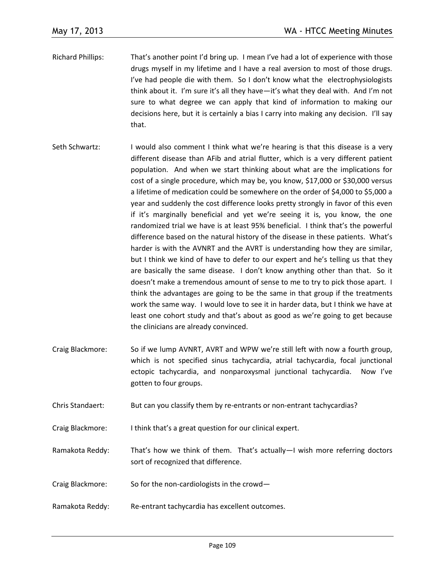- Richard Phillips: That's another point I'd bring up. I mean I've had a lot of experience with those drugs myself in my lifetime and I have a real aversion to most of those drugs. I've had people die with them. So I don't know what the electrophysiologists think about it. I'm sure it's all they have—it's what they deal with. And I'm not sure to what degree we can apply that kind of information to making our decisions here, but it is certainly a bias I carry into making any decision. I'll say that.
- Seth Schwartz: I would also comment I think what we're hearing is that this disease is a very different disease than AFib and atrial flutter, which is a very different patient population. And when we start thinking about what are the implications for cost of a single procedure, which may be, you know, \$17,000 or \$30,000 versus a lifetime of medication could be somewhere on the order of \$4,000 to \$5,000 a year and suddenly the cost difference looks pretty strongly in favor of this even if it's marginally beneficial and yet we're seeing it is, you know, the one randomized trial we have is at least 95% beneficial. I think that's the powerful difference based on the natural history of the disease in these patients. What's harder is with the AVNRT and the AVRT is understanding how they are similar, but I think we kind of have to defer to our expert and he's telling us that they are basically the same disease. I don't know anything other than that. So it doesn't make a tremendous amount of sense to me to try to pick those apart. I think the advantages are going to be the same in that group if the treatments work the same way. I would love to see it in harder data, but I think we have at least one cohort study and that's about as good as we're going to get because the clinicians are already convinced.
- Craig Blackmore: So if we lump AVNRT, AVRT and WPW we're still left with now a fourth group, which is not specified sinus tachycardia, atrial tachycardia, focal junctional ectopic tachycardia, and nonparoxysmal junctional tachycardia. Now I've gotten to four groups.
- Chris Standaert: But can you classify them by re-entrants or non-entrant tachycardias?
- Craig Blackmore: I think that's a great question for our clinical expert.
- Ramakota Reddy: That's how we think of them. That's actually—I wish more referring doctors sort of recognized that difference.
- Craig Blackmore: So for the non-cardiologists in the crowd—
- Ramakota Reddy: Re-entrant tachycardia has excellent outcomes.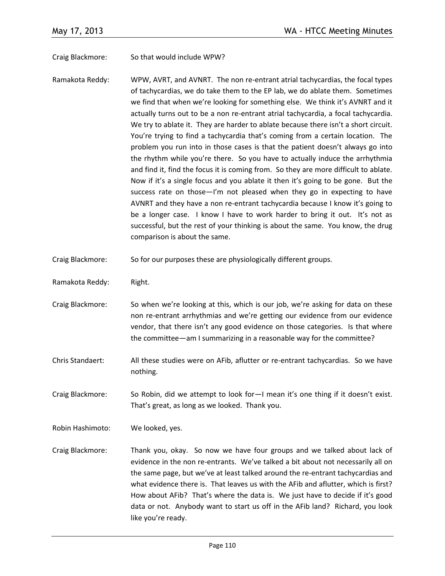Craig Blackmore: So that would include WPW?

- Ramakota Reddy: WPW, AVRT, and AVNRT. The non re-entrant atrial tachycardias, the focal types of tachycardias, we do take them to the EP lab, we do ablate them. Sometimes we find that when we're looking for something else. We think it's AVNRT and it actually turns out to be a non re-entrant atrial tachycardia, a focal tachycardia. We try to ablate it. They are harder to ablate because there isn't a short circuit. You're trying to find a tachycardia that's coming from a certain location. The problem you run into in those cases is that the patient doesn't always go into the rhythm while you're there. So you have to actually induce the arrhythmia and find it, find the focus it is coming from. So they are more difficult to ablate. Now if it's a single focus and you ablate it then it's going to be gone. But the success rate on those-I'm not pleased when they go in expecting to have AVNRT and they have a non re-entrant tachycardia because I know it's going to be a longer case. I know I have to work harder to bring it out. It's not as successful, but the rest of your thinking is about the same. You know, the drug comparison is about the same.
- Craig Blackmore: So for our purposes these are physiologically different groups.
- Ramakota Reddy: Right.
- Craig Blackmore: So when we're looking at this, which is our job, we're asking for data on these non re-entrant arrhythmias and we're getting our evidence from our evidence vendor, that there isn't any good evidence on those categories. Is that where the committee—am I summarizing in a reasonable way for the committee?
- Chris Standaert: All these studies were on AFib, aflutter or re-entrant tachycardias. So we have nothing.
- Craig Blackmore: So Robin, did we attempt to look for—I mean it's one thing if it doesn't exist. That's great, as long as we looked. Thank you.

Robin Hashimoto: We looked, yes.

Craig Blackmore: Thank you, okay. So now we have four groups and we talked about lack of evidence in the non re-entrants. We've talked a bit about not necessarily all on the same page, but we've at least talked around the re-entrant tachycardias and what evidence there is. That leaves us with the AFib and aflutter, which is first? How about AFib? That's where the data is. We just have to decide if it's good data or not. Anybody want to start us off in the AFib land? Richard, you look like you're ready.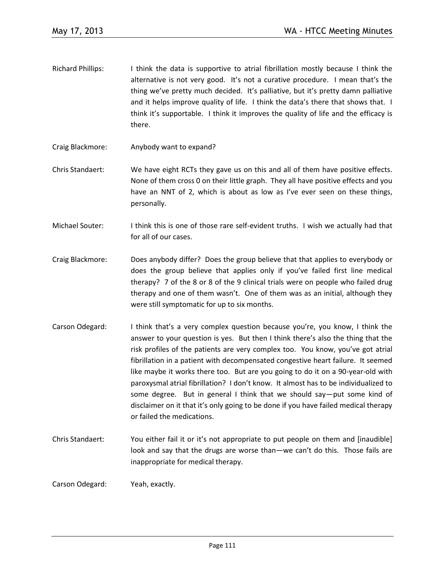- Richard Phillips: I think the data is supportive to atrial fibrillation mostly because I think the alternative is not very good. It's not a curative procedure. I mean that's the thing we've pretty much decided. It's palliative, but it's pretty damn palliative and it helps improve quality of life. I think the data's there that shows that. I think it's supportable. I think it improves the quality of life and the efficacy is there.
- Craig Blackmore: Anybody want to expand?
- Chris Standaert: We have eight RCTs they gave us on this and all of them have positive effects. None of them cross 0 on their little graph. They all have positive effects and you have an NNT of 2, which is about as low as I've ever seen on these things, personally.
- Michael Souter: I think this is one of those rare self-evident truths. I wish we actually had that for all of our cases.
- Craig Blackmore: Does anybody differ? Does the group believe that that applies to everybody or does the group believe that applies only if you've failed first line medical therapy? 7 of the 8 or 8 of the 9 clinical trials were on people who failed drug therapy and one of them wasn't. One of them was as an initial, although they were still symptomatic for up to six months.
- Carson Odegard: I think that's a very complex question because you're, you know, I think the answer to your question is yes. But then I think there's also the thing that the risk profiles of the patients are very complex too. You know, you've got atrial fibrillation in a patient with decompensated congestive heart failure. It seemed like maybe it works there too. But are you going to do it on a 90-year-old with paroxysmal atrial fibrillation? I don't know. It almost has to be individualized to some degree. But in general I think that we should say—put some kind of disclaimer on it that it's only going to be done if you have failed medical therapy or failed the medications.
- Chris Standaert: You either fail it or it's not appropriate to put people on them and [inaudible] look and say that the drugs are worse than—we can't do this. Those fails are inappropriate for medical therapy.

Carson Odegard: Yeah, exactly.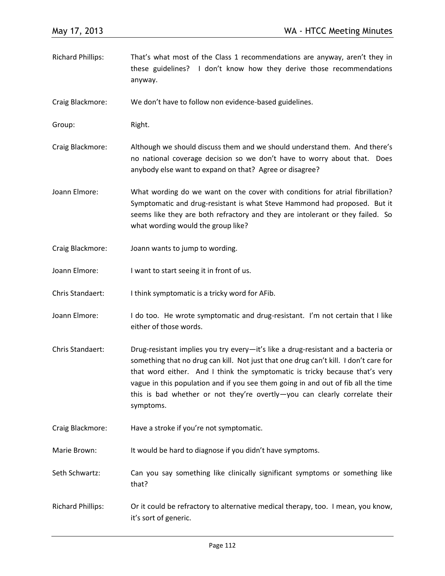- Richard Phillips: That's what most of the Class 1 recommendations are anyway, aren't they in these guidelines? I don't know how they derive those recommendations anyway.
- Craig Blackmore: We don't have to follow non evidence-based guidelines.

Group: Right.

- Craig Blackmore: Although we should discuss them and we should understand them. And there's no national coverage decision so we don't have to worry about that. Does anybody else want to expand on that? Agree or disagree?
- Joann Elmore: What wording do we want on the cover with conditions for atrial fibrillation? Symptomatic and drug-resistant is what Steve Hammond had proposed. But it seems like they are both refractory and they are intolerant or they failed. So what wording would the group like?
- Craig Blackmore: Joann wants to jump to wording.
- Joann Elmore: I want to start seeing it in front of us.
- Chris Standaert: I think symptomatic is a tricky word for AFib.
- Joann Elmore: I do too. He wrote symptomatic and drug-resistant. I'm not certain that I like either of those words.
- Chris Standaert: Drug-resistant implies you try every—it's like a drug-resistant and a bacteria or something that no drug can kill. Not just that one drug can't kill. I don't care for that word either. And I think the symptomatic is tricky because that's very vague in this population and if you see them going in and out of fib all the time this is bad whether or not they're overtly—you can clearly correlate their symptoms.
- Craig Blackmore: Have a stroke if you're not symptomatic.
- Marie Brown: It would be hard to diagnose if you didn't have symptoms.
- Seth Schwartz: Can you say something like clinically significant symptoms or something like that?
- Richard Phillips: Or it could be refractory to alternative medical therapy, too. I mean, you know, it's sort of generic.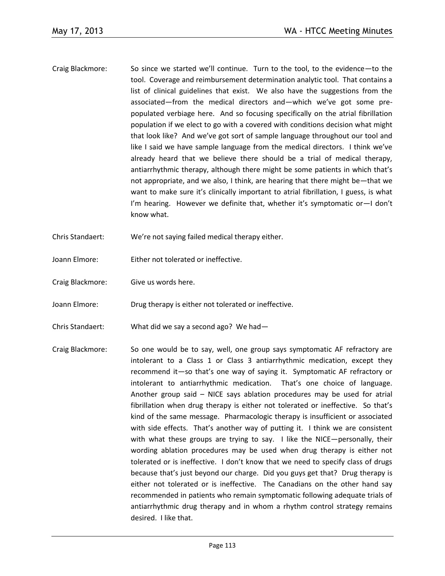- Craig Blackmore: So since we started we'll continue. Turn to the tool, to the evidence—to the tool. Coverage and reimbursement determination analytic tool. That contains a list of clinical guidelines that exist. We also have the suggestions from the associated—from the medical directors and—which we've got some prepopulated verbiage here. And so focusing specifically on the atrial fibrillation population if we elect to go with a covered with conditions decision what might that look like? And we've got sort of sample language throughout our tool and like I said we have sample language from the medical directors. I think we've already heard that we believe there should be a trial of medical therapy, antiarrhythmic therapy, although there might be some patients in which that's not appropriate, and we also, I think, are hearing that there might be—that we want to make sure it's clinically important to atrial fibrillation, I guess, is what I'm hearing. However we definite that, whether it's symptomatic or—I don't know what.
- Chris Standaert: We're not saying failed medical therapy either.
- Joann Elmore: Either not tolerated or ineffective.
- Craig Blackmore: Give us words here.
- Joann Elmore: Drug therapy is either not tolerated or ineffective.
- Chris Standaert: What did we say a second ago? We had—
- Craig Blackmore: So one would be to say, well, one group says symptomatic AF refractory are intolerant to a Class 1 or Class 3 antiarrhythmic medication, except they recommend it—so that's one way of saying it. Symptomatic AF refractory or intolerant to antiarrhythmic medication. That's one choice of language. Another group said – NICE says ablation procedures may be used for atrial fibrillation when drug therapy is either not tolerated or ineffective. So that's kind of the same message. Pharmacologic therapy is insufficient or associated with side effects. That's another way of putting it. I think we are consistent with what these groups are trying to say. I like the NICE—personally, their wording ablation procedures may be used when drug therapy is either not tolerated or is ineffective. I don't know that we need to specify class of drugs because that's just beyond our charge. Did you guys get that? Drug therapy is either not tolerated or is ineffective. The Canadians on the other hand say recommended in patients who remain symptomatic following adequate trials of antiarrhythmic drug therapy and in whom a rhythm control strategy remains desired. I like that.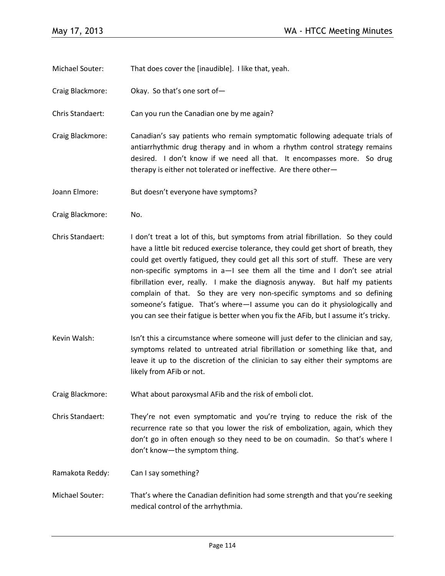Michael Souter: That does cover the [inaudible]. I like that, yeah.

Craig Blackmore: Okay. So that's one sort of—

Chris Standaert: Can you run the Canadian one by me again?

Craig Blackmore: Canadian's say patients who remain symptomatic following adequate trials of antiarrhythmic drug therapy and in whom a rhythm control strategy remains desired. I don't know if we need all that. It encompasses more. So drug therapy is either not tolerated or ineffective. Are there other—

Joann Elmore: But doesn't everyone have symptoms?

- Craig Blackmore: No.
- Chris Standaert: I don't treat a lot of this, but symptoms from atrial fibrillation. So they could have a little bit reduced exercise tolerance, they could get short of breath, they could get overtly fatigued, they could get all this sort of stuff. These are very non-specific symptoms in a—I see them all the time and I don't see atrial fibrillation ever, really. I make the diagnosis anyway. But half my patients complain of that. So they are very non-specific symptoms and so defining someone's fatigue. That's where—I assume you can do it physiologically and you can see their fatigue is better when you fix the AFib, but I assume it's tricky.
- Kevin Walsh: Isn't this a circumstance where someone will just defer to the clinician and say, symptoms related to untreated atrial fibrillation or something like that, and leave it up to the discretion of the clinician to say either their symptoms are likely from AFib or not.

Craig Blackmore: What about paroxysmal AFib and the risk of emboli clot.

Chris Standaert: They're not even symptomatic and you're trying to reduce the risk of the recurrence rate so that you lower the risk of embolization, again, which they don't go in often enough so they need to be on coumadin. So that's where I don't know—the symptom thing.

Ramakota Reddy: Can I say something?

Michael Souter: That's where the Canadian definition had some strength and that you're seeking medical control of the arrhythmia.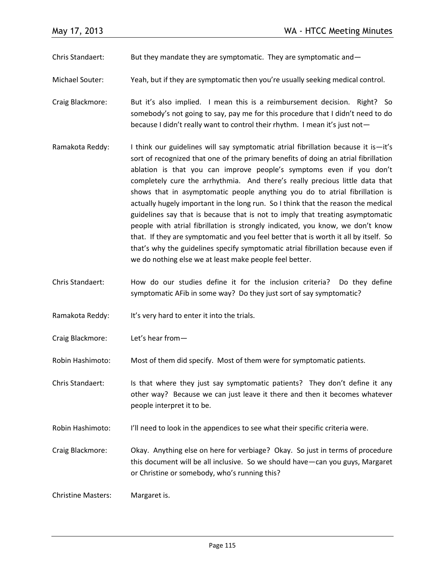Chris Standaert: But they mandate they are symptomatic. They are symptomatic and  $-$ 

Michael Souter: Yeah, but if they are symptomatic then you're usually seeking medical control.

- Craig Blackmore: But it's also implied. I mean this is a reimbursement decision. Right? So somebody's not going to say, pay me for this procedure that I didn't need to do because I didn't really want to control their rhythm. I mean it's just not—
- Ramakota Reddy: I think our guidelines will say symptomatic atrial fibrillation because it is—it's sort of recognized that one of the primary benefits of doing an atrial fibrillation ablation is that you can improve people's symptoms even if you don't completely cure the arrhythmia. And there's really precious little data that shows that in asymptomatic people anything you do to atrial fibrillation is actually hugely important in the long run. So I think that the reason the medical guidelines say that is because that is not to imply that treating asymptomatic people with atrial fibrillation is strongly indicated, you know, we don't know that. If they are symptomatic and you feel better that is worth it all by itself. So that's why the guidelines specify symptomatic atrial fibrillation because even if we do nothing else we at least make people feel better.
- Chris Standaert: How do our studies define it for the inclusion criteria? Do they define symptomatic AFib in some way? Do they just sort of say symptomatic?
- Ramakota Reddy: It's very hard to enter it into the trials.
- Craig Blackmore: Let's hear from—

Robin Hashimoto: Most of them did specify. Most of them were for symptomatic patients.

- Chris Standaert: Is that where they just say symptomatic patients? They don't define it any other way? Because we can just leave it there and then it becomes whatever people interpret it to be.
- Robin Hashimoto: I'll need to look in the appendices to see what their specific criteria were.
- Craig Blackmore: Okay. Anything else on here for verbiage? Okay. So just in terms of procedure this document will be all inclusive. So we should have—can you guys, Margaret or Christine or somebody, who's running this?

Christine Masters: Margaret is.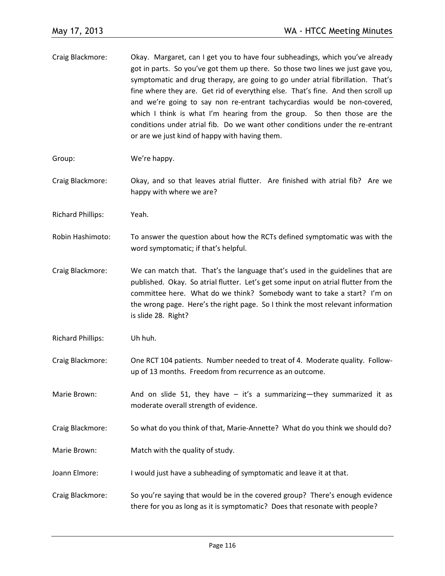- Craig Blackmore: Okay. Margaret, can I get you to have four subheadings, which you've already got in parts. So you've got them up there. So those two lines we just gave you, symptomatic and drug therapy, are going to go under atrial fibrillation. That's fine where they are. Get rid of everything else. That's fine. And then scroll up and we're going to say non re-entrant tachycardias would be non-covered, which I think is what I'm hearing from the group. So then those are the conditions under atrial fib. Do we want other conditions under the re-entrant or are we just kind of happy with having them.
- Group: We're happy.
- Craig Blackmore: Okay, and so that leaves atrial flutter. Are finished with atrial fib? Are we happy with where we are?
- Richard Phillips: Yeah.
- Robin Hashimoto: To answer the question about how the RCTs defined symptomatic was with the word symptomatic; if that's helpful.
- Craig Blackmore: We can match that. That's the language that's used in the guidelines that are published. Okay. So atrial flutter. Let's get some input on atrial flutter from the committee here. What do we think? Somebody want to take a start? I'm on the wrong page. Here's the right page. So I think the most relevant information is slide 28. Right?
- Richard Phillips: Uh huh.
- Craig Blackmore: One RCT 104 patients. Number needed to treat of 4. Moderate quality. Followup of 13 months. Freedom from recurrence as an outcome.
- Marie Brown: And on slide 51, they have  $-$  it's a summarizing—they summarized it as moderate overall strength of evidence.
- Craig Blackmore: So what do you think of that, Marie-Annette? What do you think we should do?
- Marie Brown: Match with the quality of study.
- Joann Elmore: I would just have a subheading of symptomatic and leave it at that.
- Craig Blackmore: So you're saying that would be in the covered group? There's enough evidence there for you as long as it is symptomatic? Does that resonate with people?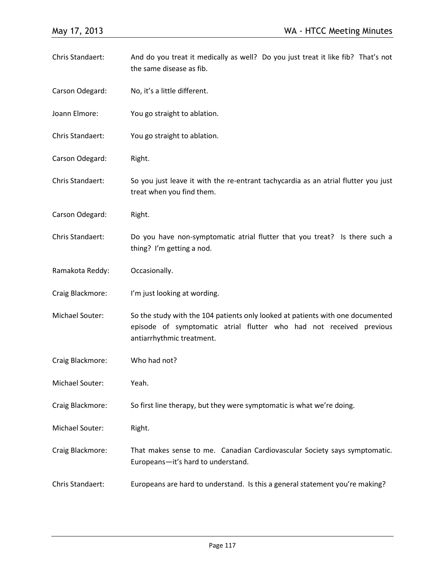Chris Standaert: And do you treat it medically as well? Do you just treat it like fib? That's not the same disease as fib. Carson Odegard: No, it's a little different. Joann Elmore: You go straight to ablation. Chris Standaert: You go straight to ablation. Carson Odegard: Right. Chris Standaert: So you just leave it with the re-entrant tachycardia as an atrial flutter you just treat when you find them. Carson Odegard: Right. Chris Standaert: Do you have non-symptomatic atrial flutter that you treat? Is there such a thing? I'm getting a nod. Ramakota Reddy: Occasionally. Craig Blackmore: I'm just looking at wording. Michael Souter: So the study with the 104 patients only looked at patients with one documented episode of symptomatic atrial flutter who had not received previous antiarrhythmic treatment. Craig Blackmore: Who had not? Michael Souter: Yeah. Craig Blackmore: So first line therapy, but they were symptomatic is what we're doing. Michael Souter: Right. Craig Blackmore: That makes sense to me. Canadian Cardiovascular Society says symptomatic. Europeans—it's hard to understand. Chris Standaert: Europeans are hard to understand. Is this a general statement you're making?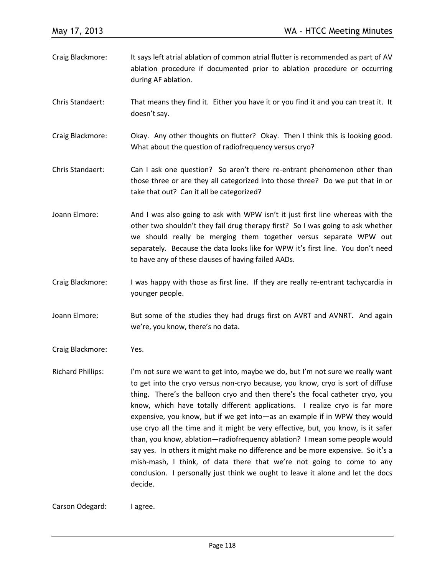| Craig Blackmore: | It says left atrial ablation of common atrial flutter is recommended as part of AV               |
|------------------|--------------------------------------------------------------------------------------------------|
|                  | ablation procedure if documented prior to ablation procedure or occurring<br>during AF ablation. |
|                  |                                                                                                  |

Chris Standaert: That means they find it. Either you have it or you find it and you can treat it. It doesn't say.

Craig Blackmore: Okay. Any other thoughts on flutter? Okay. Then I think this is looking good. What about the question of radiofrequency versus cryo?

Chris Standaert: Can I ask one question? So aren't there re-entrant phenomenon other than those three or are they all categorized into those three? Do we put that in or take that out? Can it all be categorized?

Joann Elmore: And I was also going to ask with WPW isn't it just first line whereas with the other two shouldn't they fail drug therapy first? So I was going to ask whether we should really be merging them together versus separate WPW out separately. Because the data looks like for WPW it's first line. You don't need to have any of these clauses of having failed AADs.

Craig Blackmore: I was happy with those as first line. If they are really re-entrant tachycardia in younger people.

Joann Elmore: But some of the studies they had drugs first on AVRT and AVNRT. And again we're, you know, there's no data.

Craig Blackmore: Yes.

Richard Phillips: I'm not sure we want to get into, maybe we do, but I'm not sure we really want to get into the cryo versus non-cryo because, you know, cryo is sort of diffuse thing. There's the balloon cryo and then there's the focal catheter cryo, you know, which have totally different applications. I realize cryo is far more expensive, you know, but if we get into—as an example if in WPW they would use cryo all the time and it might be very effective, but, you know, is it safer than, you know, ablation—radiofrequency ablation? I mean some people would say yes. In others it might make no difference and be more expensive. So it's a mish-mash, I think, of data there that we're not going to come to any conclusion. I personally just think we ought to leave it alone and let the docs decide.

Carson Odegard: I agree.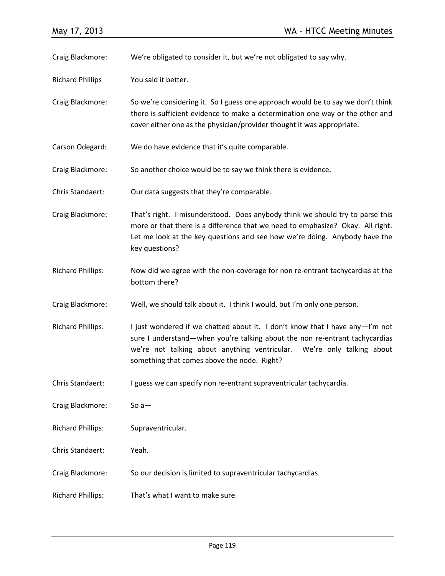Craig Blackmore: We're obligated to consider it, but we're not obligated to say why.

Richard Phillips You said it better.

Craig Blackmore: So we're considering it. So I guess one approach would be to say we don't think there is sufficient evidence to make a determination one way or the other and cover either one as the physician/provider thought it was appropriate.

Carson Odegard: We do have evidence that it's quite comparable.

Craig Blackmore: So another choice would be to say we think there is evidence.

Chris Standaert: Our data suggests that they're comparable.

Craig Blackmore: That's right. I misunderstood. Does anybody think we should try to parse this more or that there is a difference that we need to emphasize? Okay. All right. Let me look at the key questions and see how we're doing. Anybody have the key questions?

- Richard Phillips: Now did we agree with the non-coverage for non re-entrant tachycardias at the bottom there?
- Craig Blackmore: Well, we should talk about it. I think I would, but I'm only one person.

Richard Phillips: I just wondered if we chatted about it. I don't know that I have any - I'm not sure I understand—when you're talking about the non re-entrant tachycardias we're not talking about anything ventricular. We're only talking about something that comes above the node. Right?

Chris Standaert: I guess we can specify non re-entrant supraventricular tachycardia.

Craig Blackmore: So a—

Richard Phillips: Supraventricular.

Chris Standaert: Yeah.

Craig Blackmore: So our decision is limited to supraventricular tachycardias.

Richard Phillips: That's what I want to make sure.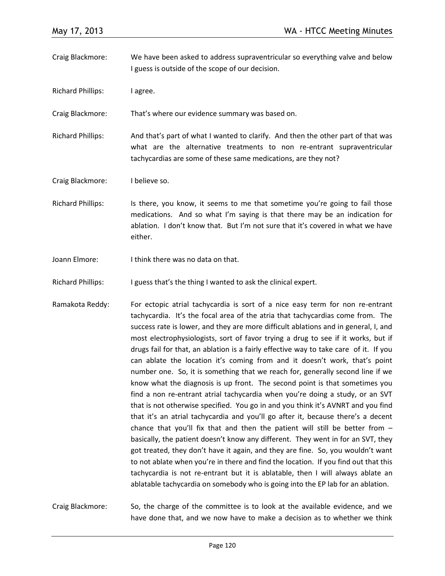- Craig Blackmore: We have been asked to address supraventricular so everything valve and below I guess is outside of the scope of our decision.
- Richard Phillips: I agree.

Craig Blackmore: That's where our evidence summary was based on.

Richard Phillips: And that's part of what I wanted to clarify. And then the other part of that was what are the alternative treatments to non re-entrant supraventricular tachycardias are some of these same medications, are they not?

Craig Blackmore: I believe so.

- Richard Phillips: Is there, you know, it seems to me that sometime you're going to fail those medications. And so what I'm saying is that there may be an indication for ablation. I don't know that. But I'm not sure that it's covered in what we have either.
- Joann Elmore: I think there was no data on that.

Richard Phillips: I guess that's the thing I wanted to ask the clinical expert.

Ramakota Reddy: For ectopic atrial tachycardia is sort of a nice easy term for non re-entrant tachycardia. It's the focal area of the atria that tachycardias come from. The success rate is lower, and they are more difficult ablations and in general, I, and most electrophysiologists, sort of favor trying a drug to see if it works, but if drugs fail for that, an ablation is a fairly effective way to take care of it. If you can ablate the location it's coming from and it doesn't work, that's point number one. So, it is something that we reach for, generally second line if we know what the diagnosis is up front. The second point is that sometimes you find a non re-entrant atrial tachycardia when you're doing a study, or an SVT that is not otherwise specified. You go in and you think it's AVNRT and you find that it's an atrial tachycardia and you'll go after it, because there's a decent chance that you'll fix that and then the patient will still be better from  $$ basically, the patient doesn't know any different. They went in for an SVT, they got treated, they don't have it again, and they are fine. So, you wouldn't want to not ablate when you're in there and find the location. If you find out that this tachycardia is not re-entrant but it is ablatable, then I will always ablate an ablatable tachycardia on somebody who is going into the EP lab for an ablation.

Craig Blackmore: So, the charge of the committee is to look at the available evidence, and we have done that, and we now have to make a decision as to whether we think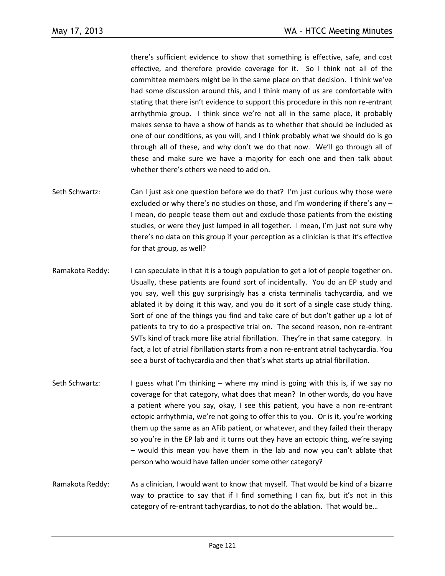there's sufficient evidence to show that something is effective, safe, and cost effective, and therefore provide coverage for it. So I think not all of the committee members might be in the same place on that decision. I think we've had some discussion around this, and I think many of us are comfortable with stating that there isn't evidence to support this procedure in this non re-entrant arrhythmia group. I think since we're not all in the same place, it probably makes sense to have a show of hands as to whether that should be included as one of our conditions, as you will, and I think probably what we should do is go through all of these, and why don't we do that now. We'll go through all of these and make sure we have a majority for each one and then talk about whether there's others we need to add on.

- Seth Schwartz: Can I just ask one question before we do that? I'm just curious why those were excluded or why there's no studies on those, and I'm wondering if there's any – I mean, do people tease them out and exclude those patients from the existing studies, or were they just lumped in all together. I mean, I'm just not sure why there's no data on this group if your perception as a clinician is that it's effective for that group, as well?
- Ramakota Reddy: I can speculate in that it is a tough population to get a lot of people together on. Usually, these patients are found sort of incidentally. You do an EP study and you say, well this guy surprisingly has a crista terminalis tachycardia, and we ablated it by doing it this way, and you do it sort of a single case study thing. Sort of one of the things you find and take care of but don't gather up a lot of patients to try to do a prospective trial on. The second reason, non re-entrant SVTs kind of track more like atrial fibrillation. They're in that same category. In fact, a lot of atrial fibrillation starts from a non re-entrant atrial tachycardia. You see a burst of tachycardia and then that's what starts up atrial fibrillation.
- Seth Schwartz: I guess what I'm thinking where my mind is going with this is, if we say no coverage for that category, what does that mean? In other words, do you have a patient where you say, okay, I see this patient, you have a non re-entrant ectopic arrhythmia, we're not going to offer this to you. Or is it, you're working them up the same as an AFib patient, or whatever, and they failed their therapy so you're in the EP lab and it turns out they have an ectopic thing, we're saying – would this mean you have them in the lab and now you can't ablate that person who would have fallen under some other category?
- Ramakota Reddy: As a clinician, I would want to know that myself. That would be kind of a bizarre way to practice to say that if I find something I can fix, but it's not in this category of re-entrant tachycardias, to not do the ablation. That would be…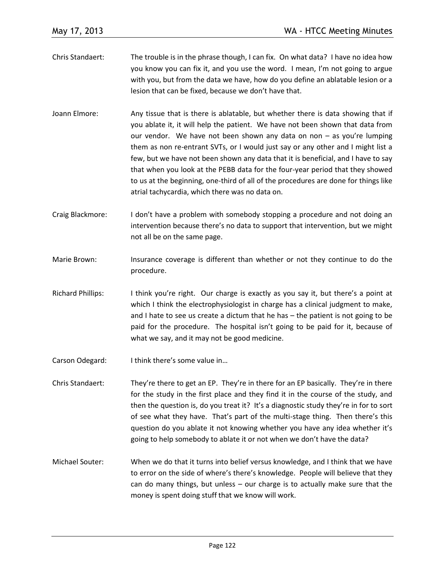- Chris Standaert: The trouble is in the phrase though, I can fix. On what data? I have no idea how you know you can fix it, and you use the word. I mean, I'm not going to argue with you, but from the data we have, how do you define an ablatable lesion or a lesion that can be fixed, because we don't have that.
- Joann Elmore: Any tissue that is there is ablatable, but whether there is data showing that if you ablate it, it will help the patient. We have not been shown that data from our vendor. We have not been shown any data on non – as you're lumping them as non re-entrant SVTs, or I would just say or any other and I might list a few, but we have not been shown any data that it is beneficial, and I have to say that when you look at the PEBB data for the four-year period that they showed to us at the beginning, one-third of all of the procedures are done for things like atrial tachycardia, which there was no data on.
- Craig Blackmore: I don't have a problem with somebody stopping a procedure and not doing an intervention because there's no data to support that intervention, but we might not all be on the same page.
- Marie Brown: Insurance coverage is different than whether or not they continue to do the procedure.
- Richard Phillips: I think you're right. Our charge is exactly as you say it, but there's a point at which I think the electrophysiologist in charge has a clinical judgment to make, and I hate to see us create a dictum that he has – the patient is not going to be paid for the procedure. The hospital isn't going to be paid for it, because of what we say, and it may not be good medicine.
- Carson Odegard: I think there's some value in...
- Chris Standaert: They're there to get an EP. They're in there for an EP basically. They're in there for the study in the first place and they find it in the course of the study, and then the question is, do you treat it? It's a diagnostic study they're in for to sort of see what they have. That's part of the multi-stage thing. Then there's this question do you ablate it not knowing whether you have any idea whether it's going to help somebody to ablate it or not when we don't have the data?
- Michael Souter: When we do that it turns into belief versus knowledge, and I think that we have to error on the side of where's there's knowledge. People will believe that they can do many things, but unless – our charge is to actually make sure that the money is spent doing stuff that we know will work.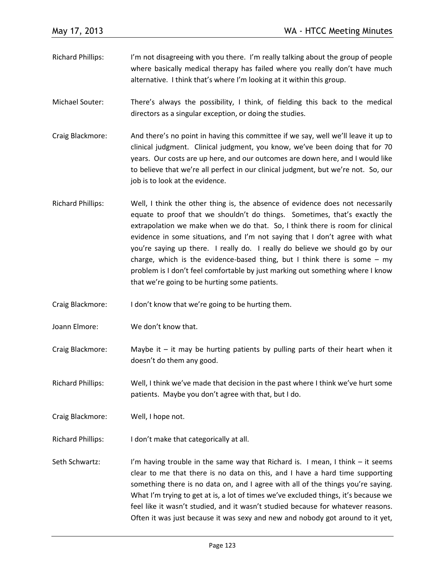- Richard Phillips: I'm not disagreeing with you there. I'm really talking about the group of people where basically medical therapy has failed where you really don't have much alternative. I think that's where I'm looking at it within this group.
- Michael Souter: There's always the possibility, I think, of fielding this back to the medical directors as a singular exception, or doing the studies.
- Craig Blackmore: And there's no point in having this committee if we say, well we'll leave it up to clinical judgment. Clinical judgment, you know, we've been doing that for 70 years. Our costs are up here, and our outcomes are down here, and I would like to believe that we're all perfect in our clinical judgment, but we're not. So, our job is to look at the evidence.
- Richard Phillips: Well, I think the other thing is, the absence of evidence does not necessarily equate to proof that we shouldn't do things. Sometimes, that's exactly the extrapolation we make when we do that. So, I think there is room for clinical evidence in some situations, and I'm not saying that I don't agree with what you're saying up there. I really do. I really do believe we should go by our charge, which is the evidence-based thing, but I think there is some  $-$  my problem is I don't feel comfortable by just marking out something where I know that we're going to be hurting some patients.
- Craig Blackmore: I don't know that we're going to be hurting them.
- Joann Elmore: We don't know that.
- Craig Blackmore: Maybe it  $-$  it may be hurting patients by pulling parts of their heart when it doesn't do them any good.
- Richard Phillips: Well, I think we've made that decision in the past where I think we've hurt some patients. Maybe you don't agree with that, but I do.
- Craig Blackmore: Well, I hope not.
- Richard Phillips: I don't make that categorically at all.
- Seth Schwartz: I'm having trouble in the same way that Richard is. I mean, I think it seems clear to me that there is no data on this, and I have a hard time supporting something there is no data on, and I agree with all of the things you're saying. What I'm trying to get at is, a lot of times we've excluded things, it's because we feel like it wasn't studied, and it wasn't studied because for whatever reasons. Often it was just because it was sexy and new and nobody got around to it yet,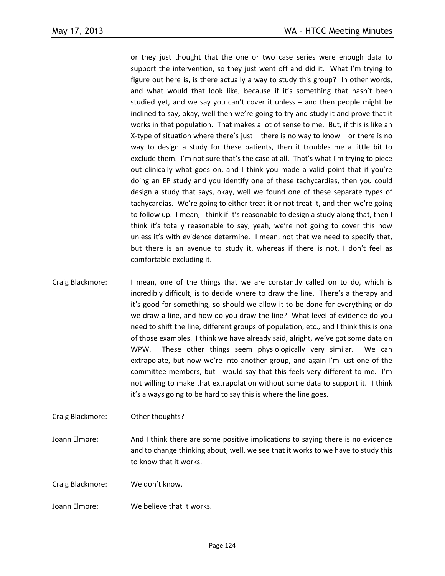or they just thought that the one or two case series were enough data to support the intervention, so they just went off and did it. What I'm trying to figure out here is, is there actually a way to study this group? In other words, and what would that look like, because if it's something that hasn't been studied yet, and we say you can't cover it unless – and then people might be inclined to say, okay, well then we're going to try and study it and prove that it works in that population. That makes a lot of sense to me. But, if this is like an X-type of situation where there's just – there is no way to know – or there is no way to design a study for these patients, then it troubles me a little bit to exclude them. I'm not sure that's the case at all. That's what I'm trying to piece out clinically what goes on, and I think you made a valid point that if you're doing an EP study and you identify one of these tachycardias, then you could design a study that says, okay, well we found one of these separate types of tachycardias. We're going to either treat it or not treat it, and then we're going to follow up. I mean, I think if it's reasonable to design a study along that, then I think it's totally reasonable to say, yeah, we're not going to cover this now unless it's with evidence determine. I mean, not that we need to specify that, but there is an avenue to study it, whereas if there is not, I don't feel as comfortable excluding it.

Craig Blackmore: I mean, one of the things that we are constantly called on to do, which is incredibly difficult, is to decide where to draw the line. There's a therapy and it's good for something, so should we allow it to be done for everything or do we draw a line, and how do you draw the line? What level of evidence do you need to shift the line, different groups of population, etc., and I think this is one of those examples. I think we have already said, alright, we've got some data on WPW. These other things seem physiologically very similar. We can extrapolate, but now we're into another group, and again I'm just one of the committee members, but I would say that this feels very different to me. I'm not willing to make that extrapolation without some data to support it. I think it's always going to be hard to say this is where the line goes.

Craig Blackmore: Other thoughts?

Joann Elmore: And I think there are some positive implications to saying there is no evidence and to change thinking about, well, we see that it works to we have to study this to know that it works.

Craig Blackmore: We don't know.

Joann Elmore: We believe that it works.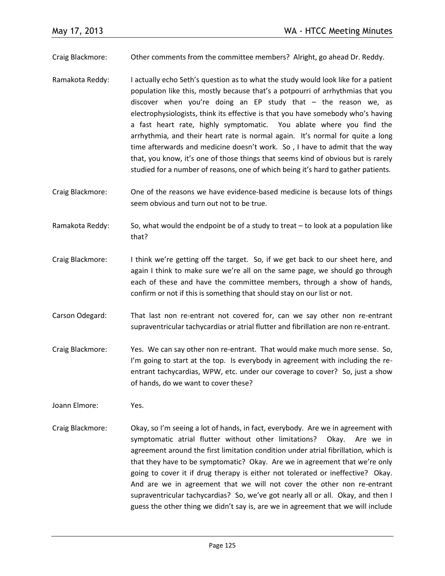Craig Blackmore: Other comments from the committee members? Alright, go ahead Dr. Reddy.

- Ramakota Reddy: I actually echo Seth's question as to what the study would look like for a patient population like this, mostly because that's a potpourri of arrhythmias that you discover when you're doing an EP study that – the reason we, as electrophysiologists, think its effective is that you have somebody who's having a fast heart rate, highly symptomatic. You ablate where you find the arrhythmia, and their heart rate is normal again. It's normal for quite a long time afterwards and medicine doesn't work. So , I have to admit that the way that, you know, it's one of those things that seems kind of obvious but is rarely studied for a number of reasons, one of which being it's hard to gather patients.
- Craig Blackmore: One of the reasons we have evidence-based medicine is because lots of things seem obvious and turn out not to be true.
- Ramakota Reddy: So, what would the endpoint be of a study to treat to look at a population like that?
- Craig Blackmore: I think we're getting off the target. So, if we get back to our sheet here, and again I think to make sure we're all on the same page, we should go through each of these and have the committee members, through a show of hands, confirm or not if this is something that should stay on our list or not.
- Carson Odegard: That last non re-entrant not covered for, can we say other non re-entrant supraventricular tachycardias or atrial flutter and fibrillation are non re-entrant.
- Craig Blackmore: Yes. We can say other non re-entrant. That would make much more sense. So, I'm going to start at the top. Is everybody in agreement with including the reentrant tachycardias, WPW, etc. under our coverage to cover? So, just a show of hands, do we want to cover these?
- Joann Elmore: Yes.
- Craig Blackmore: Okay, so I'm seeing a lot of hands, in fact, everybody. Are we in agreement with symptomatic atrial flutter without other limitations? Okay. Are we in agreement around the first limitation condition under atrial fibrillation, which is that they have to be symptomatic? Okay. Are we in agreement that we're only going to cover it if drug therapy is either not tolerated or ineffective? Okay. And are we in agreement that we will not cover the other non re-entrant supraventricular tachycardias? So, we've got nearly all or all. Okay, and then I guess the other thing we didn't say is, are we in agreement that we will include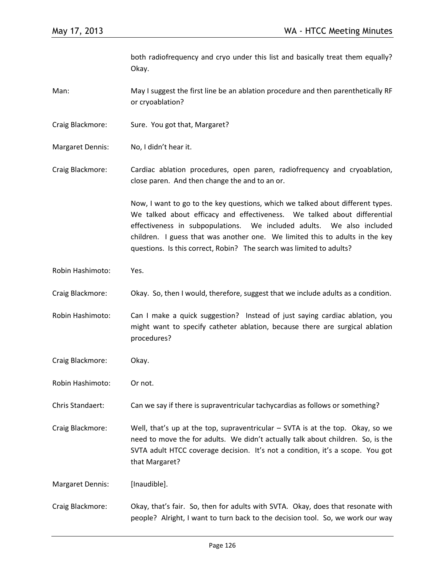both radiofrequency and cryo under this list and basically treat them equally? Okay.

Man: May I suggest the first line be an ablation procedure and then parenthetically RF or cryoablation?

- Craig Blackmore: Sure. You got that, Margaret?
- Margaret Dennis: No, I didn't hear it.

Craig Blackmore: Cardiac ablation procedures, open paren, radiofrequency and cryoablation, close paren. And then change the and to an or.

> Now, I want to go to the key questions, which we talked about different types. We talked about efficacy and effectiveness. We talked about differential effectiveness in subpopulations. We included adults. We also included children. I guess that was another one. We limited this to adults in the key questions. Is this correct, Robin? The search was limited to adults?

- Robin Hashimoto: Yes.
- Craig Blackmore: Okay. So, then I would, therefore, suggest that we include adults as a condition.

Robin Hashimoto: Can I make a quick suggestion? Instead of just saying cardiac ablation, you might want to specify catheter ablation, because there are surgical ablation procedures?

- Craig Blackmore: Okay.
- Robin Hashimoto: Or not.

Chris Standaert: Can we say if there is supraventricular tachycardias as follows or something?

Craig Blackmore: Well, that's up at the top, supraventricular – SVTA is at the top. Okay, so we need to move the for adults. We didn't actually talk about children. So, is the SVTA adult HTCC coverage decision. It's not a condition, it's a scope. You got that Margaret?

Margaret Dennis: [Inaudible].

Craig Blackmore: Okay, that's fair. So, then for adults with SVTA. Okay, does that resonate with people? Alright, I want to turn back to the decision tool. So, we work our way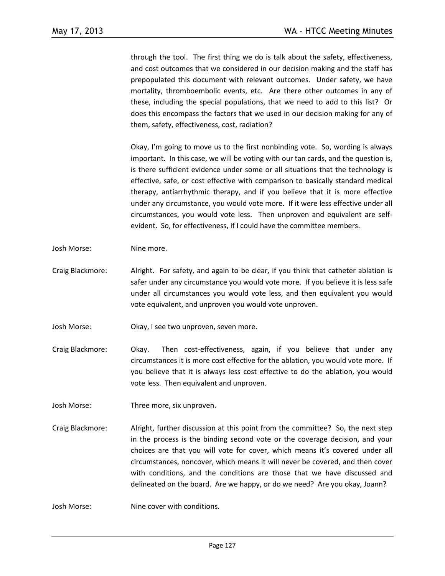through the tool. The first thing we do is talk about the safety, effectiveness, and cost outcomes that we considered in our decision making and the staff has prepopulated this document with relevant outcomes. Under safety, we have mortality, thromboembolic events, etc. Are there other outcomes in any of these, including the special populations, that we need to add to this list? Or does this encompass the factors that we used in our decision making for any of them, safety, effectiveness, cost, radiation?

Okay, I'm going to move us to the first nonbinding vote. So, wording is always important. In this case, we will be voting with our tan cards, and the question is, is there sufficient evidence under some or all situations that the technology is effective, safe, or cost effective with comparison to basically standard medical therapy, antiarrhythmic therapy, and if you believe that it is more effective under any circumstance, you would vote more. If it were less effective under all circumstances, you would vote less. Then unproven and equivalent are selfevident. So, for effectiveness, if I could have the committee members.

- Josh Morse: Nine more.
- Craig Blackmore: Alright. For safety, and again to be clear, if you think that catheter ablation is safer under any circumstance you would vote more. If you believe it is less safe under all circumstances you would vote less, and then equivalent you would vote equivalent, and unproven you would vote unproven.
- Josh Morse: Okay, I see two unproven, seven more.
- Craig Blackmore: Okay. Then cost-effectiveness, again, if you believe that under any circumstances it is more cost effective for the ablation, you would vote more. If you believe that it is always less cost effective to do the ablation, you would vote less. Then equivalent and unproven.
- Josh Morse: Three more, six unproven.
- Craig Blackmore: Alright, further discussion at this point from the committee? So, the next step in the process is the binding second vote or the coverage decision, and your choices are that you will vote for cover, which means it's covered under all circumstances, noncover, which means it will never be covered, and then cover with conditions, and the conditions are those that we have discussed and delineated on the board. Are we happy, or do we need? Are you okay, Joann?

Josh Morse: Nine cover with conditions.